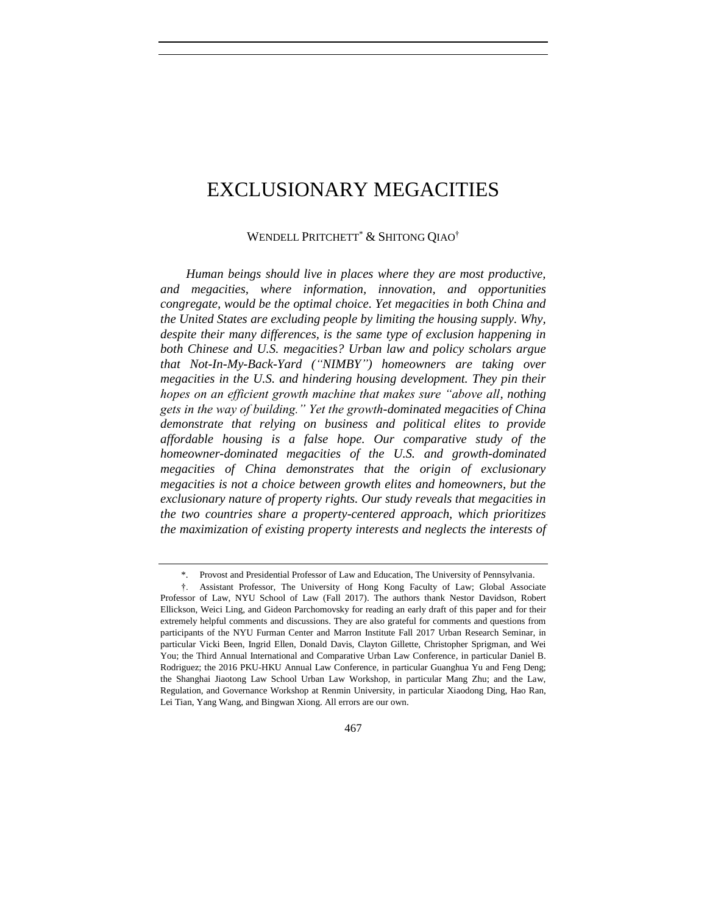# EXCLUSIONARY MEGACITIES

WENDELL PRITCHETT<sup>\*</sup> & SHITONG OIAO<sup>†</sup>

*Human beings should live in places where they are most productive, and megacities, where information, innovation, and opportunities congregate, would be the optimal choice. Yet megacities in both China and the United States are excluding people by limiting the housing supply. Why, despite their many differences, is the same type of exclusion happening in both Chinese and U.S. megacities? Urban law and policy scholars argue that Not-In-My-Back-Yard ("NIMBY") homeowners are taking over megacities in the U.S. and hindering housing development. They pin their hopes on an efficient growth machine that makes sure "above all, nothing gets in the way of building." Yet the growth-dominated megacities of China demonstrate that relying on business and political elites to provide affordable housing is a false hope. Our comparative study of the homeowner-dominated megacities of the U.S. and growth-dominated megacities of China demonstrates that the origin of exclusionary megacities is not a choice between growth elites and homeowners, but the exclusionary nature of property rights. Our study reveals that megacities in the two countries share a property-centered approach, which prioritizes the maximization of existing property interests and neglects the interests of* 

467

<sup>\*.</sup> Provost and Presidential Professor of Law and Education, The University of Pennsylvania.

<sup>†.</sup> Assistant Professor, The University of Hong Kong Faculty of Law; Global Associate Professor of Law, NYU School of Law (Fall 2017). The authors thank Nestor Davidson, Robert Ellickson, Weici Ling, and Gideon Parchomovsky for reading an early draft of this paper and for their extremely helpful comments and discussions. They are also grateful for comments and questions from participants of the NYU Furman Center and Marron Institute Fall 2017 Urban Research Seminar, in particular Vicki Been, Ingrid Ellen, Donald Davis, Clayton Gillette, Christopher Sprigman, and Wei You; the Third Annual International and Comparative Urban Law Conference, in particular Daniel B. Rodriguez; the 2016 PKU-HKU Annual Law Conference, in particular Guanghua Yu and Feng Deng; the Shanghai Jiaotong Law School Urban Law Workshop, in particular Mang Zhu; and the Law, Regulation, and Governance Workshop at Renmin University, in particular Xiaodong Ding, Hao Ran, Lei Tian, Yang Wang, and Bingwan Xiong. All errors are our own.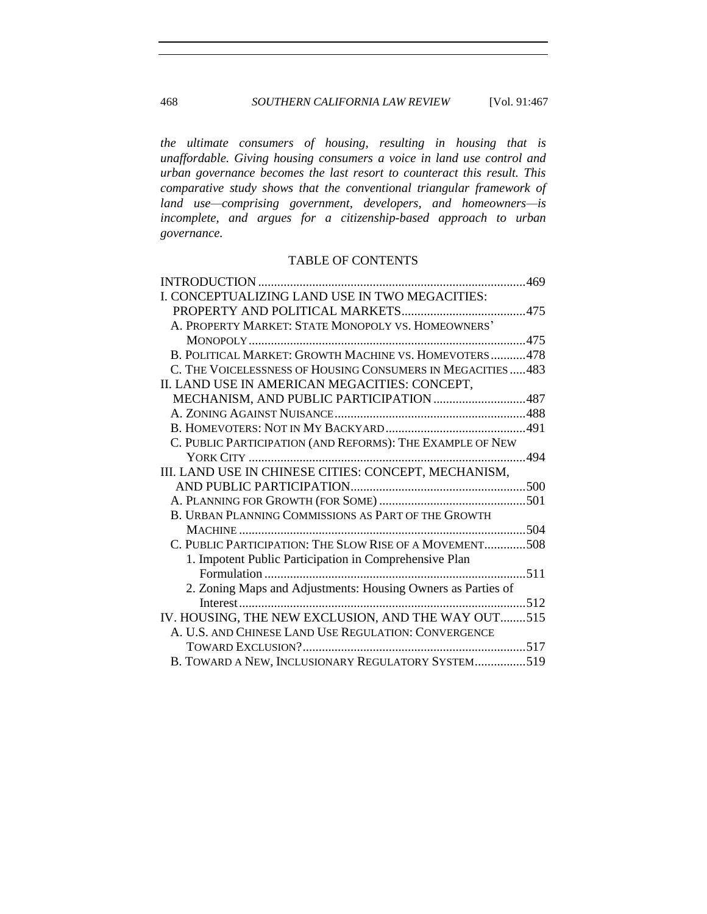*the ultimate consumers of housing, resulting in housing that is unaffordable. Giving housing consumers a voice in land use control and urban governance becomes the last resort to counteract this result. This comparative study shows that the conventional triangular framework of land use—comprising government, developers, and homeowners—is incomplete, and argues for a citizenship-based approach to urban governance.*

# TABLE OF CONTENTS

| <b>INTRODUCTION</b>                                          |  |
|--------------------------------------------------------------|--|
| I. CONCEPTUALIZING LAND USE IN TWO MEGACITIES:               |  |
|                                                              |  |
| A. PROPERTY MARKET: STATE MONOPOLY VS. HOMEOWNERS'           |  |
|                                                              |  |
| B. POLITICAL MARKET: GROWTH MACHINE VS. HOMEVOTERS478        |  |
| C. THE VOICELESSNESS OF HOUSING CONSUMERS IN MEGACITIES  483 |  |
| II. LAND USE IN AMERICAN MEGACITIES: CONCEPT,                |  |
| MECHANISM, AND PUBLIC PARTICIPATION 487                      |  |
|                                                              |  |
|                                                              |  |
| C. PUBLIC PARTICIPATION (AND REFORMS): THE EXAMPLE OF NEW    |  |
|                                                              |  |
| III. LAND USE IN CHINESE CITIES: CONCEPT, MECHANISM,         |  |
|                                                              |  |
|                                                              |  |
| B. URBAN PLANNING COMMISSIONS AS PART OF THE GROWTH          |  |
|                                                              |  |
| C. PUBLIC PARTICIPATION: THE SLOW RISE OF A MOVEMENT508      |  |
| 1. Impotent Public Participation in Comprehensive Plan       |  |
|                                                              |  |
| 2. Zoning Maps and Adjustments: Housing Owners as Parties of |  |
|                                                              |  |
| IV. HOUSING, THE NEW EXCLUSION, AND THE WAY OUT515           |  |
| A. U.S. AND CHINESE LAND USE REGULATION: CONVERGENCE         |  |
|                                                              |  |
| B. TOWARD A NEW, INCLUSIONARY REGULATORY SYSTEM519           |  |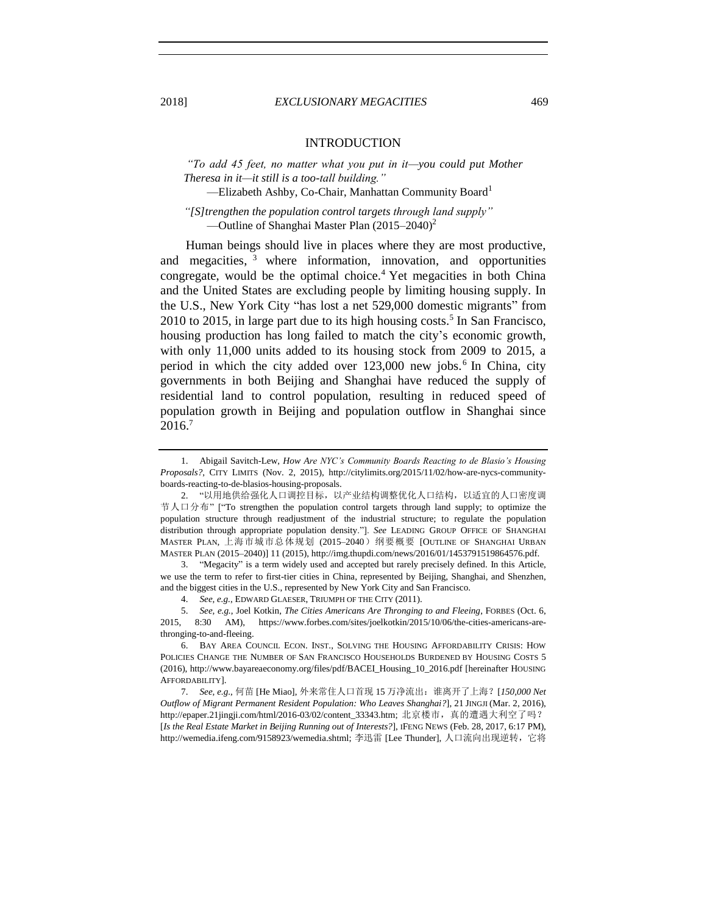#### <span id="page-2-4"></span><span id="page-2-3"></span><span id="page-2-2"></span><span id="page-2-1"></span>INTRODUCTION

<span id="page-2-0"></span>*"To add 45 feet, no matter what you put in it—you could put Mother Theresa in it—it still is a too-tall building."* 

—Elizabeth Ashby, Co-Chair, Manhattan Community Board<sup>1</sup>

*"[S]trengthen the population control targets through land supply"*  —Outline of Shanghai Master Plan  $(2015-2040)^2$ 

Human beings should live in places where they are most productive, and megacities, <sup>3</sup> where information, innovation, and opportunities congregate, would be the optimal choice.<sup>4</sup> Yet megacities in both China and the United States are excluding people by limiting housing supply. In the U.S., New York City "has lost a net 529,000 domestic migrants" from  $2010$  to  $2015$ , in large part due to its high housing costs.<sup>5</sup> In San Francisco, housing production has long failed to match the city's economic growth, with only 11,000 units added to its housing stock from 2009 to 2015, a period in which the city added over 123,000 new jobs.<sup>6</sup> In China, city governments in both Beijing and Shanghai have reduced the supply of residential land to control population, resulting in reduced speed of population growth in Beijing and population outflow in Shanghai since 2016.<sup>7</sup>

3. "Megacity" is a term widely used and accepted but rarely precisely defined. In this Article, we use the term to refer to first-tier cities in China, represented by Beijing, Shanghai, and Shenzhen, and the biggest cities in the U.S., represented by New York City and San Francisco.

4. *See, e.g.*, EDWARD GLAESER, TRIUMPH OF THE CITY (2011).

5. *See, e.g.*, Joel Kotkin, *The Cities Americans Are Thronging to and Fleeing*, FORBES (Oct. 6, 2015, 8:30 AM), https://www.forbes.com/sites/joelkotkin/2015/10/06/the-cities-americans-arethronging-to-and-fleeing.

7. *See, e.g.*, 何苗 [He Miao], 外来常住人口首现 15 万净流出:谁离开了上海?[*150,000 Net Outflow of Migrant Permanent Resident Population: Who Leaves Shanghai?*], 21 JINGJI (Mar. 2, 2016), http://epaper.21jingji.com/html/2016-03/02/content\_33343.htm; 北京楼市,真的遭遇大利空了吗? [*Is the Real Estate Market in Beijing Running out of Interests?*], IFENG NEWS (Feb. 28, 2017, 6:17 PM), http://wemedia.ifeng.com/9158923/wemedia.shtml; 李迅雷 [Lee Thunder], 人口流向出现逆转,它将

<sup>1.</sup> Abigail Savitch-Lew, *How Are NYC's Community Boards Reacting to de Blasio's Housing Proposals?*, CITY LIMITS (Nov. 2, 2015), http://citylimits.org/2015/11/02/how-are-nycs-communityboards-reacting-to-de-blasios-housing-proposals.

<sup>2.</sup> "以用地供给强化人口调控目标,以产业结构调整优化人口结构,以适宜的人口密度调 节人口分布" ["To strengthen the population control targets through land supply; to optimize the population structure through readjustment of the industrial structure; to regulate the population distribution through appropriate population density."]. *See* LEADING GROUP OFFICE OF SHANGHAI MASTER PLAN, 上海市城市总体规划 (2015–2040)纲要概要 [OUTLINE OF SHANGHAI URBAN MASTER PLAN (2015–2040)] 11 (2015), http://img.thupdi.com/news/2016/01/1453791519864576.pdf.

<sup>6.</sup> BAY AREA COUNCIL ECON. INST., SOLVING THE HOUSING AFFORDABILITY CRISIS: HOW POLICIES CHANGE THE NUMBER OF SAN FRANCISCO HOUSEHOLDS BURDENED BY HOUSING COSTS 5 (2016), http://www.bayareaeconomy.org/files/pdf/BACEI\_Housing\_10\_2016.pdf [hereinafter HOUSING AFFORDABILITY].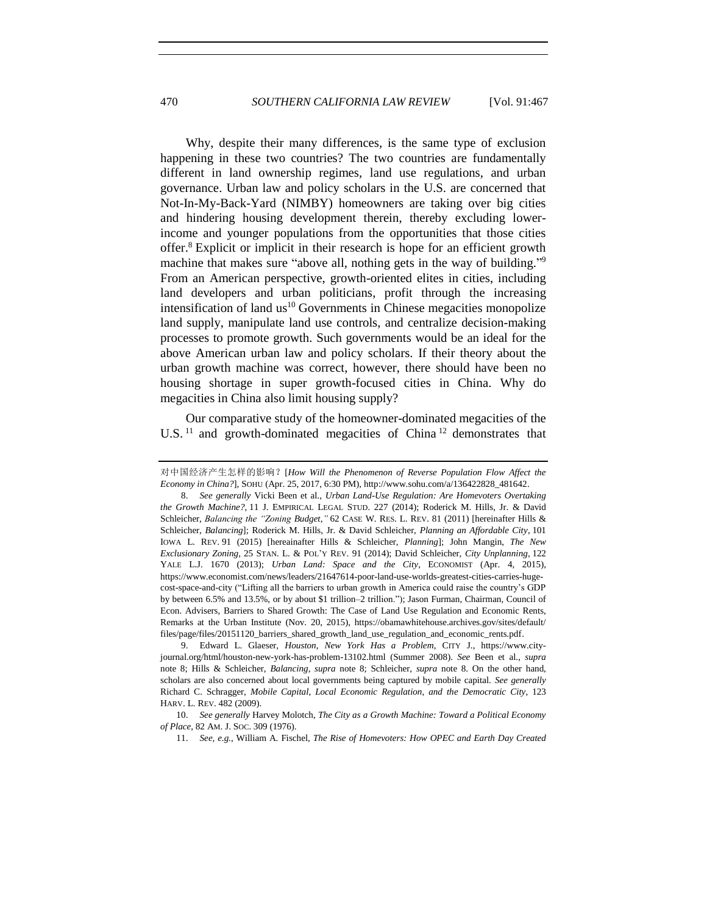<span id="page-3-2"></span><span id="page-3-0"></span>Why, despite their many differences, is the same type of exclusion happening in these two countries? The two countries are fundamentally different in land ownership regimes, land use regulations, and urban governance. Urban law and policy scholars in the U.S. are concerned that Not-In-My-Back-Yard (NIMBY) homeowners are taking over big cities and hindering housing development therein, thereby excluding lowerincome and younger populations from the opportunities that those cities offer.<sup>8</sup> Explicit or implicit in their research is hope for an efficient growth machine that makes sure "above all, nothing gets in the way of building."<sup>9</sup> From an American perspective, growth-oriented elites in cities, including land developers and urban politicians, profit through the increasing intensification of land us<sup>10</sup> Governments in Chinese megacities monopolize land supply, manipulate land use controls, and centralize decision-making processes to promote growth. Such governments would be an ideal for the above American urban law and policy scholars. If their theory about the urban growth machine was correct, however, there should have been no housing shortage in super growth-focused cities in China. Why do megacities in China also limit housing supply?

<span id="page-3-4"></span><span id="page-3-3"></span><span id="page-3-1"></span>Our comparative study of the homeowner-dominated megacities of the U.S.<sup>11</sup> and growth-dominated megacities of China<sup>12</sup> demonstrates that

对中国经济产生怎样的影响?[*How Will the Phenomenon of Reverse Population Flow Affect the Economy in China?*], SOHU (Apr. 25, 2017, 6:30 PM), http://www.sohu.com/a/136422828\_481642.

<sup>8.</sup> *See generally* Vicki Been et al., *Urban Land-Use Regulation: Are Homevoters Overtaking the Growth Machine?*, 11 J. EMPIRICAL LEGAL STUD. 227 (2014); Roderick M. Hills, Jr. & David Schleicher, *Balancing the "Zoning Budget*,*"* 62 CASE W. RES. L. REV. 81 (2011) [hereinafter Hills & Schleicher, *Balancing*]; Roderick M. Hills, Jr. & David Schleicher, *Planning an Affordable City*, 101 IOWA L. REV. 91 (2015) [hereainafter Hills & Schleicher, *Planning*]; John Mangin, *The New Exclusionary Zoning*, 25 STAN. L. & POL'Y REV. 91 (2014); David Schleicher, *City Unplanning*, 122 YALE L.J. 1670 (2013); *Urban Land: Space and the City*, ECONOMIST (Apr. 4, 2015), https://www.economist.com/news/leaders/21647614-poor-land-use-worlds-greatest-cities-carries-hugecost-space-and-city ("Lifting all the barriers to urban growth in America could raise the country's GDP by between 6.5% and 13.5%, or by about \$1 trillion–2 trillion."); Jason Furman, Chairman, Council of Econ. Advisers, Barriers to Shared Growth: The Case of Land Use Regulation and Economic Rents, Remarks at the Urban Institute (Nov. 20, 2015), https://obamawhitehouse.archives.gov/sites/default/ files/page/files/20151120\_barriers\_shared\_growth\_land\_use\_regulation\_and\_economic\_rents.pdf.

<sup>9.</sup> Edward L. Glaeser, *Houston, New York Has a Problem*, CITY J., https://www.cityjournal.org/html/houston-new-york-has-problem-13102.html (Summer 2008). *See* Been et al., *supra* note [8;](#page-3-0) Hills & Schleicher, *Balancing*, *supra* note [8;](#page-3-0) Schleicher, *supra* note [8.](#page-3-0) On the other hand, scholars are also concerned about local governments being captured by mobile capital. *See generally* Richard C. Schragger, *Mobile Capital, Local Economic Regulation, and the Democratic City*, 123 HARV. L. REV. 482 (2009).

<sup>10.</sup> *See generally* Harvey Molotch, *The City as a Growth Machine: Toward a Political Economy of Place*, 82 AM. J. SOC. 309 (1976).

<sup>11.</sup> *See, e.g.*, William A. Fischel, *The Rise of Homevoters: How OPEC and Earth Day Created*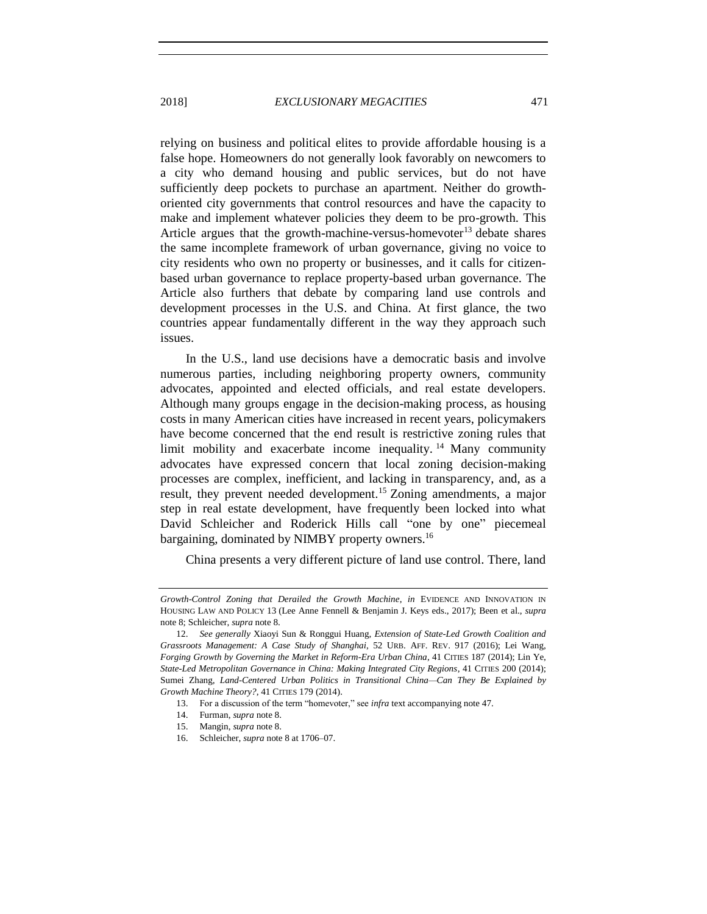relying on business and political elites to provide affordable housing is a false hope. Homeowners do not generally look favorably on newcomers to a city who demand housing and public services, but do not have sufficiently deep pockets to purchase an apartment. Neither do growthoriented city governments that control resources and have the capacity to make and implement whatever policies they deem to be pro-growth. This Article argues that the growth-machine-versus-homevoter<sup>13</sup> debate shares the same incomplete framework of urban governance, giving no voice to city residents who own no property or businesses, and it calls for citizenbased urban governance to replace property-based urban governance. The Article also furthers that debate by comparing land use controls and development processes in the U.S. and China. At first glance, the two countries appear fundamentally different in the way they approach such issues.

In the U.S., land use decisions have a democratic basis and involve numerous parties, including neighboring property owners, community advocates, appointed and elected officials, and real estate developers. Although many groups engage in the decision-making process, as housing costs in many American cities have increased in recent years, policymakers have become concerned that the end result is restrictive zoning rules that limit mobility and exacerbate income inequality.<sup>14</sup> Many community advocates have expressed concern that local zoning decision-making processes are complex, inefficient, and lacking in transparency, and, as a result, they prevent needed development.<sup>15</sup> Zoning amendments, a major step in real estate development, have frequently been locked into what David Schleicher and Roderick Hills call "one by one" piecemeal bargaining, dominated by NIMBY property owners.<sup>16</sup>

China presents a very different picture of land use control. There, land

*Growth-Control Zoning that Derailed the Growth Machine*, *in* EVIDENCE AND INNOVATION IN HOUSING LAW AND POLICY 13 (Lee Anne Fennell & Benjamin J. Keys eds., 2017); Been et al., *supra* note [8;](#page-3-0) Schleicher, *supra* note [8.](#page-3-0)

<sup>12.</sup> *See generally* Xiaoyi Sun & Ronggui Huang, *Extension of State-Led Growth Coalition and Grassroots Management: A Case Study of Shanghai*, 52 URB. AFF. REV. 917 (2016); Lei Wang, *Forging Growth by Governing the Market in Reform-Era Urban China*, 41 CITIES 187 (2014); Lin Ye, *State-Led Metropolitan Governance in China: Making Integrated City Regions*, 41 CITIES 200 (2014); Sumei Zhang, *Land-Centered Urban Politics in Transitional China—Can They Be Explained by Growth Machine Theory?*, 41 CITIES 179 (2014).

<sup>13.</sup> For a discussion of the term "homevoter," see *infra* text accompanying not[e 47.](#page-12-0)

<sup>14.</sup> Furman, *supra* not[e 8.](#page-3-0)

<sup>15.</sup> Mangin, *supra* not[e 8.](#page-3-0) 

<sup>16.</sup> Schleicher, *supra* note [8](#page-3-0) at 1706–07.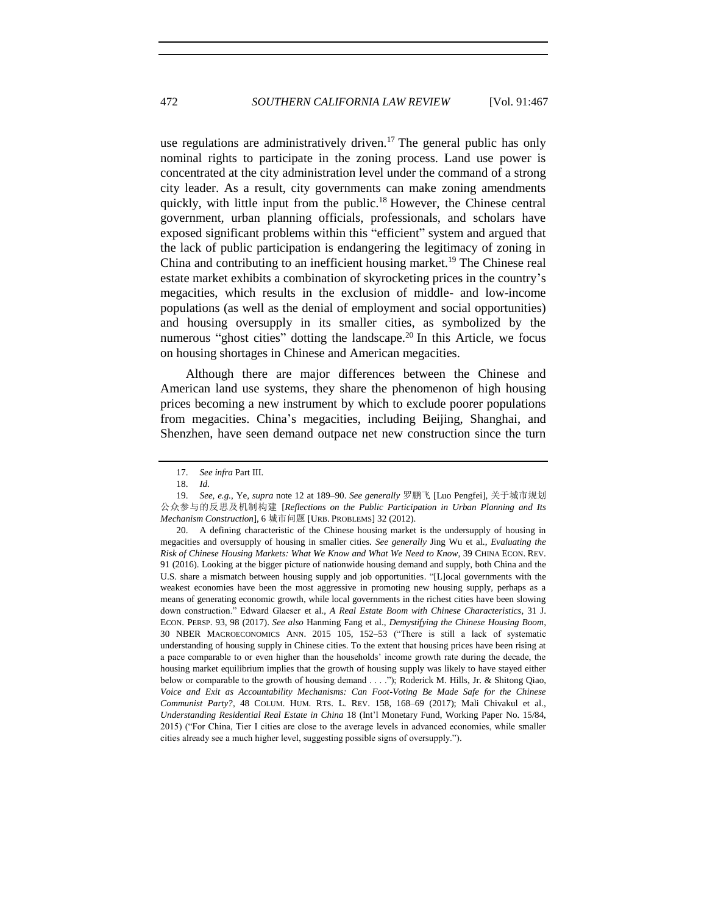use regulations are administratively driven.<sup>17</sup> The general public has only nominal rights to participate in the zoning process. Land use power is concentrated at the city administration level under the command of a strong city leader. As a result, city governments can make zoning amendments quickly, with little input from the public.<sup>18</sup> However, the Chinese central government, urban planning officials, professionals, and scholars have exposed significant problems within this "efficient" system and argued that the lack of public participation is endangering the legitimacy of zoning in China and contributing to an inefficient housing market.<sup>19</sup> The Chinese real estate market exhibits a combination of skyrocketing prices in the country's megacities, which results in the exclusion of middle- and low-income populations (as well as the denial of employment and social opportunities) and housing oversupply in its smaller cities, as symbolized by the numerous "ghost cities" dotting the landscape.<sup>20</sup> In this Article, we focus on housing shortages in Chinese and American megacities.

<span id="page-5-0"></span>Although there are major differences between the Chinese and American land use systems, they share the phenomenon of high housing prices becoming a new instrument by which to exclude poorer populations from megacities. China's megacities, including Beijing, Shanghai, and Shenzhen, have seen demand outpace net new construction since the turn

<sup>17.</sup> *See infra* Part III.

<sup>18.</sup> *Id.* 

<sup>19.</sup> *See, e.g.*, Ye, *supra* note [12](#page-3-1) at 189–90. *See generally* 罗鹏飞 [Luo Pengfei], 关于城市规划 公众参与的反思及机制构建 [*Reflections on the Public Participation in Urban Planning and Its Mechanism Construction*], 6 城市问题 [URB. PROBLEMS] 32 (2012).

<sup>20.</sup> A defining characteristic of the Chinese housing market is the undersupply of housing in megacities and oversupply of housing in smaller cities. *See generally* Jing Wu et al., *Evaluating the Risk of Chinese Housing Markets: What We Know and What We Need to Know*, 39 CHINA ECON. REV. 91 (2016). Looking at the bigger picture of nationwide housing demand and supply, both China and the U.S. share a mismatch between housing supply and job opportunities. "[L]ocal governments with the weakest economies have been the most aggressive in promoting new housing supply, perhaps as a means of generating economic growth, while local governments in the richest cities have been slowing down construction." Edward Glaeser et al., *A Real Estate Boom with Chinese Characteristics*, 31 J. ECON. PERSP. 93, 98 (2017). *See also* Hanming Fang et al., *Demystifying the Chinese Housing Boom*, 30 NBER MACROECONOMICS ANN. 2015 105, 152–53 ("There is still a lack of systematic understanding of housing supply in Chinese cities. To the extent that housing prices have been rising at a pace comparable to or even higher than the households' income growth rate during the decade, the housing market equilibrium implies that the growth of housing supply was likely to have stayed either below or comparable to the growth of housing demand . . . ."); Roderick M. Hills, Jr. & Shitong Qiao, *Voice and Exit as Accountability Mechanisms: Can Foot-Voting Be Made Safe for the Chinese Communist Party?*, 48 COLUM. HUM. RTS. L. REV. 158, 168–69 (2017); Mali Chivakul et al., *Understanding Residential Real Estate in China* 18 (Int'l Monetary Fund, Working Paper No. 15/84, 2015) ("For China, Tier I cities are close to the average levels in advanced economies, while smaller cities already see a much higher level, suggesting possible signs of oversupply.").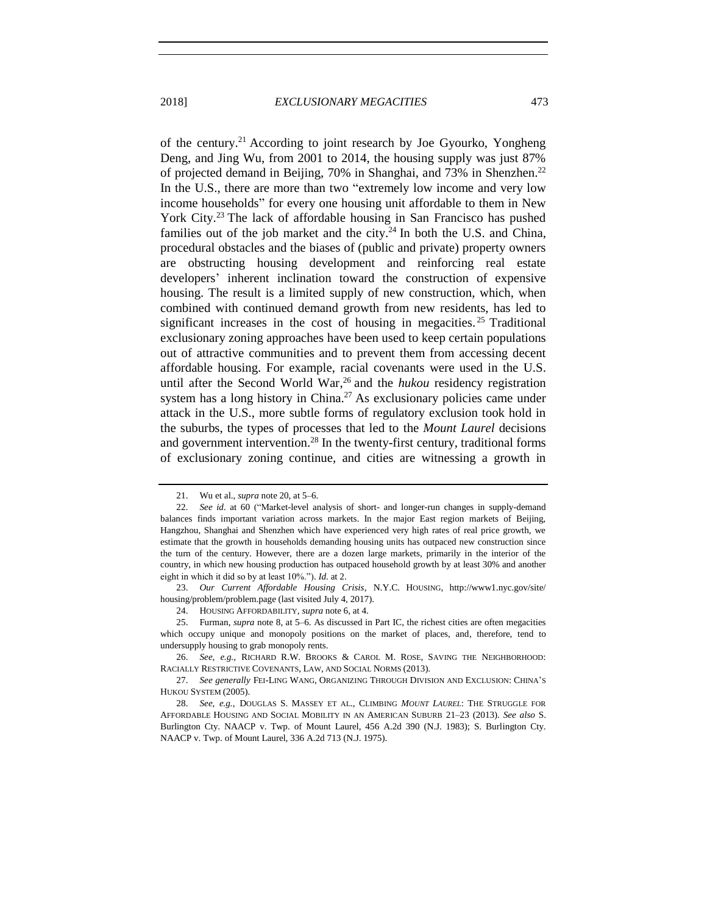2018] *EXCLUSIONARY MEGACITIES* 473

of the century.<sup>21</sup> According to joint research by Joe Gyourko, Yongheng Deng, and Jing Wu, from 2001 to 2014, the housing supply was just 87% of projected demand in Beijing, 70% in Shanghai, and 73% in Shenzhen.<sup>22</sup> In the U.S., there are more than two "extremely low income and very low income households" for every one housing unit affordable to them in New York City.<sup>23</sup> The lack of affordable housing in San Francisco has pushed families out of the job market and the city.<sup>24</sup> In both the U.S. and China, procedural obstacles and the biases of (public and private) property owners are obstructing housing development and reinforcing real estate developers' inherent inclination toward the construction of expensive housing. The result is a limited supply of new construction, which, when combined with continued demand growth from new residents, has led to significant increases in the cost of housing in megacities.<sup>25</sup> Traditional exclusionary zoning approaches have been used to keep certain populations out of attractive communities and to prevent them from accessing decent affordable housing. For example, racial covenants were used in the U.S. until after the Second World War, <sup>26</sup> and the *hukou* residency registration system has a long history in China.<sup>27</sup> As exclusionary policies came under attack in the U.S., more subtle forms of regulatory exclusion took hold in the suburbs, the types of processes that led to the *Mount Laurel* decisions and government intervention.<sup>28</sup> In the twenty-first century, traditional forms of exclusionary zoning continue, and cities are witnessing a growth in

<span id="page-6-0"></span><sup>21.</sup> Wu et al., *supra* not[e 20,](#page-5-0) at 5–6.

<sup>22.</sup> *See id*. at 60 ("Market-level analysis of short- and longer-run changes in supply-demand balances finds important variation across markets. In the major East region markets of Beijing, Hangzhou, Shanghai and Shenzhen which have experienced very high rates of real price growth, we estimate that the growth in households demanding housing units has outpaced new construction since the turn of the century. However, there are a dozen large markets, primarily in the interior of the country, in which new housing production has outpaced household growth by at least 30% and another eight in which it did so by at least 10%."). *Id.* at 2.

<sup>23.</sup> *Our Current Affordable Housing Crisis*, N.Y.C. HOUSING, http://www1.nyc.gov/site/ housing/problem/problem.page (last visited July 4, 2017).

<sup>24.</sup> HOUSING AFFORDABILITY, *supra* not[e 6,](#page-2-1) at 4.

<sup>25.</sup> Furman, *supra* note [8,](#page-3-0) at 5–6. As discussed in Part IC, the richest cities are often megacities which occupy unique and monopoly positions on the market of places, and, therefore, tend to undersupply housing to grab monopoly rents.

<sup>26.</sup> *See, e.g.*, RICHARD R.W. BROOKS & CAROL M. ROSE, SAVING THE NEIGHBORHOOD: RACIALLY RESTRICTIVE COVENANTS, LAW, AND SOCIAL NORMS (2013).

<sup>27.</sup> *See generally* FEI-LING WANG, ORGANIZING THROUGH DIVISION AND EXCLUSION: CHINA'S HUKOU SYSTEM (2005).

<sup>28.</sup> *See, e.g.*, DOUGLAS S. MASSEY ET AL., CLIMBING *MOUNT LAUREL*: THE STRUGGLE FOR AFFORDABLE HOUSING AND SOCIAL MOBILITY IN AN AMERICAN SUBURB 21–23 (2013). *See also* S. Burlington Cty. NAACP v. Twp. of Mount Laurel, 456 A.2d 390 (N.J. 1983); S. Burlington Cty. NAACP v. Twp. of Mount Laurel, 336 A.2d 713 (N.J. 1975).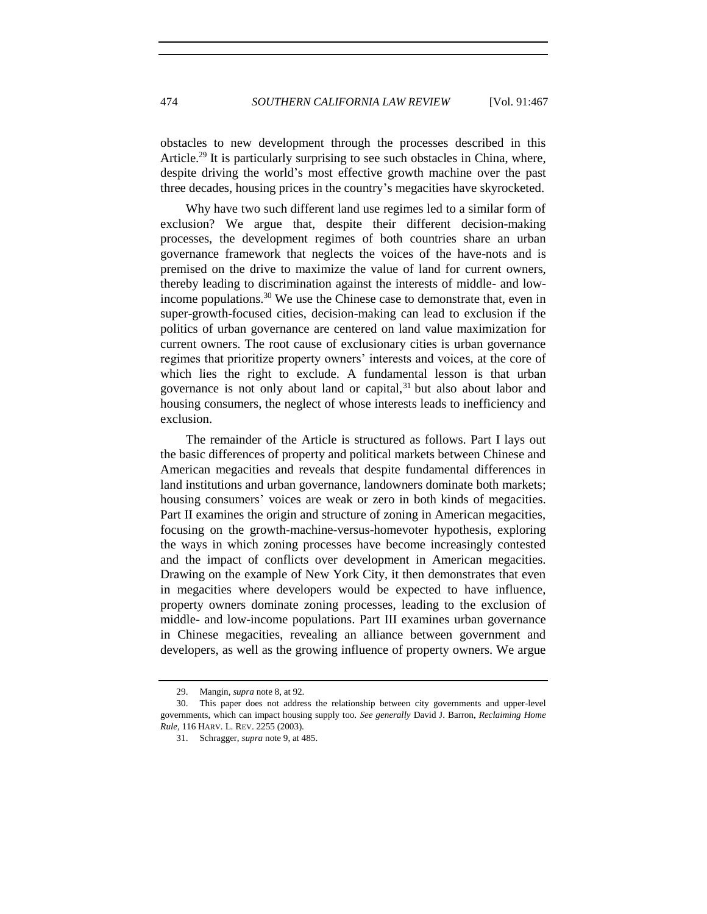obstacles to new development through the processes described in this Article.<sup>29</sup> It is particularly surprising to see such obstacles in China, where, despite driving the world's most effective growth machine over the past three decades, housing prices in the country's megacities have skyrocketed.

Why have two such different land use regimes led to a similar form of exclusion? We argue that, despite their different decision-making processes, the development regimes of both countries share an urban governance framework that neglects the voices of the have-nots and is premised on the drive to maximize the value of land for current owners, thereby leading to discrimination against the interests of middle- and lowincome populations.<sup>30</sup> We use the Chinese case to demonstrate that, even in super-growth-focused cities, decision-making can lead to exclusion if the politics of urban governance are centered on land value maximization for current owners. The root cause of exclusionary cities is urban governance regimes that prioritize property owners' interests and voices, at the core of which lies the right to exclude. A fundamental lesson is that urban governance is not only about land or capital,<sup>31</sup> but also about labor and housing consumers, the neglect of whose interests leads to inefficiency and exclusion.

The remainder of the Article is structured as follows. Part I lays out the basic differences of property and political markets between Chinese and American megacities and reveals that despite fundamental differences in land institutions and urban governance, landowners dominate both markets; housing consumers' voices are weak or zero in both kinds of megacities. Part II examines the origin and structure of zoning in American megacities, focusing on the growth-machine-versus-homevoter hypothesis, exploring the ways in which zoning processes have become increasingly contested and the impact of conflicts over development in American megacities. Drawing on the example of New York City, it then demonstrates that even in megacities where developers would be expected to have influence, property owners dominate zoning processes, leading to the exclusion of middle- and low-income populations. Part III examines urban governance in Chinese megacities, revealing an alliance between government and developers, as well as the growing influence of property owners. We argue

<sup>29.</sup> Mangin, *supra* not[e 8,](#page-3-0) at 92.

<sup>30.</sup> This paper does not address the relationship between city governments and upper-level governments, which can impact housing supply too. *See generally* David J. Barron, *Reclaiming Home Rule*, 116 HARV. L. REV. 2255 (2003).

<sup>31.</sup> Schragger, *supra* not[e 9,](#page-3-2) at 485.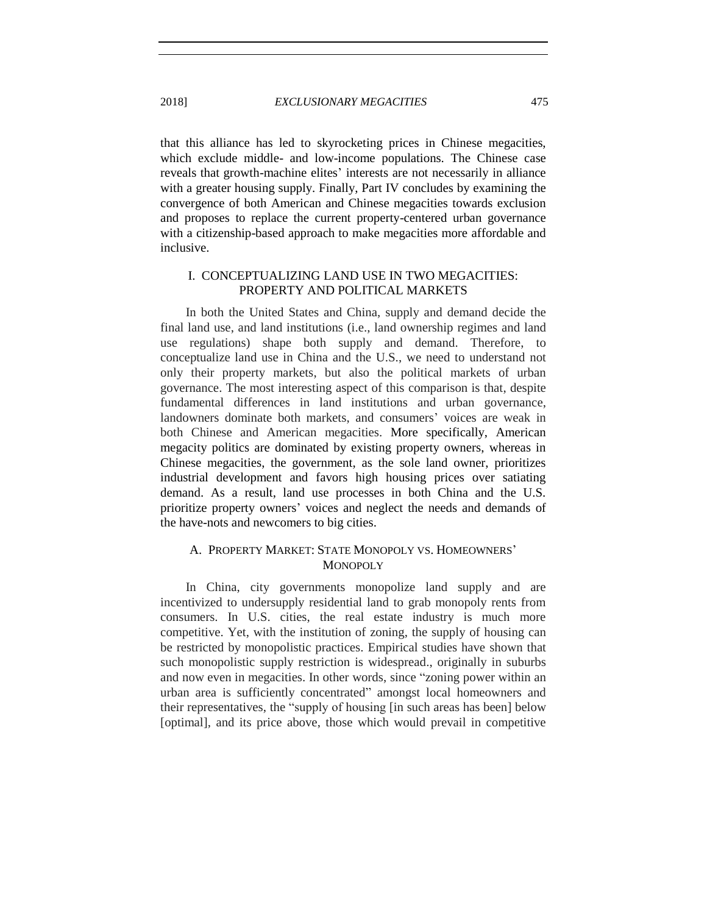2018] *EXCLUSIONARY MEGACITIES* 475

that this alliance has led to skyrocketing prices in Chinese megacities, which exclude middle- and low-income populations. The Chinese case reveals that growth-machine elites' interests are not necessarily in alliance with a greater housing supply. Finally, Part IV concludes by examining the convergence of both American and Chinese megacities towards exclusion and proposes to replace the current property-centered urban governance with a citizenship-based approach to make megacities more affordable and inclusive.

# <span id="page-8-0"></span>I. CONCEPTUALIZING LAND USE IN TWO MEGACITIES: PROPERTY AND POLITICAL MARKETS

In both the United States and China, supply and demand decide the final land use, and land institutions (i.e., land ownership regimes and land use regulations) shape both supply and demand. Therefore, to conceptualize land use in China and the U.S., we need to understand not only their property markets, but also the political markets of urban governance. The most interesting aspect of this comparison is that, despite fundamental differences in land institutions and urban governance, landowners dominate both markets, and consumers' voices are weak in both Chinese and American megacities. More specifically, American megacity politics are dominated by existing property owners, whereas in Chinese megacities, the government, as the sole land owner, prioritizes industrial development and favors high housing prices over satiating demand. As a result, land use processes in both China and the U.S. prioritize property owners' voices and neglect the needs and demands of the have-nots and newcomers to big cities.

# <span id="page-8-1"></span>A. PROPERTY MARKET: STATE MONOPOLY VS. HOMEOWNERS' **MONOPOLY**

In China, city governments monopolize land supply and are incentivized to undersupply residential land to grab monopoly rents from consumers. In U.S. cities, the real estate industry is much more competitive. Yet, with the institution of zoning, the supply of housing can be restricted by monopolistic practices. Empirical studies have shown that such monopolistic supply restriction is widespread., originally in suburbs and now even in megacities. In other words, since "zoning power within an urban area is sufficiently concentrated" amongst local homeowners and their representatives, the "supply of housing [in such areas has been] below [optimal], and its price above, those which would prevail in competitive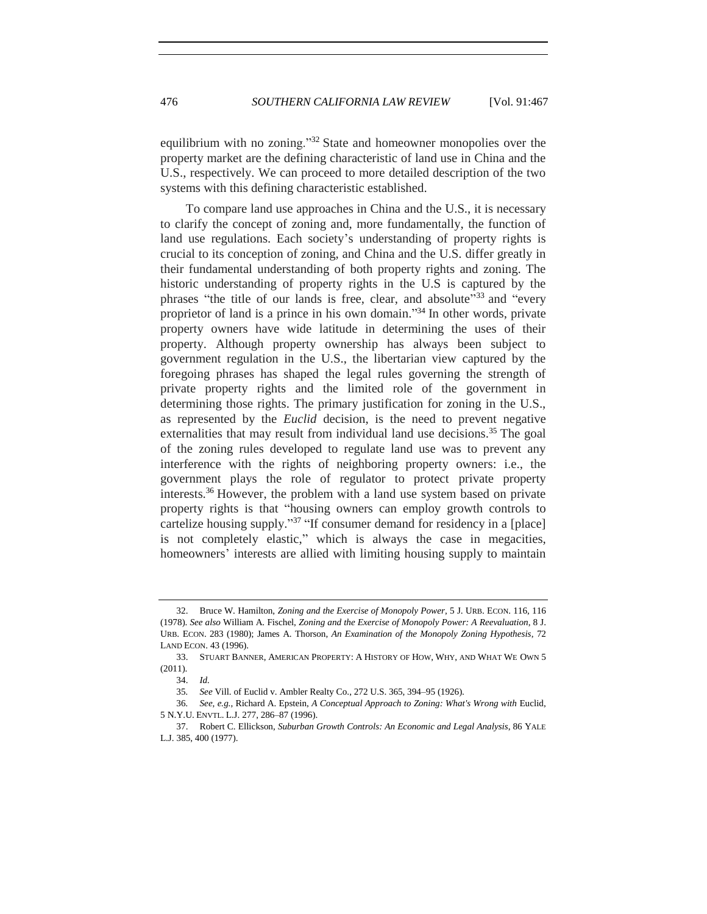<span id="page-9-0"></span>equilibrium with no zoning."<sup>32</sup> State and homeowner monopolies over the property market are the defining characteristic of land use in China and the U.S., respectively. We can proceed to more detailed description of the two systems with this defining characteristic established.

To compare land use approaches in China and the U.S., it is necessary to clarify the concept of zoning and, more fundamentally, the function of land use regulations. Each society's understanding of property rights is crucial to its conception of zoning, and China and the U.S. differ greatly in their fundamental understanding of both property rights and zoning. The historic understanding of property rights in the U.S is captured by the phrases "the title of our lands is free, clear, and absolute"<sup>33</sup> and "every proprietor of land is a prince in his own domain."<sup>34</sup> In other words, private property owners have wide latitude in determining the uses of their property. Although property ownership has always been subject to government regulation in the U.S., the libertarian view captured by the foregoing phrases has shaped the legal rules governing the strength of private property rights and the limited role of the government in determining those rights. The primary justification for zoning in the U.S., as represented by the *Euclid* decision, is the need to prevent negative externalities that may result from individual land use decisions.<sup>35</sup> The goal of the zoning rules developed to regulate land use was to prevent any interference with the rights of neighboring property owners: i.e., the government plays the role of regulator to protect private property interests.<sup>36</sup> However, the problem with a land use system based on private property rights is that "housing owners can employ growth controls to cartelize housing supply."<sup>37</sup> "If consumer demand for residency in a [place] is not completely elastic," which is always the case in megacities, homeowners' interests are allied with limiting housing supply to maintain

<span id="page-9-1"></span><sup>32.</sup> Bruce W. Hamilton, *Zoning and the Exercise of Monopoly Power*, 5 J. URB. ECON. 116, 116 (1978). *See also* William A. Fischel, *Zoning and the Exercise of Monopoly Power: A Reevaluation*, 8 J. URB. ECON. 283 (1980); James A. Thorson, *An Examination of the Monopoly Zoning Hypothesis*, 72 LAND ECON. 43 (1996).

<sup>33.</sup> STUART BANNER, AMERICAN PROPERTY: A HISTORY OF HOW, WHY, AND WHAT WE OWN 5 (2011).

<sup>34.</sup> *Id.*

<sup>35</sup>*. See* Vill. of Euclid v. Ambler Realty Co., 272 U.S. 365, 394–95 (1926).

<sup>36</sup>*. See, e.g.*, Richard A. Epstein, *A Conceptual Approach to Zoning: What's Wrong with* Euclid, 5 N.Y.U. ENVTL. L.J. 277, 286–87 (1996).

<sup>37.</sup> Robert C. Ellickson, *Suburban Growth Controls: An Economic and Legal Analysis*, 86 YALE L.J. 385, 400 (1977).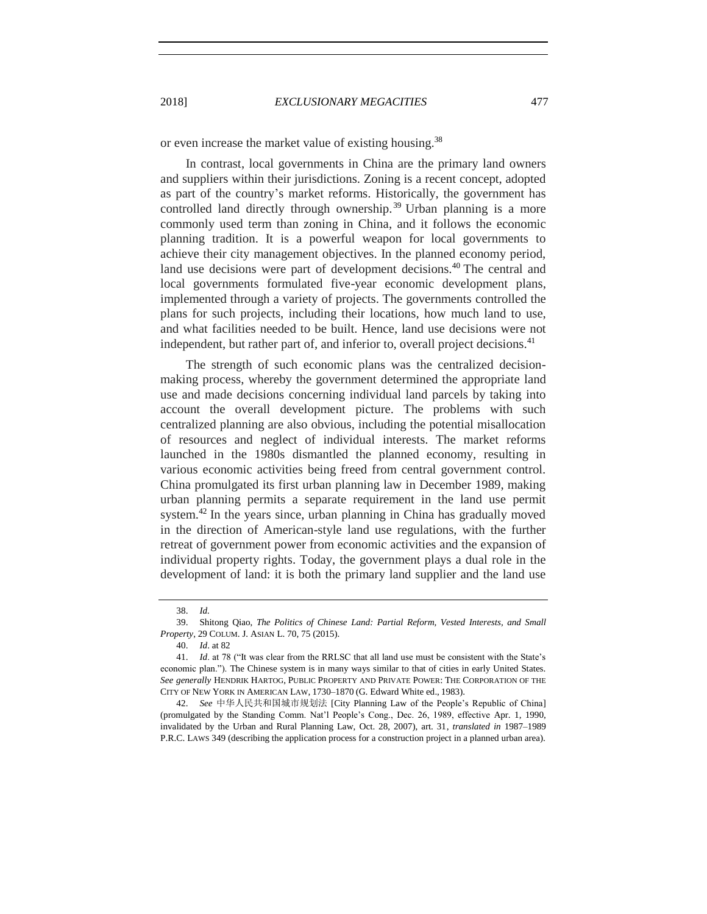or even increase the market value of existing housing.<sup>38</sup>

<span id="page-10-0"></span>In contrast, local governments in China are the primary land owners and suppliers within their jurisdictions. Zoning is a recent concept, adopted as part of the country's market reforms. Historically, the government has controlled land directly through ownership.<sup>39</sup> Urban planning is a more commonly used term than zoning in China, and it follows the economic planning tradition. It is a powerful weapon for local governments to achieve their city management objectives. In the planned economy period, land use decisions were part of development decisions.<sup>40</sup> The central and local governments formulated five-year economic development plans, implemented through a variety of projects. The governments controlled the plans for such projects, including their locations, how much land to use, and what facilities needed to be built. Hence, land use decisions were not independent, but rather part of, and inferior to, overall project decisions.<sup>41</sup>

The strength of such economic plans was the centralized decisionmaking process, whereby the government determined the appropriate land use and made decisions concerning individual land parcels by taking into account the overall development picture. The problems with such centralized planning are also obvious, including the potential misallocation of resources and neglect of individual interests. The market reforms launched in the 1980s dismantled the planned economy, resulting in various economic activities being freed from central government control. China promulgated its first urban planning law in December 1989, making urban planning permits a separate requirement in the land use permit system.<sup>42</sup> In the years since, urban planning in China has gradually moved in the direction of American-style land use regulations, with the further retreat of government power from economic activities and the expansion of individual property rights. Today, the government plays a dual role in the development of land: it is both the primary land supplier and the land use

<sup>38.</sup> *Id.*

<sup>39.</sup> Shitong Qiao, *The Politics of Chinese Land: Partial Reform, Vested Interests, and Small Property*, 29 COLUM. J. ASIAN L. 70, 75 (2015).

<sup>40.</sup> *Id*. at 82

<sup>41.</sup> *Id*. at 78 ("It was clear from the RRLSC that all land use must be consistent with the State's economic plan."). The Chinese system is in many ways similar to that of cities in early United States. *See generally* HENDRIK HARTOG, PUBLIC PROPERTY AND PRIVATE POWER: THE CORPORATION OF THE CITY OF NEW YORK IN AMERICAN LAW, 1730–1870 (G. Edward White ed., 1983).

<sup>42.</sup> *See* 中华人民共和国城市规划法 [City Planning Law of the People's Republic of China] (promulgated by the Standing Comm. Nat'l People's Cong., Dec. 26, 1989, effective Apr. 1, 1990, invalidated by the Urban and Rural Planning Law, Oct. 28, 2007), art. 31, *translated in* 1987–1989 P.R.C. LAWS 349 (describing the application process for a construction project in a planned urban area).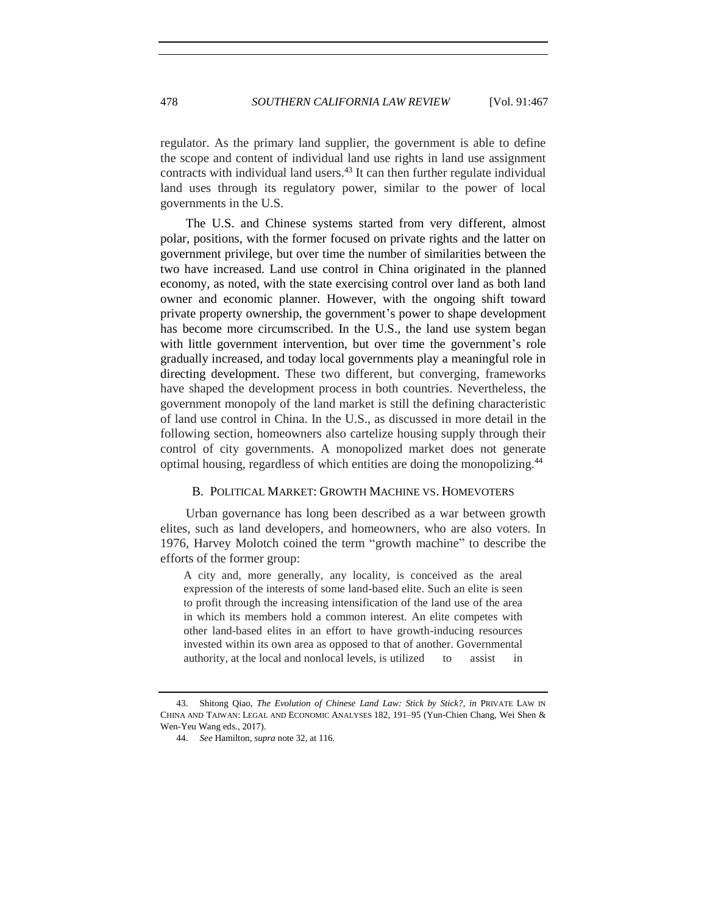regulator. As the primary land supplier, the government is able to define the scope and content of individual land use rights in land use assignment contracts with individual land users.<sup>43</sup> It can then further regulate individual land uses through its regulatory power, similar to the power of local governments in the U.S.

The U.S. and Chinese systems started from very different, almost polar, positions, with the former focused on private rights and the latter on government privilege, but over time the number of similarities between the two have increased. Land use control in China originated in the planned economy, as noted, with the state exercising control over land as both land owner and economic planner. However, with the ongoing shift toward private property ownership, the government's power to shape development has become more circumscribed. In the U.S., the land use system began with little government intervention, but over time the government's role gradually increased, and today local governments play a meaningful role in directing development. These two different, but converging, frameworks have shaped the development process in both countries. Nevertheless, the government monopoly of the land market is still the defining characteristic of land use control in China. In the U.S., as discussed in more detail in the following section, homeowners also cartelize housing supply through their control of city governments. A monopolized market does not generate optimal housing, regardless of which entities are doing the monopolizing.<sup>44</sup>

## B. POLITICAL MARKET: GROWTH MACHINE VS. HOMEVOTERS

<span id="page-11-0"></span>Urban governance has long been described as a war between growth elites, such as land developers, and homeowners, who are also voters. In 1976, Harvey Molotch coined the term "growth machine" to describe the efforts of the former group:

A city and, more generally, any locality, is conceived as the areal expression of the interests of some land-based elite. Such an elite is seen to profit through the increasing intensification of the land use of the area in which its members hold a common interest. An elite competes with other land-based elites in an effort to have growth-inducing resources invested within its own area as opposed to that of another. Governmental authority, at the local and nonlocal levels, is utilized to assist in

<sup>43.</sup> Shitong Qiao, *The Evolution of Chinese Land Law: Stick by Stick?*, *in* PRIVATE LAW IN CHINA AND TAIWAN: LEGAL AND ECONOMIC ANALYSES 182, 191–95 (Yun-Chien Chang, Wei Shen & Wen-Yeu Wang eds., 2017).

<sup>44.</sup> *See* Hamilton, *supra* not[e 32,](#page-9-0) at 116.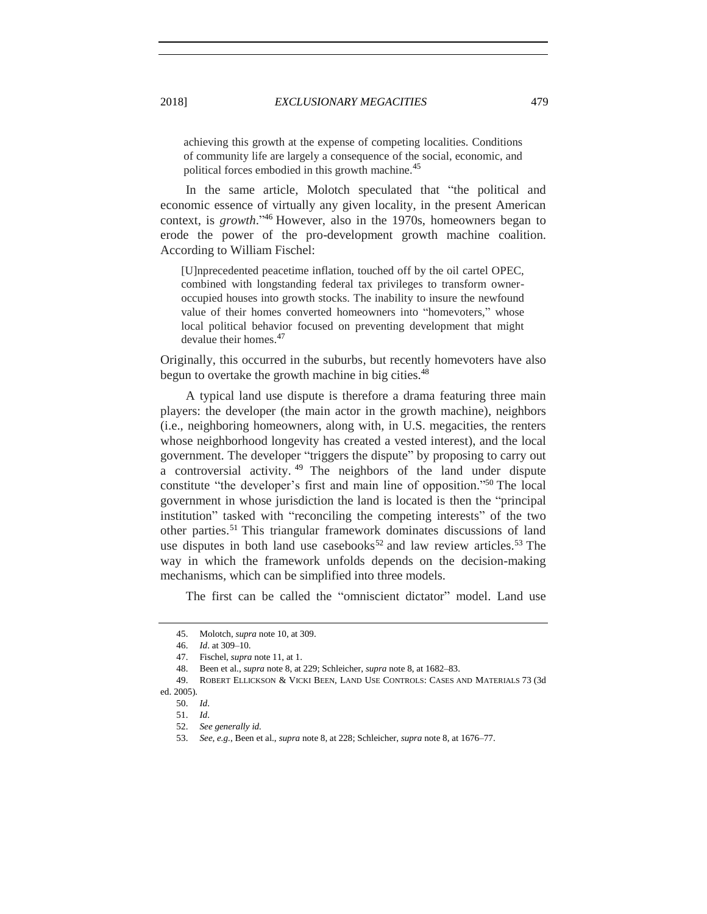achieving this growth at the expense of competing localities. Conditions of community life are largely a consequence of the social, economic, and political forces embodied in this growth machine.<sup>45</sup>

In the same article, Molotch speculated that "the political and economic essence of virtually any given locality, in the present American context, is *growth*." <sup>46</sup> However, also in the 1970s, homeowners began to erode the power of the pro-development growth machine coalition. According to William Fischel:

<span id="page-12-0"></span>[U]nprecedented peacetime inflation, touched off by the oil cartel OPEC, combined with longstanding federal tax privileges to transform owneroccupied houses into growth stocks. The inability to insure the newfound value of their homes converted homeowners into "homevoters," whose local political behavior focused on preventing development that might devalue their homes.<sup>47</sup>

Originally, this occurred in the suburbs, but recently homevoters have also begun to overtake the growth machine in big cities.<sup>48</sup>

<span id="page-12-1"></span>A typical land use dispute is therefore a drama featuring three main players: the developer (the main actor in the growth machine), neighbors (i.e., neighboring homeowners, along with, in U.S. megacities, the renters whose neighborhood longevity has created a vested interest), and the local government. The developer "triggers the dispute" by proposing to carry out a controversial activity.<sup>49</sup> The neighbors of the land under dispute constitute "the developer's first and main line of opposition." <sup>50</sup> The local government in whose jurisdiction the land is located is then the "principal institution" tasked with "reconciling the competing interests" of the two other parties.<sup>51</sup> This triangular framework dominates discussions of land use disputes in both land use casebooks<sup>52</sup> and law review articles.<sup>53</sup> The way in which the framework unfolds depends on the decision-making mechanisms, which can be simplified into three models.

The first can be called the "omniscient dictator" model. Land use

<sup>45.</sup> Molotch, *supra* not[e 10,](#page-3-3) at 309.

<sup>46.</sup> *Id*. at 309–10.

<sup>47.</sup> Fischel, *supra* not[e 11,](#page-3-4) at 1.

<sup>48.</sup> Been et al., *supra* not[e 8,](#page-3-0) at 229; Schleicher, *supra* not[e 8,](#page-3-0) at 1682–83.

<sup>49.</sup> ROBERT ELLICKSON & VICKI BEEN, LAND USE CONTROLS: CASES AND MATERIALS 73 (3d ed. 2005).

<sup>50.</sup> *Id*.

<sup>51.</sup> *Id*.

<sup>52.</sup> *See generally id.*

<sup>53.</sup> *See, e.g.*, Been et al., *supra* not[e 8,](#page-3-0) at 228; Schleicher, *supra* not[e 8,](#page-3-0) at 1676–77.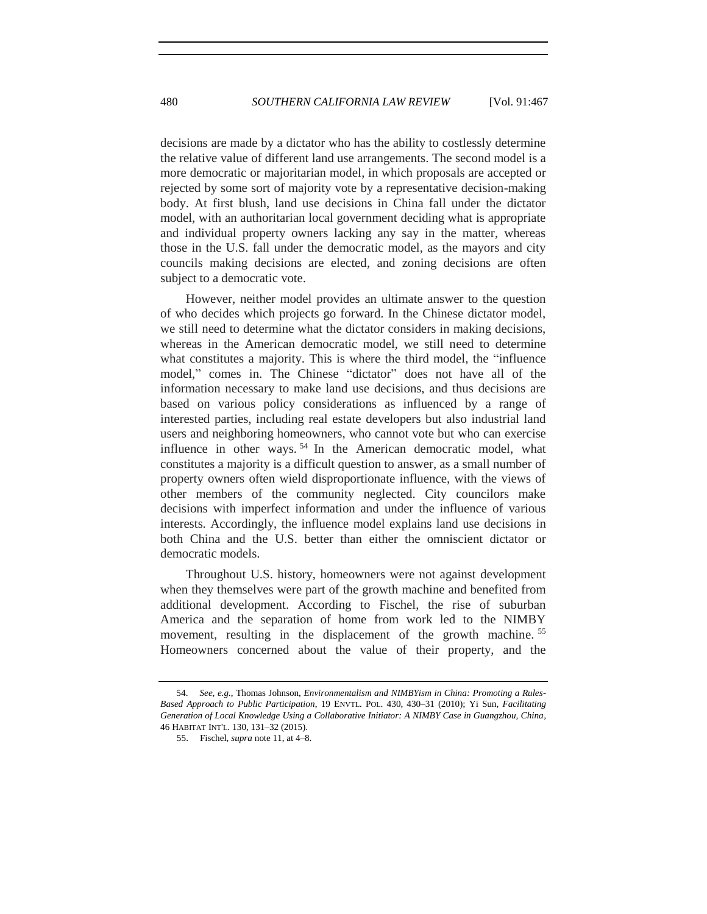decisions are made by a dictator who has the ability to costlessly determine the relative value of different land use arrangements. The second model is a more democratic or majoritarian model, in which proposals are accepted or rejected by some sort of majority vote by a representative decision-making body. At first blush, land use decisions in China fall under the dictator model, with an authoritarian local government deciding what is appropriate and individual property owners lacking any say in the matter, whereas those in the U.S. fall under the democratic model, as the mayors and city councils making decisions are elected, and zoning decisions are often subject to a democratic vote.

However, neither model provides an ultimate answer to the question of who decides which projects go forward. In the Chinese dictator model, we still need to determine what the dictator considers in making decisions, whereas in the American democratic model, we still need to determine what constitutes a majority. This is where the third model, the "influence model," comes in. The Chinese "dictator" does not have all of the information necessary to make land use decisions, and thus decisions are based on various policy considerations as influenced by a range of interested parties, including real estate developers but also industrial land users and neighboring homeowners, who cannot vote but who can exercise influence in other ways. <sup>54</sup> In the American democratic model, what constitutes a majority is a difficult question to answer, as a small number of property owners often wield disproportionate influence, with the views of other members of the community neglected. City councilors make decisions with imperfect information and under the influence of various interests. Accordingly, the influence model explains land use decisions in both China and the U.S. better than either the omniscient dictator or democratic models.

<span id="page-13-0"></span>Throughout U.S. history, homeowners were not against development when they themselves were part of the growth machine and benefited from additional development. According to Fischel, the rise of suburban America and the separation of home from work led to the NIMBY movement, resulting in the displacement of the growth machine.<sup>55</sup> Homeowners concerned about the value of their property, and the

<sup>54.</sup> *See*, *e.g.*, Thomas Johnson, *Environmentalism and NIMBYism in China: Promoting a Rules-Based Approach to Public Participation*, 19 ENVTL. POL. 430, 430–31 (2010); Yi Sun, *Facilitating Generation of Local Knowledge Using a Collaborative Initiator: A NIMBY Case in Guangzhou, China*, 46 HABITAT INT'L. 130, 131–32 (2015).

 <sup>55.</sup> Fischel, *supra* not[e 11,](#page-3-4) at 4–8.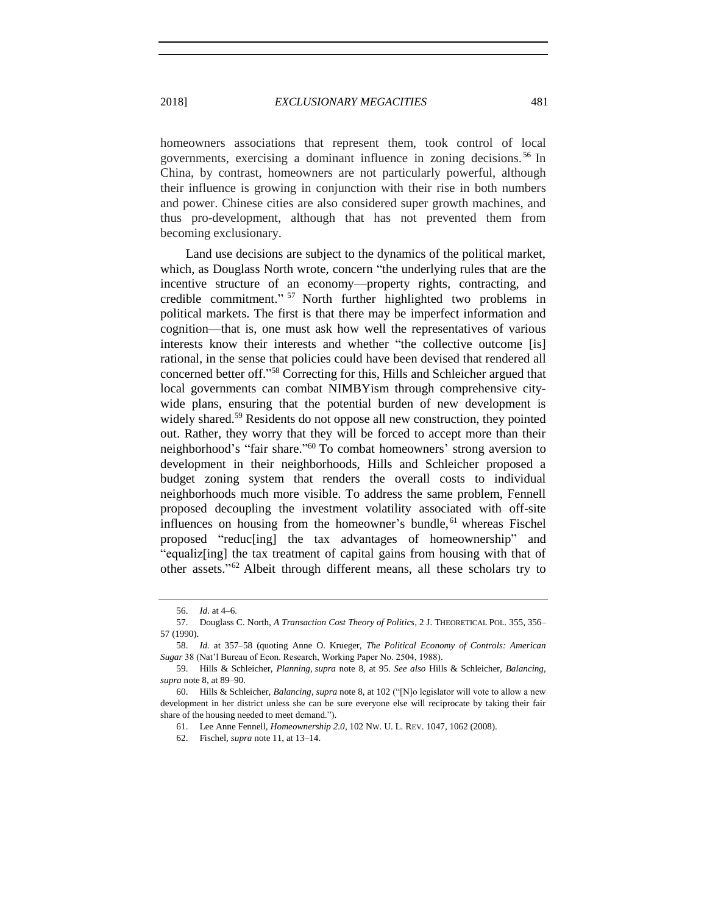homeowners associations that represent them, took control of local governments, exercising a dominant influence in zoning decisions. <sup>56</sup> In China, by contrast, homeowners are not particularly powerful, although their influence is growing in conjunction with their rise in both numbers and power. Chinese cities are also considered super growth machines, and thus pro-development, although that has not prevented them from becoming exclusionary.

<span id="page-14-0"></span>Land use decisions are subject to the dynamics of the political market, which, as Douglass North wrote, concern "the underlying rules that are the incentive structure of an economy—property rights, contracting, and credible commitment."<sup>57</sup> North further highlighted two problems in political markets. The first is that there may be imperfect information and cognition—that is, one must ask how well the representatives of various interests know their interests and whether "the collective outcome [is] rational, in the sense that policies could have been devised that rendered all concerned better off." <sup>58</sup> Correcting for this, Hills and Schleicher argued that local governments can combat NIMBYism through comprehensive citywide plans, ensuring that the potential burden of new development is widely shared.<sup>59</sup> Residents do not oppose all new construction, they pointed out. Rather, they worry that they will be forced to accept more than their neighborhood's "fair share." <sup>60</sup> To combat homeowners' strong aversion to development in their neighborhoods, Hills and Schleicher proposed a budget zoning system that renders the overall costs to individual neighborhoods much more visible. To address the same problem, Fennell proposed decoupling the investment volatility associated with off-site influences on housing from the homeowner's bundle,<sup>61</sup> whereas Fischel proposed "reduc[ing] the tax advantages of homeownership" and "equaliz[ing] the tax treatment of capital gains from housing with that of other assets." <sup>62</sup> Albeit through different means, all these scholars try to

<sup>56.</sup> *Id*. at 4–6.

<sup>57.</sup> Douglass C. North, *A Transaction Cost Theory of Politics*, 2 J. THEORETICAL POL. 355, 356– 57 (1990).

<sup>58.</sup> *Id.* at 357–58 (quoting Anne O. Krueger, *The Political Economy of Controls: American Sugar* 38 (Nat'l Bureau of Econ. Research, Working Paper No. 2504, 1988).

<sup>59.</sup> Hills & Schleicher, *Planning*, *supra* note [8,](#page-3-0) at 95. *See also* Hills & Schleicher, *Balancing*, *supra* not[e 8,](#page-3-0) at 89–90.

<sup>60.</sup> Hills & Schleicher, *Balancing*, *supra* not[e 8,](#page-3-0) at 102 ("[N]o legislator will vote to allow a new development in her district unless she can be sure everyone else will reciprocate by taking their fair share of the housing needed to meet demand.").

<sup>61.</sup> Lee Anne Fennell, *Homeownership 2.0*, 102 NW. U. L. REV. 1047, 1062 (2008).

<sup>62.</sup> Fischel, *supra* not[e 11,](#page-3-4) at 13–14.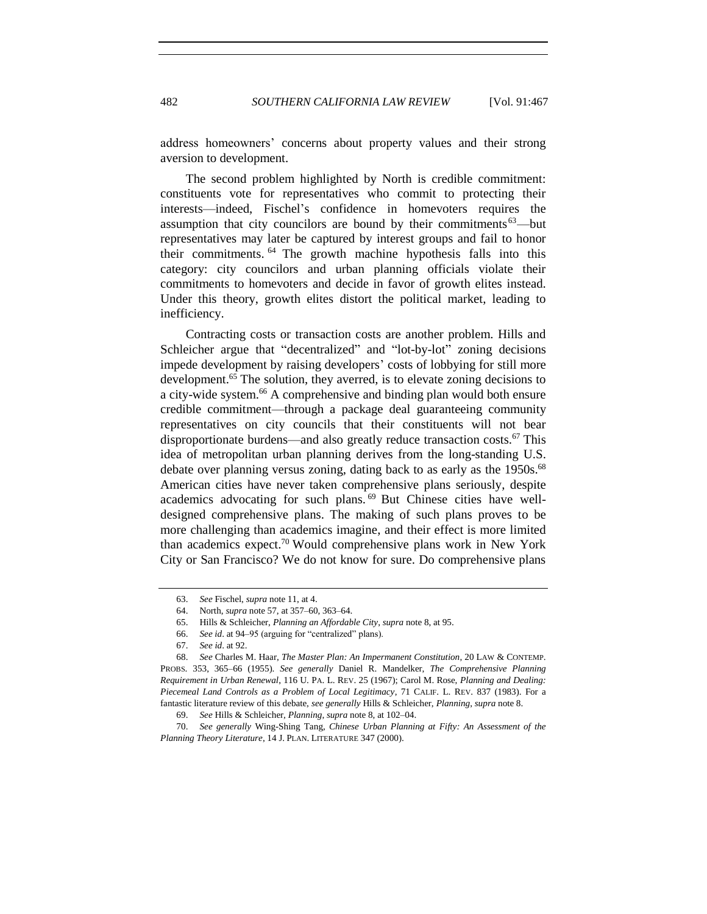address homeowners' concerns about property values and their strong aversion to development.

The second problem highlighted by North is credible commitment: constituents vote for representatives who commit to protecting their interests—indeed, Fischel's confidence in homevoters requires the assumption that city councilors are bound by their commitments $63$ —but representatives may later be captured by interest groups and fail to honor their commitments. <sup>64</sup> The growth machine hypothesis falls into this category: city councilors and urban planning officials violate their commitments to homevoters and decide in favor of growth elites instead. Under this theory, growth elites distort the political market, leading to inefficiency.

Contracting costs or transaction costs are another problem. Hills and Schleicher argue that "decentralized" and "lot-by-lot" zoning decisions impede development by raising developers' costs of lobbying for still more development.<sup>65</sup> The solution, they averred, is to elevate zoning decisions to a city-wide system.<sup>66</sup> A comprehensive and binding plan would both ensure credible commitment—through a package deal guaranteeing community representatives on city councils that their constituents will not bear disproportionate burdens—and also greatly reduce transaction costs.<sup>67</sup> This idea of metropolitan urban planning derives from the long-standing U.S. debate over planning versus zoning, dating back to as early as the 1950s.<sup>68</sup> American cities have never taken comprehensive plans seriously, despite academics advocating for such plans. <sup>69</sup> But Chinese cities have welldesigned comprehensive plans. The making of such plans proves to be more challenging than academics imagine, and their effect is more limited than academics expect.<sup>70</sup> Would comprehensive plans work in New York City or San Francisco? We do not know for sure. Do comprehensive plans

<span id="page-15-0"></span><sup>63.</sup> *See* Fischel, *supra* not[e 11,](#page-3-4) at 4.

<sup>64.</sup> North, *supra* not[e 57,](#page-14-0) at 357–60, 363–64.

<sup>65.</sup> Hills & Schleicher, *Planning an Affordable City*, *supra* not[e 8,](#page-3-0) at 95.

<sup>66.</sup> *See id*. at 94–95 (arguing for "centralized" plans).

<sup>67.</sup> *See id*. at 92.

<sup>68.</sup> *See* Charles M. Haar, *The Master Plan: An Impermanent Constitution*, 20 LAW & CONTEMP. PROBS. 353, 365–66 (1955). *See generally* Daniel R. Mandelker, *The Comprehensive Planning Requirement in Urban Renewal*, 116 U. PA. L. REV. 25 (1967); Carol M. Rose, *Planning and Dealing: Piecemeal Land Controls as a Problem of Local Legitimacy*, 71 CALIF. L. REV. 837 (1983). For a fantastic literature review of this debate, *see generally* Hills & Schleicher, *Planning*, *supra* not[e 8.](#page-3-0)

<sup>69.</sup> *See* Hills & Schleicher, *Planning*, *supra* not[e 8,](#page-3-0) at 102–04.

<sup>70.</sup> *See generally* Wing-Shing Tang, *Chinese Urban Planning at Fifty: An Assessment of the Planning Theory Literature*, 14 J. PLAN. LITERATURE 347 (2000).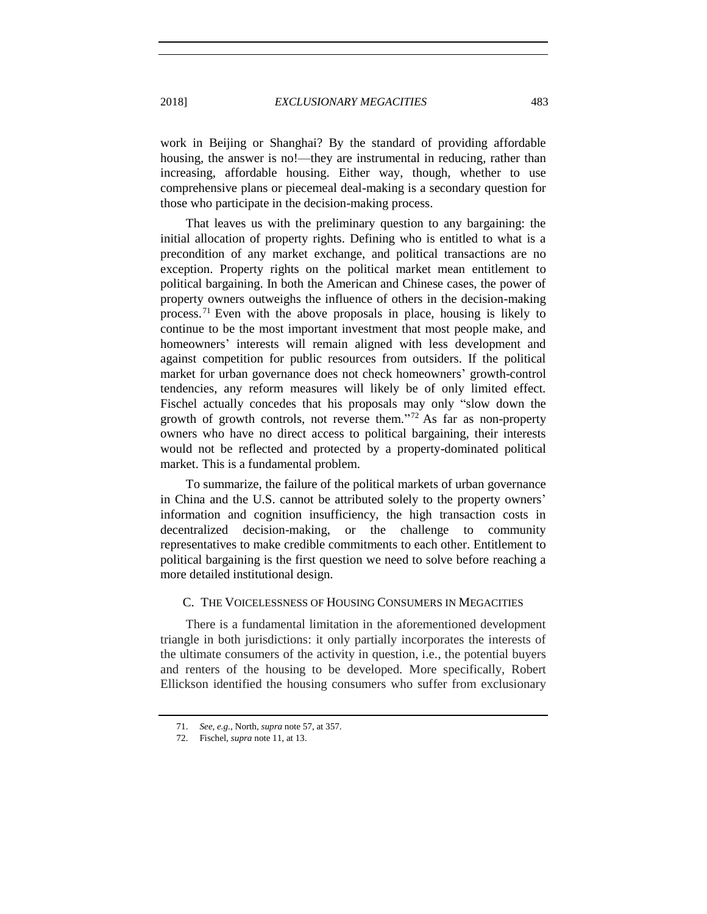2018] *EXCLUSIONARY MEGACITIES* 483

work in Beijing or Shanghai? By the standard of providing affordable housing, the answer is no!—they are instrumental in reducing, rather than increasing, affordable housing. Either way, though, whether to use comprehensive plans or piecemeal deal-making is a secondary question for those who participate in the decision-making process.

That leaves us with the preliminary question to any bargaining: the initial allocation of property rights. Defining who is entitled to what is a precondition of any market exchange, and political transactions are no exception. Property rights on the political market mean entitlement to political bargaining. In both the American and Chinese cases, the power of property owners outweighs the influence of others in the decision-making process.<sup>71</sup> Even with the above proposals in place, housing is likely to continue to be the most important investment that most people make, and homeowners' interests will remain aligned with less development and against competition for public resources from outsiders. If the political market for urban governance does not check homeowners' growth-control tendencies, any reform measures will likely be of only limited effect. Fischel actually concedes that his proposals may only "slow down the growth of growth controls, not reverse them." <sup>72</sup> As far as non-property owners who have no direct access to political bargaining, their interests would not be reflected and protected by a property-dominated political market. This is a fundamental problem.

To summarize, the failure of the political markets of urban governance in China and the U.S. cannot be attributed solely to the property owners' information and cognition insufficiency, the high transaction costs in decentralized decision-making, or the challenge to community representatives to make credible commitments to each other. Entitlement to political bargaining is the first question we need to solve before reaching a more detailed institutional design.

## <span id="page-16-0"></span>C. THE VOICELESSNESS OF HOUSING CONSUMERS IN MEGACITIES

There is a fundamental limitation in the aforementioned development triangle in both jurisdictions: it only partially incorporates the interests of the ultimate consumers of the activity in question, i.e., the potential buyers and renters of the housing to be developed. More specifically, Robert Ellickson identified the housing consumers who suffer from exclusionary

<sup>71.</sup> *See, e.g.*, North, *supra* not[e 57,](#page-14-0) at 357.

<sup>72.</sup> Fischel, *supra* not[e 11,](#page-3-4) at 13.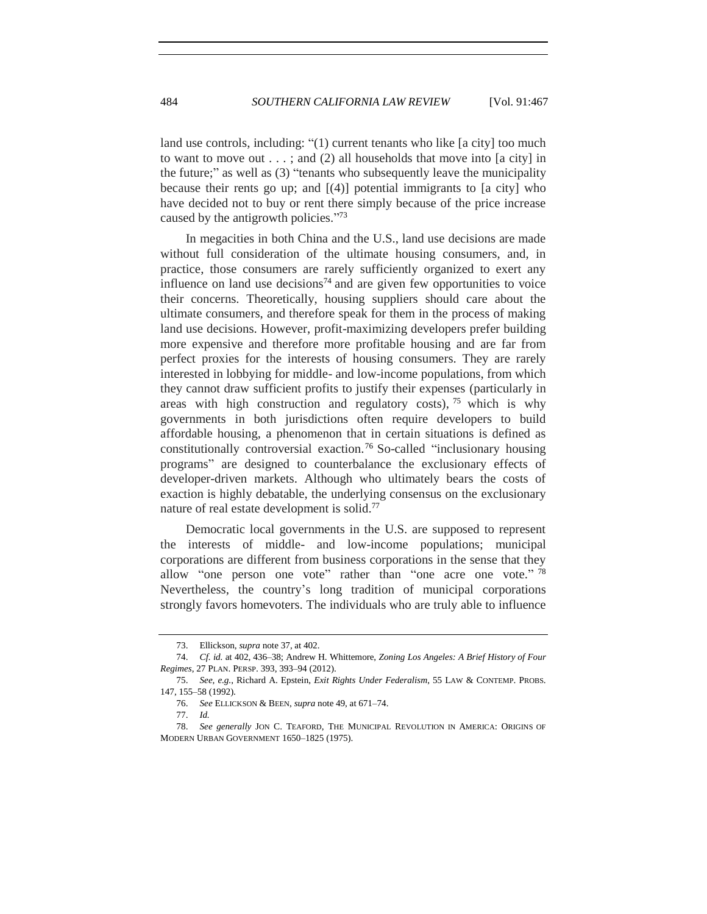land use controls, including: "(1) current tenants who like [a city] too much to want to move out  $\dots$ ; and (2) all households that move into [a city] in the future;" as well as (3) "tenants who subsequently leave the municipality because their rents go up; and  $[(4)]$  potential immigrants to [a city] who have decided not to buy or rent there simply because of the price increase caused by the antigrowth policies."73

In megacities in both China and the U.S., land use decisions are made without full consideration of the ultimate housing consumers, and, in practice, those consumers are rarely sufficiently organized to exert any influence on land use decisions<sup>74</sup> and are given few opportunities to voice their concerns. Theoretically, housing suppliers should care about the ultimate consumers, and therefore speak for them in the process of making land use decisions. However, profit-maximizing developers prefer building more expensive and therefore more profitable housing and are far from perfect proxies for the interests of housing consumers. They are rarely interested in lobbying for middle- and low-income populations, from which they cannot draw sufficient profits to justify their expenses (particularly in areas with high construction and regulatory costs),  $75$  which is why governments in both jurisdictions often require developers to build affordable housing, a phenomenon that in certain situations is defined as constitutionally controversial exaction.<sup>76</sup> So-called "inclusionary housing programs" are designed to counterbalance the exclusionary effects of developer-driven markets. Although who ultimately bears the costs of exaction is highly debatable, the underlying consensus on the exclusionary nature of real estate development is solid.<sup>77</sup>

Democratic local governments in the U.S. are supposed to represent the interests of middle- and low-income populations; municipal corporations are different from business corporations in the sense that they allow "one person one vote" rather than "one acre one vote." 78 Nevertheless, the country's long tradition of municipal corporations strongly favors homevoters. The individuals who are truly able to influence

<sup>73.</sup> Ellickson, *supra* not[e 37,](#page-9-1) at 402.

<sup>74.</sup> *Cf. id.* at 402, 436–38; Andrew H. Whittemore, *Zoning Los Angeles: A Brief History of Four Regimes*, 27 PLAN. PERSP. 393, 393–94 (2012).

<sup>75.</sup> *See, e.g.*, Richard A. Epstein, *Exit Rights Under Federalism*, 55 LAW & CONTEMP. PROBS. 147, 155–58 (1992).

<sup>76.</sup> *See* ELLICKSON & BEEN, *supra* note [49,](#page-12-1) at 671–74.

<sup>77.</sup> *Id.*

<sup>78.</sup> *See generally* JON C. TEAFORD, THE MUNICIPAL REVOLUTION IN AMERICA: ORIGINS OF MODERN URBAN GOVERNMENT 1650–1825 (1975).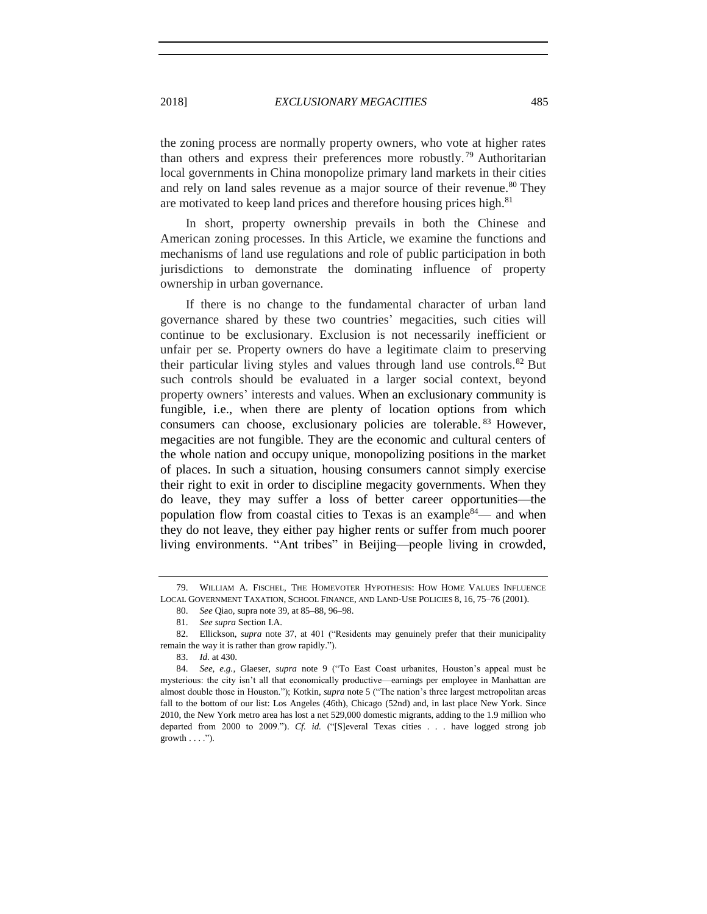<span id="page-18-0"></span>the zoning process are normally property owners, who vote at higher rates than others and express their preferences more robustly.<sup>79</sup> Authoritarian local governments in China monopolize primary land markets in their cities and rely on land sales revenue as a major source of their revenue.<sup>80</sup> They are motivated to keep land prices and therefore housing prices high.<sup>81</sup>

In short, property ownership prevails in both the Chinese and American zoning processes. In this Article, we examine the functions and mechanisms of land use regulations and role of public participation in both jurisdictions to demonstrate the dominating influence of property ownership in urban governance.

If there is no change to the fundamental character of urban land governance shared by these two countries' megacities, such cities will continue to be exclusionary. Exclusion is not necessarily inefficient or unfair per se. Property owners do have a legitimate claim to preserving their particular living styles and values through land use controls.<sup>82</sup> But such controls should be evaluated in a larger social context, beyond property owners' interests and values. When an exclusionary community is fungible, i.e., when there are plenty of location options from which consumers can choose, exclusionary policies are tolerable. <sup>83</sup> However, megacities are not fungible. They are the economic and cultural centers of the whole nation and occupy unique, monopolizing positions in the market of places. In such a situation, housing consumers cannot simply exercise their right to exit in order to discipline megacity governments. When they do leave, they may suffer a loss of better career opportunities—the population flow from coastal cities to Texas is an example  $84$ — and when they do not leave, they either pay higher rents or suffer from much poorer living environments. "Ant tribes" in Beijing—people living in crowded,

<sup>79.</sup> WILLIAM A. FISCHEL, THE HOMEVOTER HYPOTHESIS: HOW HOME VALUES INFLUENCE LOCAL GOVERNMENT TAXATION, SCHOOL FINANCE, AND LAND-USE POLICIES 8, 16, 75–76 (2001).

<sup>80.</sup> *See* Qiao, supra not[e 39,](#page-10-0) at 85–88, 96–98.

<sup>81.</sup> *See supra* Section I.A.

<sup>82.</sup> Ellickson, *supra* note [37,](#page-9-1) at 401 ("Residents may genuinely prefer that their municipality remain the way it is rather than grow rapidly.").

<sup>83.</sup> *Id.* at 430.

<sup>84.</sup> *See, e.g.*, Glaeser, *supra* note [9](#page-3-2) ("To East Coast urbanites, Houston's appeal must be mysterious: the city isn't all that economically productive—earnings per employee in Manhattan are almost double those in Houston."); Kotkin, *supra* not[e 5](#page-2-2) ("The nation's three largest metropolitan areas fall to the bottom of our list: Los Angeles (46th), Chicago (52nd) and, in last place New York. Since 2010, the New York metro area has lost a net 529,000 domestic migrants, adding to the 1.9 million who departed from 2000 to 2009."). *Cf. id.* ("[S]everal Texas cities . . . have logged strong job  $growth \ldots$ ").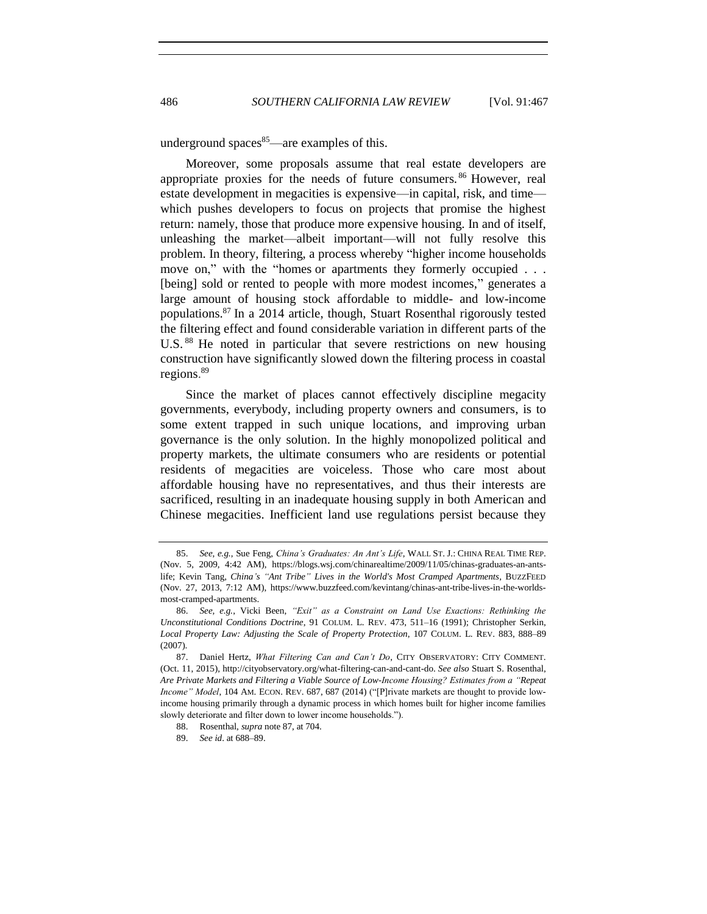underground spaces<sup>85</sup>—are examples of this.

Moreover, some proposals assume that real estate developers are appropriate proxies for the needs of future consumers. <sup>86</sup> However, real estate development in megacities is expensive—in capital, risk, and time which pushes developers to focus on projects that promise the highest return: namely, those that produce more expensive housing. In and of itself, unleashing the market—albeit important—will not fully resolve this problem. In theory, filtering, a process whereby "higher income households move on," with the "homes or apartments they formerly occupied . . . [being] sold or rented to people with more modest incomes," generates a large amount of housing stock affordable to middle- and low-income populations.<sup>87</sup> In a 2014 article, though, Stuart Rosenthal rigorously tested the filtering effect and found considerable variation in different parts of the U.S.<sup>88</sup> He noted in particular that severe restrictions on new housing construction have significantly slowed down the filtering process in coastal regions. 89

<span id="page-19-0"></span>Since the market of places cannot effectively discipline megacity governments, everybody, including property owners and consumers, is to some extent trapped in such unique locations, and improving urban governance is the only solution. In the highly monopolized political and property markets, the ultimate consumers who are residents or potential residents of megacities are voiceless. Those who care most about affordable housing have no representatives, and thus their interests are sacrificed, resulting in an inadequate housing supply in both American and Chinese megacities. Inefficient land use regulations persist because they

<sup>85.</sup> *See, e.g.*, Sue Feng, *China's Graduates: An Ant's Life*, WALL ST. J.: CHINA REAL TIME REP. (Nov. 5, 2009, 4:42 AM), https://blogs.wsj.com/chinarealtime/2009/11/05/chinas-graduates-an-antslife; Kevin Tang, *China's "Ant Tribe" Lives in the World's Most Cramped Apartments*, BUZZFEED (Nov. 27, 2013, 7:12 AM), https://www.buzzfeed.com/kevintang/chinas-ant-tribe-lives-in-the-worldsmost-cramped-apartments.

<sup>86.</sup> *See, e.g.*, Vicki Been, *"Exit" as a Constraint on Land Use Exactions: Rethinking the Unconstitutional Conditions Doctrine*, 91 COLUM. L. REV. 473, 511–16 (1991); Christopher Serkin, *Local Property Law: Adjusting the Scale of Property Protection*, 107 COLUM. L. REV. 883, 888–89 (2007).

<sup>87.</sup> Daniel Hertz, *What Filtering Can and Can't Do*, CITY OBSERVATORY: CITY COMMENT. (Oct. 11, 2015), http://cityobservatory.org/what-filtering-can-and-cant-do. *See also* Stuart S. Rosenthal, *Are Private Markets and Filtering a Viable Source of Low-Income Housing? Estimates from a "Repeat Income" Model*, 104 AM. ECON. REV. 687, 687 (2014) ("[P]rivate markets are thought to provide lowincome housing primarily through a dynamic process in which homes built for higher income families slowly deteriorate and filter down to lower income households.").

<sup>88.</sup> Rosenthal, *supra* not[e 87,](#page-19-0) at 704.

<sup>89.</sup> *See id*. at 688–89.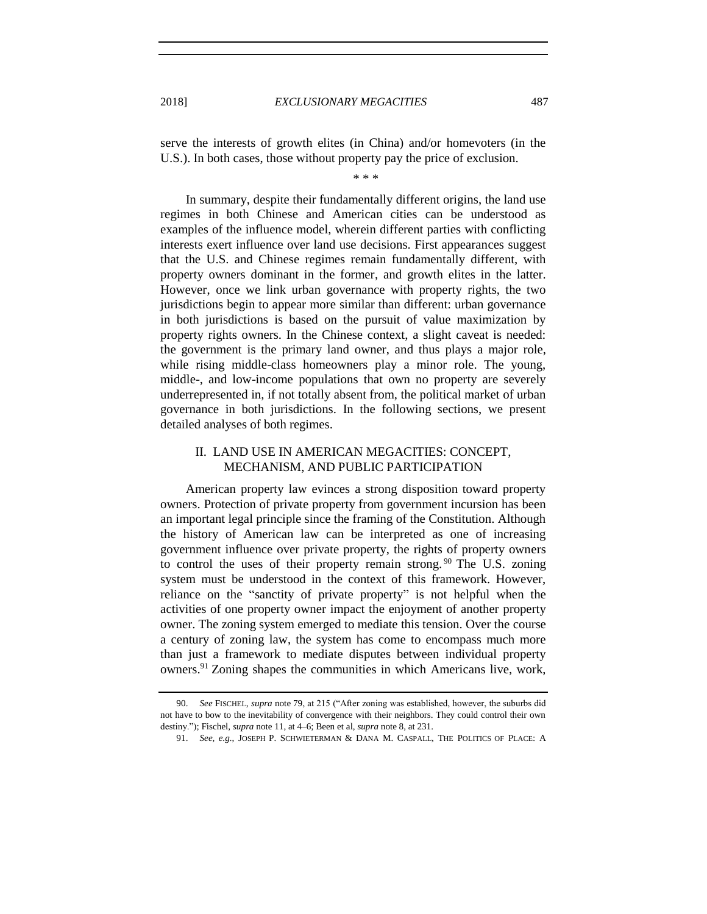serve the interests of growth elites (in China) and/or homevoters (in the U.S.). In both cases, those without property pay the price of exclusion.

\* \* \*

In summary, despite their fundamentally different origins, the land use regimes in both Chinese and American cities can be understood as examples of the influence model, wherein different parties with conflicting interests exert influence over land use decisions. First appearances suggest that the U.S. and Chinese regimes remain fundamentally different, with property owners dominant in the former, and growth elites in the latter. However, once we link urban governance with property rights, the two jurisdictions begin to appear more similar than different: urban governance in both jurisdictions is based on the pursuit of value maximization by property rights owners. In the Chinese context, a slight caveat is needed: the government is the primary land owner, and thus plays a major role, while rising middle-class homeowners play a minor role. The young, middle-, and low-income populations that own no property are severely underrepresented in, if not totally absent from, the political market of urban governance in both jurisdictions. In the following sections, we present detailed analyses of both regimes.

# <span id="page-20-0"></span>II. LAND USE IN AMERICAN MEGACITIES: CONCEPT, MECHANISM, AND PUBLIC PARTICIPATION

American property law evinces a strong disposition toward property owners. Protection of private property from government incursion has been an important legal principle since the framing of the Constitution. Although the history of American law can be interpreted as one of increasing government influence over private property, the rights of property owners to control the uses of their property remain strong. <sup>90</sup> The U.S. zoning system must be understood in the context of this framework. However, reliance on the "sanctity of private property" is not helpful when the activities of one property owner impact the enjoyment of another property owner. The zoning system emerged to mediate this tension. Over the course a century of zoning law, the system has come to encompass much more than just a framework to mediate disputes between individual property owners.<sup>91</sup> Zoning shapes the communities in which Americans live, work,

<span id="page-20-1"></span><sup>90.</sup> *See* FISCHEL, *supra* not[e 79,](#page-18-0) at 215 ("After zoning was established, however, the suburbs did not have to bow to the inevitability of convergence with their neighbors. They could control their own destiny."); Fischel, *supra* not[e 11,](#page-3-4) at 4–6; Been et al, *supra* not[e 8,](#page-3-0) at 231.

<sup>91.</sup> *See, e.g.*, JOSEPH P. SCHWIETERMAN & DANA M. CASPALL, THE POLITICS OF PLACE: A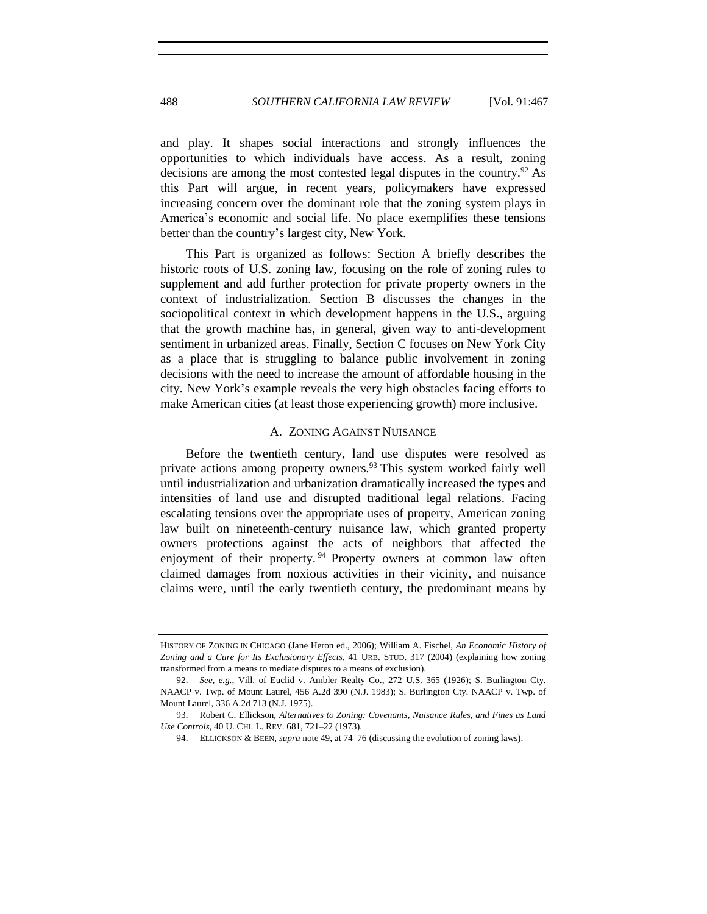and play. It shapes social interactions and strongly influences the opportunities to which individuals have access. As a result, zoning decisions are among the most contested legal disputes in the country.<sup>92</sup> As this Part will argue, in recent years, policymakers have expressed increasing concern over the dominant role that the zoning system plays in America's economic and social life. No place exemplifies these tensions better than the country's largest city, New York.

This Part is organized as follows: Section A briefly describes the historic roots of U.S. zoning law, focusing on the role of zoning rules to supplement and add further protection for private property owners in the context of industrialization. Section B discusses the changes in the sociopolitical context in which development happens in the U.S., arguing that the growth machine has, in general, given way to anti-development sentiment in urbanized areas. Finally, Section C focuses on New York City as a place that is struggling to balance public involvement in zoning decisions with the need to increase the amount of affordable housing in the city. New York's example reveals the very high obstacles facing efforts to make American cities (at least those experiencing growth) more inclusive.

## <span id="page-21-1"></span>A. ZONING AGAINST NUISANCE

<span id="page-21-0"></span>Before the twentieth century, land use disputes were resolved as private actions among property owners.<sup>93</sup> This system worked fairly well until industrialization and urbanization dramatically increased the types and intensities of land use and disrupted traditional legal relations. Facing escalating tensions over the appropriate uses of property, American zoning law built on nineteenth-century nuisance law, which granted property owners protections against the acts of neighbors that affected the enjoyment of their property.<sup>94</sup> Property owners at common law often claimed damages from noxious activities in their vicinity, and nuisance claims were, until the early twentieth century, the predominant means by

HISTORY OF ZONING IN CHICAGO (Jane Heron ed., 2006); William A. Fischel, *An Economic History of Zoning and a Cure for Its Exclusionary Effects*, 41 URB. STUD. 317 (2004) (explaining how zoning transformed from a means to mediate disputes to a means of exclusion).

<sup>92.</sup> *See, e.g.*, Vill. of Euclid v. Ambler Realty Co., 272 U.S. 365 (1926); S. Burlington Cty. NAACP v. Twp. of Mount Laurel, 456 A.2d 390 (N.J. 1983); S. Burlington Cty. NAACP v. Twp. of Mount Laurel, 336 A.2d 713 (N.J. 1975).

<sup>93.</sup> Robert C. Ellickson, *Alternatives to Zoning: Covenants, Nuisance Rules, and Fines as Land Use Controls*, 40 U. CHI. L. REV. 681, 721–22 (1973).

<sup>94.</sup> ELLICKSON & BEEN, *supra* note [49,](#page-12-1) at 74–76 (discussing the evolution of zoning laws).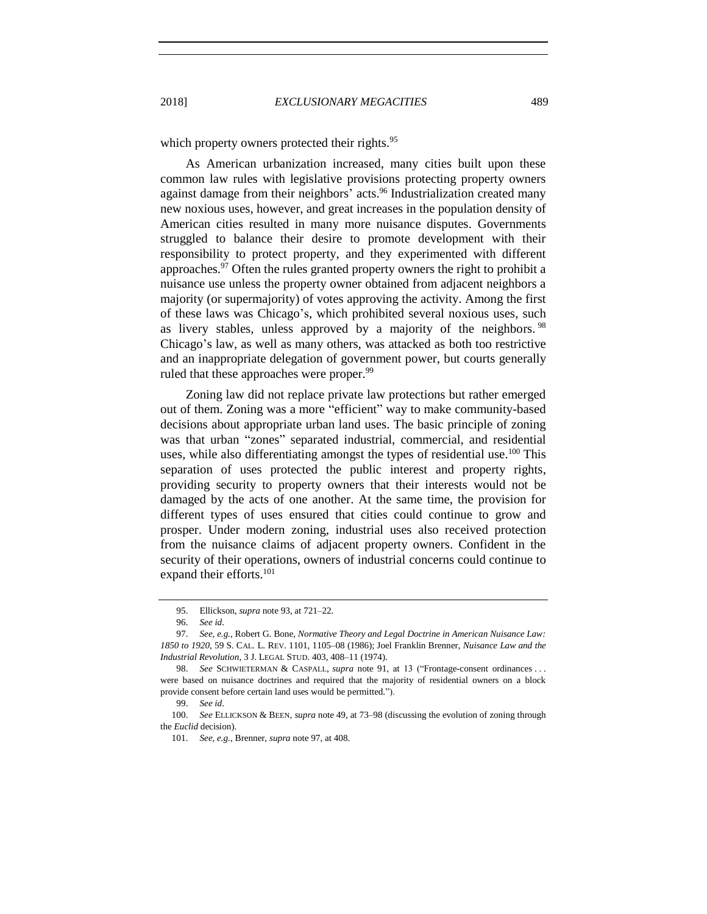which property owners protected their rights.<sup>95</sup>

<span id="page-22-0"></span>As American urbanization increased, many cities built upon these common law rules with legislative provisions protecting property owners against damage from their neighbors' acts.<sup>96</sup> Industrialization created many new noxious uses, however, and great increases in the population density of American cities resulted in many more nuisance disputes. Governments struggled to balance their desire to promote development with their responsibility to protect property, and they experimented with different approaches.<sup>97</sup> Often the rules granted property owners the right to prohibit a nuisance use unless the property owner obtained from adjacent neighbors a majority (or supermajority) of votes approving the activity. Among the first of these laws was Chicago's, which prohibited several noxious uses, such as livery stables, unless approved by a majority of the neighbors.<sup>98</sup> Chicago's law, as well as many others, was attacked as both too restrictive and an inappropriate delegation of government power, but courts generally ruled that these approaches were proper.<sup>99</sup>

Zoning law did not replace private law protections but rather emerged out of them. Zoning was a more "efficient" way to make community-based decisions about appropriate urban land uses. The basic principle of zoning was that urban "zones" separated industrial, commercial, and residential uses, while also differentiating amongst the types of residential use.<sup>100</sup> This separation of uses protected the public interest and property rights, providing security to property owners that their interests would not be damaged by the acts of one another. At the same time, the provision for different types of uses ensured that cities could continue to grow and prosper. Under modern zoning, industrial uses also received protection from the nuisance claims of adjacent property owners. Confident in the security of their operations, owners of industrial concerns could continue to expand their efforts.<sup>101</sup>

<sup>95.</sup> Ellickson, *supra* not[e 93,](#page-21-1) at 721–22.

<sup>96.</sup> *See id*.

<sup>97.</sup> *See, e.g.*, Robert G. Bone, *Normative Theory and Legal Doctrine in American Nuisance Law: 1850 to 1920*, 59 S. CAL. L. REV. 1101, 1105–08 (1986); Joel Franklin Brenner, *Nuisance Law and the Industrial Revolution*, 3 J. LEGAL STUD. 403, 408–11 (1974).

<sup>98.</sup> *See* SCHWIETERMAN & CASPALL, *supra* note [91,](#page-20-1) at 13 ("Frontage-consent ordinances . . . were based on nuisance doctrines and required that the majority of residential owners on a block provide consent before certain land uses would be permitted.").

<sup>99.</sup> *See id*.

<sup>100.</sup> *See* ELLICKSON & BEEN, *supra* note [49,](#page-12-1) at 73–98 (discussing the evolution of zoning through the *Euclid* decision).

<sup>101.</sup> *See, e.g.*, Brenner, *supra* not[e 97,](#page-22-0) at 408.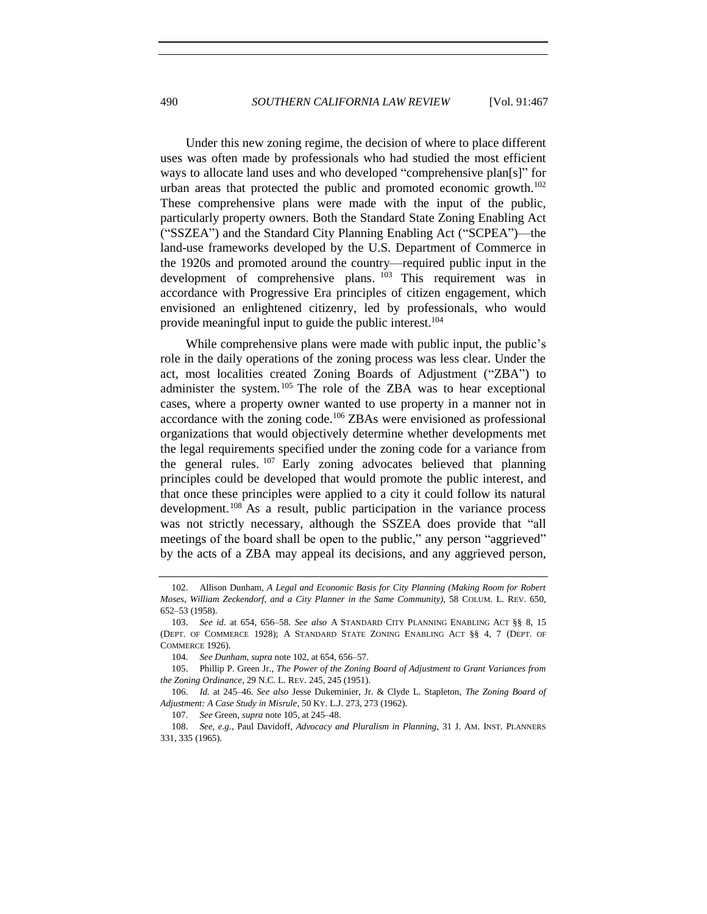<span id="page-23-0"></span>Under this new zoning regime, the decision of where to place different uses was often made by professionals who had studied the most efficient ways to allocate land uses and who developed "comprehensive plan[s]" for urban areas that protected the public and promoted economic growth.<sup>102</sup> These comprehensive plans were made with the input of the public, particularly property owners. Both the Standard State Zoning Enabling Act ("SSZEA") and the Standard City Planning Enabling Act ("SCPEA")—the land-use frameworks developed by the U.S. Department of Commerce in the 1920s and promoted around the country—required public input in the development of comprehensive plans. <sup>103</sup> This requirement was in accordance with Progressive Era principles of citizen engagement, which envisioned an enlightened citizenry, led by professionals, who would provide meaningful input to guide the public interest.<sup>104</sup>

<span id="page-23-1"></span>While comprehensive plans were made with public input, the public's role in the daily operations of the zoning process was less clear. Under the act, most localities created Zoning Boards of Adjustment ("ZBA") to administer the system. <sup>105</sup> The role of the ZBA was to hear exceptional cases, where a property owner wanted to use property in a manner not in accordance with the zoning code.<sup>106</sup> ZBAs were envisioned as professional organizations that would objectively determine whether developments met the legal requirements specified under the zoning code for a variance from the general rules. <sup>107</sup> Early zoning advocates believed that planning principles could be developed that would promote the public interest, and that once these principles were applied to a city it could follow its natural development.<sup>108</sup> As a result, public participation in the variance process was not strictly necessary, although the SSZEA does provide that "all meetings of the board shall be open to the public," any person "aggrieved" by the acts of a ZBA may appeal its decisions, and any aggrieved person,

107. *See* Green, *supra* not[e 105,](#page-23-1) at 245–48.

108. *See, e.g.*, Paul Davidoff, *Advocacy and Pluralism in Planning*, 31 J. AM. INST. PLANNERS 331, 335 (1965).

<sup>102.</sup> Allison Dunham, *A Legal and Economic Basis for City Planning (Making Room for Robert Moses, William Zeckendorf, and a City Planner in the Same Community)*, 58 COLUM. L. REV. 650, 652–53 (1958).

<sup>103.</sup> *See id*. at 654, 656–58. *See also* A STANDARD CITY PLANNING ENABLING ACT §§ 8, 15 (DEPT. OF COMMERCE 1928); A STANDARD STATE ZONING ENABLING ACT §§ 4, 7 (DEPT. OF COMMERCE 1926).

<sup>104.</sup> *See Dunham*, *supra* not[e 102,](#page-23-0) at 654, 656–57.

<sup>105.</sup> Phillip P. Green Jr., *The Power of the Zoning Board of Adjustment to Grant Variances from the Zoning Ordinance*, 29 N.C. L. REV. 245, 245 (1951).

<sup>106.</sup> *Id.* at 245–46. *See also* Jesse Dukeminier, Jr. & Clyde L. Stapleton, *The Zoning Board of Adjustment: A Case Study in Misrule*, 50 KY. L.J. 273, 273 (1962).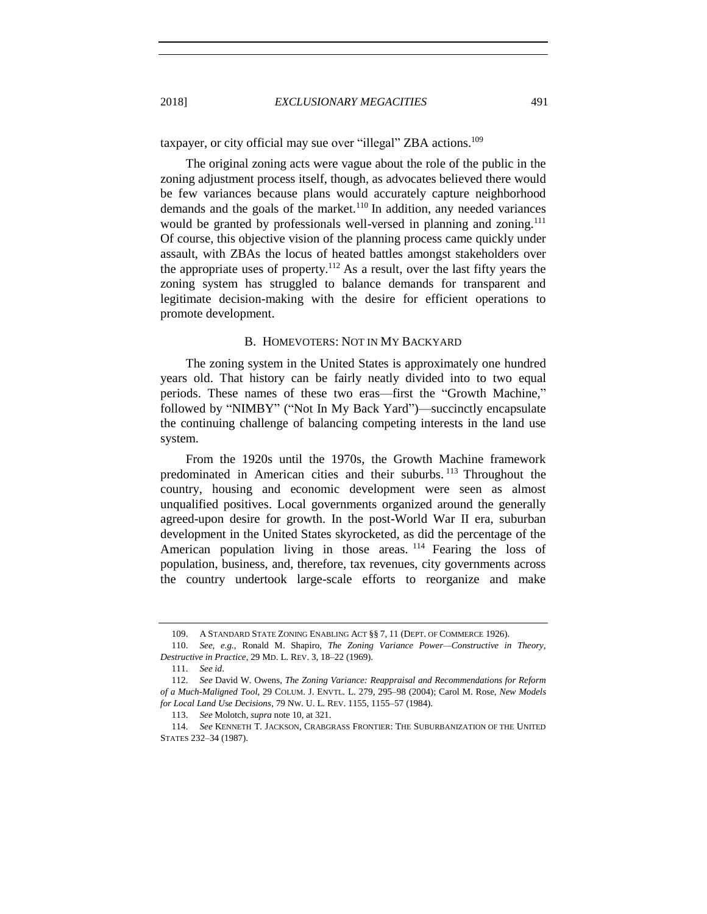2018] *EXCLUSIONARY MEGACITIES* 491

taxpayer, or city official may sue over "illegal" ZBA actions.<sup>109</sup>

The original zoning acts were vague about the role of the public in the zoning adjustment process itself, though, as advocates believed there would be few variances because plans would accurately capture neighborhood demands and the goals of the market. $110$  In addition, any needed variances would be granted by professionals well-versed in planning and zoning.<sup>111</sup> Of course, this objective vision of the planning process came quickly under assault, with ZBAs the locus of heated battles amongst stakeholders over the appropriate uses of property.<sup>112</sup> As a result, over the last fifty years the zoning system has struggled to balance demands for transparent and legitimate decision-making with the desire for efficient operations to promote development.

## B. HOMEVOTERS: NOT IN MY BACKYARD

<span id="page-24-0"></span>The zoning system in the United States is approximately one hundred years old. That history can be fairly neatly divided into to two equal periods. These names of these two eras—first the "Growth Machine," followed by "NIMBY" ("Not In My Back Yard")—succinctly encapsulate the continuing challenge of balancing competing interests in the land use system.

From the 1920s until the 1970s, the Growth Machine framework predominated in American cities and their suburbs. <sup>113</sup> Throughout the country, housing and economic development were seen as almost unqualified positives. Local governments organized around the generally agreed-upon desire for growth. In the post-World War II era, suburban development in the United States skyrocketed, as did the percentage of the American population living in those areas. <sup>114</sup> Fearing the loss of population, business, and, therefore, tax revenues, city governments across the country undertook large-scale efforts to reorganize and make

<sup>109.</sup> A STANDARD STATE ZONING ENABLING ACT §§ 7, 11 (DEPT. OF COMMERCE 1926).

<sup>110.</sup> *See, e.g.*, Ronald M. Shapiro, *The Zoning Variance Power—Constructive in Theory, Destructive in Practice*, 29 MD. L. REV. 3, 18–22 (1969).

<sup>111.</sup> *See id*.

<sup>112.</sup> *See* David W. Owens, *The Zoning Variance: Reappraisal and Recommendations for Reform of a Much-Maligned Tool*, 29 COLUM. J. ENVTL. L. 279, 295–98 (2004); Carol M. Rose, *New Models for Local Land Use Decisions*, 79 NW. U. L. REV. 1155, 1155–57 (1984).

<sup>113.</sup> *See* Molotch, *supra* note [10,](#page-3-3) at 321.

<sup>114.</sup> *See* KENNETH T. JACKSON, CRABGRASS FRONTIER: THE SUBURBANIZATION OF THE UNITED STATES 232–34 (1987).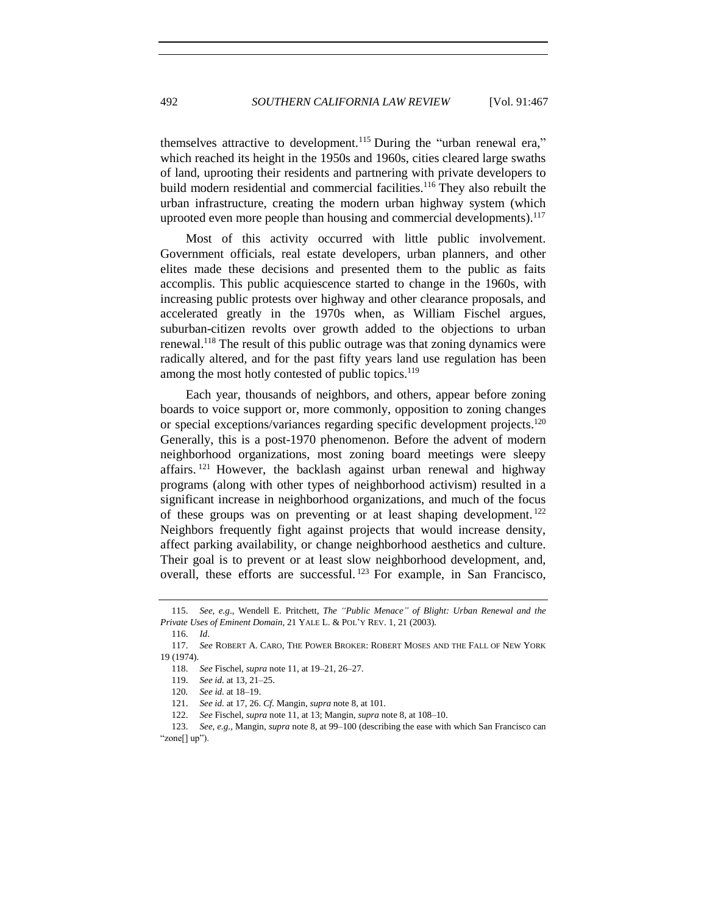themselves attractive to development.<sup>115</sup> During the "urban renewal era," which reached its height in the 1950s and 1960s, cities cleared large swaths of land, uprooting their residents and partnering with private developers to build modern residential and commercial facilities.<sup>116</sup> They also rebuilt the urban infrastructure, creating the modern urban highway system (which uprooted even more people than housing and commercial developments).<sup>117</sup>

<span id="page-25-0"></span>Most of this activity occurred with little public involvement. Government officials, real estate developers, urban planners, and other elites made these decisions and presented them to the public as faits accomplis. This public acquiescence started to change in the 1960s, with increasing public protests over highway and other clearance proposals, and accelerated greatly in the 1970s when, as William Fischel argues, suburban-citizen revolts over growth added to the objections to urban renewal.<sup>118</sup> The result of this public outrage was that zoning dynamics were radically altered, and for the past fifty years land use regulation has been among the most hotly contested of public topics.<sup>119</sup>

Each year, thousands of neighbors, and others, appear before zoning boards to voice support or, more commonly, opposition to zoning changes or special exceptions/variances regarding specific development projects.<sup>120</sup> Generally, this is a post-1970 phenomenon. Before the advent of modern neighborhood organizations, most zoning board meetings were sleepy affairs. <sup>121</sup> However, the backlash against urban renewal and highway programs (along with other types of neighborhood activism) resulted in a significant increase in neighborhood organizations, and much of the focus of these groups was on preventing or at least shaping development. <sup>122</sup> Neighbors frequently fight against projects that would increase density, affect parking availability, or change neighborhood aesthetics and culture. Their goal is to prevent or at least slow neighborhood development, and, overall, these efforts are successful. <sup>123</sup> For example, in San Francisco,

<sup>115.</sup> *See, e.g*., Wendell E. Pritchett, *The "Public Menace" of Blight: Urban Renewal and the Private Uses of Eminent Domain*, 21 YALE L. & POL'Y REV. 1, 21 (2003).

<sup>116.</sup> *Id*.

<sup>117.</sup> *See* ROBERT A. CARO, THE POWER BROKER: ROBERT MOSES AND THE FALL OF NEW YORK 19 (1974).

<sup>118.</sup> *See* Fischel, *supra* not[e 11,](#page-3-4) at 19–21, 26–27.

<sup>119.</sup> *See id.* at 13, 21–25.

<sup>120</sup>*. See id.* at 18–19.

<sup>121.</sup> *See id.* at 17, 26. *Cf.* Mangin, *supra* not[e 8,](#page-3-0) at 101.

<sup>122.</sup> *See* Fischel, *supra* not[e 11,](#page-3-4) at 13; Mangin, *supra* not[e 8,](#page-3-0) at 108–10.

<sup>123.</sup> *See*, *e.g.*, Mangin, *supra* not[e 8,](#page-3-0) at 99–100 (describing the ease with which San Francisco can "zone[] up").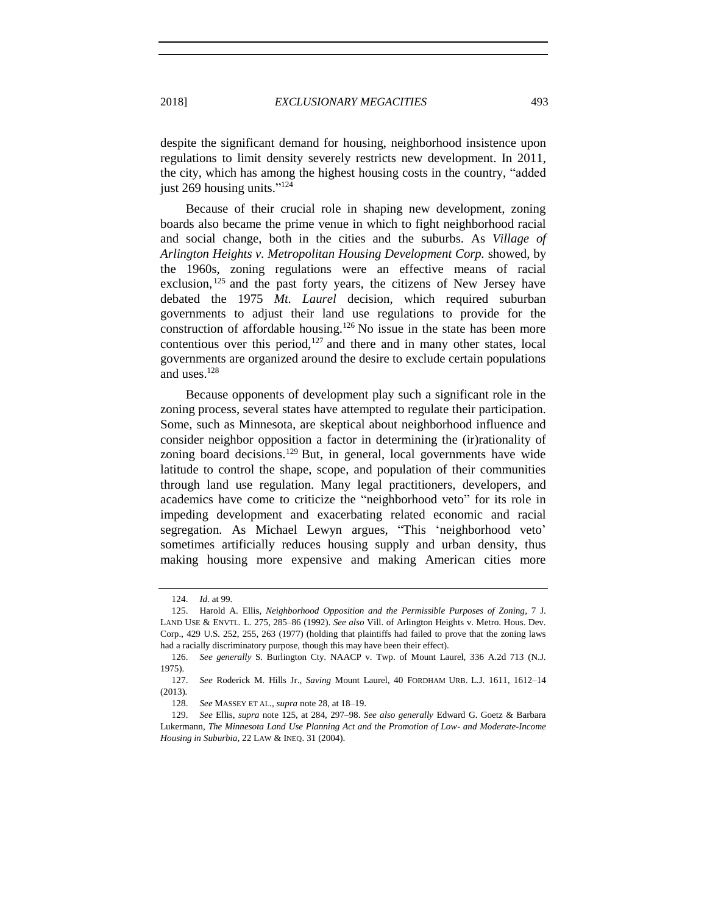despite the significant demand for housing, neighborhood insistence upon regulations to limit density severely restricts new development. In 2011, the city, which has among the highest housing costs in the country, "added just 269 housing units." 124

<span id="page-26-0"></span>Because of their crucial role in shaping new development, zoning boards also became the prime venue in which to fight neighborhood racial and social change, both in the cities and the suburbs. As *Village of Arlington Heights v. Metropolitan Housing Development Corp.* showed, by the 1960s, zoning regulations were an effective means of racial exclusion,<sup>125</sup> and the past forty years, the citizens of New Jersey have debated the 1975 *Mt. Laurel* decision, which required suburban governments to adjust their land use regulations to provide for the construction of affordable housing.<sup>126</sup> No issue in the state has been more contentious over this period, $127$  and there and in many other states, local governments are organized around the desire to exclude certain populations and uses.<sup>128</sup>

Because opponents of development play such a significant role in the zoning process, several states have attempted to regulate their participation. Some, such as Minnesota, are skeptical about neighborhood influence and consider neighbor opposition a factor in determining the (ir)rationality of zoning board decisions.<sup>129</sup> But, in general, local governments have wide latitude to control the shape, scope, and population of their communities through land use regulation. Many legal practitioners, developers, and academics have come to criticize the "neighborhood veto" for its role in impeding development and exacerbating related economic and racial segregation. As Michael Lewyn argues, "This 'neighborhood veto' sometimes artificially reduces housing supply and urban density, thus making housing more expensive and making American cities more

<sup>124.</sup> *Id.* at 99.

<sup>125.</sup> Harold A. Ellis, *Neighborhood Opposition and the Permissible Purposes of Zoning*, 7 J. LAND USE & ENVTL. L. 275, 285–86 (1992). *See also* Vill. of Arlington Heights v. Metro. Hous. Dev. Corp., 429 U.S. 252, 255, 263 (1977) (holding that plaintiffs had failed to prove that the zoning laws had a racially discriminatory purpose, though this may have been their effect).

<sup>126.</sup> *See generally* S. Burlington Cty. NAACP v. Twp. of Mount Laurel, 336 A.2d 713 (N.J. 1975).

<sup>127.</sup> *See* Roderick M. Hills Jr., *Saving* Mount Laurel, 40 FORDHAM URB. L.J. 1611, 1612–14 (2013).

<sup>128.</sup> *See* MASSEY ET AL., *supra* not[e 28,](#page-6-0) at 18–19.

<sup>129.</sup> *See* Ellis, *supra* note [125,](#page-26-0) at 284, 297–98. *See also generally* Edward G. Goetz & Barbara Lukermann, *The Minnesota Land Use Planning Act and the Promotion of Low- and Moderate-Income Housing in Suburbia*, 22 LAW & INEQ. 31 (2004).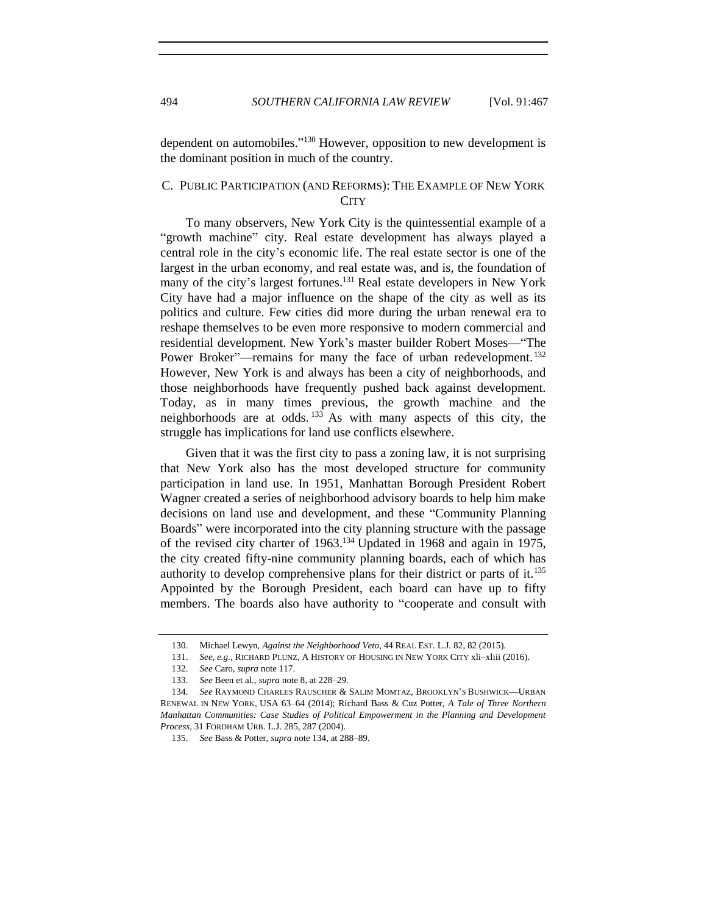dependent on automobiles." <sup>130</sup> However, opposition to new development is the dominant position in much of the country.

## <span id="page-27-0"></span>C. PUBLIC PARTICIPATION (AND REFORMS): THE EXAMPLE OF NEW YORK **CITY**

To many observers, New York City is the quintessential example of a "growth machine" city. Real estate development has always played a central role in the city's economic life. The real estate sector is one of the largest in the urban economy, and real estate was, and is, the foundation of many of the city's largest fortunes.<sup>131</sup> Real estate developers in New York City have had a major influence on the shape of the city as well as its politics and culture. Few cities did more during the urban renewal era to reshape themselves to be even more responsive to modern commercial and residential development. New York's master builder Robert Moses—"The Power Broker"—remains for many the face of urban redevelopment.<sup>132</sup> However, New York is and always has been a city of neighborhoods, and those neighborhoods have frequently pushed back against development. Today, as in many times previous, the growth machine and the neighborhoods are at odds. <sup>133</sup> As with many aspects of this city, the struggle has implications for land use conflicts elsewhere.

Given that it was the first city to pass a zoning law, it is not surprising that New York also has the most developed structure for community participation in land use. In 1951, Manhattan Borough President Robert Wagner created a series of neighborhood advisory boards to help him make decisions on land use and development, and these "Community Planning Boards" were incorporated into the city planning structure with the passage of the revised city charter of 1963.<sup>134</sup> Updated in 1968 and again in 1975, the city created fifty-nine community planning boards, each of which has authority to develop comprehensive plans for their district or parts of it.<sup>135</sup> Appointed by the Borough President, each board can have up to fifty members. The boards also have authority to "cooperate and consult with

<span id="page-27-1"></span><sup>130.</sup> Michael Lewyn, *Against the Neighborhood Veto*, 44 REAL EST. L.J. 82, 82 (2015).

<sup>131.</sup> *See, e.g.*, RICHARD PLUNZ, A HISTORY OF HOUSING IN NEW YORK CITY xli–xliii (2016).

<sup>132.</sup> *See* Caro, *supra* not[e 117.](#page-25-0)

<sup>133.</sup> *See* Been et al., *supra* not[e 8,](#page-3-0) at 228–29.

<sup>134.</sup> *See* RAYMOND CHARLES RAUSCHER & SALIM MOMTAZ, BROOKLYN'S BUSHWICK—URBAN RENEWAL IN NEW YORK, USA 63–64 (2014); Richard Bass & Cuz Potter, *A Tale of Three Northern Manhattan Communities: Case Studies of Political Empowerment in the Planning and Development Process*, 31 FORDHAM URB. L.J. 285, 287 (2004).

<sup>135.</sup> *See* Bass & Potter, *supra* not[e 134,](#page-27-1) at 288–89.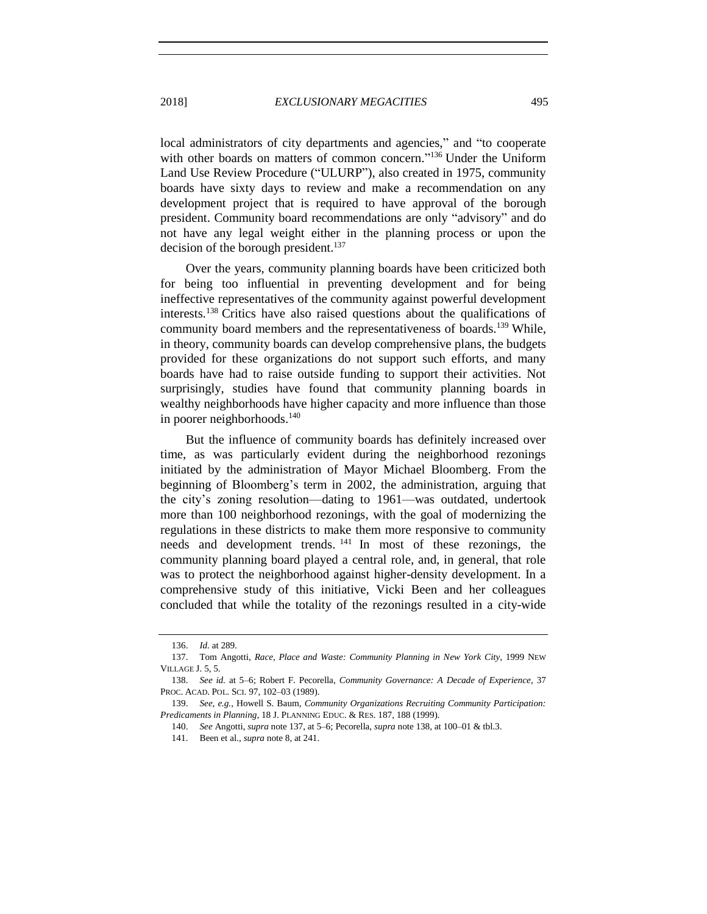local administrators of city departments and agencies," and "to cooperate with other boards on matters of common concern." <sup>136</sup> Under the Uniform Land Use Review Procedure ("ULURP"), also created in 1975, community boards have sixty days to review and make a recommendation on any development project that is required to have approval of the borough president. Community board recommendations are only "advisory" and do not have any legal weight either in the planning process or upon the decision of the borough president.<sup>137</sup>

<span id="page-28-1"></span><span id="page-28-0"></span>Over the years, community planning boards have been criticized both for being too influential in preventing development and for being ineffective representatives of the community against powerful development interests.<sup>138</sup> Critics have also raised questions about the qualifications of community board members and the representativeness of boards.<sup>139</sup> While, in theory, community boards can develop comprehensive plans, the budgets provided for these organizations do not support such efforts, and many boards have had to raise outside funding to support their activities. Not surprisingly, studies have found that community planning boards in wealthy neighborhoods have higher capacity and more influence than those in poorer neighborhoods.<sup>140</sup>

But the influence of community boards has definitely increased over time, as was particularly evident during the neighborhood rezonings initiated by the administration of Mayor Michael Bloomberg. From the beginning of Bloomberg's term in 2002, the administration, arguing that the city's zoning resolution—dating to 1961—was outdated, undertook more than 100 neighborhood rezonings, with the goal of modernizing the regulations in these districts to make them more responsive to community needs and development trends. <sup>141</sup> In most of these rezonings, the community planning board played a central role, and, in general, that role was to protect the neighborhood against higher-density development. In a comprehensive study of this initiative, Vicki Been and her colleagues concluded that while the totality of the rezonings resulted in a city-wide

<sup>136.</sup> *Id.* at 289.

<sup>137.</sup> Tom Angotti, *Race, Place and Waste: Community Planning in New York City*, 1999 NEW VILLAGE J. 5, 5.

<sup>138.</sup> *See id.* at 5–6; Robert F. Pecorella, *Community Governance: A Decade of Experience*, 37 PROC. ACAD. POL. SCI. 97, 102–03 (1989).

<sup>139.</sup> *See, e.g.*, Howell S. Baum, *Community Organizations Recruiting Community Participation: Predicaments in Planning*, 18 J. PLANNING EDUC. & RES. 187, 188 (1999).

<sup>140.</sup> *See* Angotti, *supra* not[e 137,](#page-28-0) at 5–6; Pecorella, *supra* not[e 138,](#page-28-1) at 100–01 & tbl.3.

<sup>141.</sup> Been et al., *supra* not[e 8,](#page-3-0) at 241.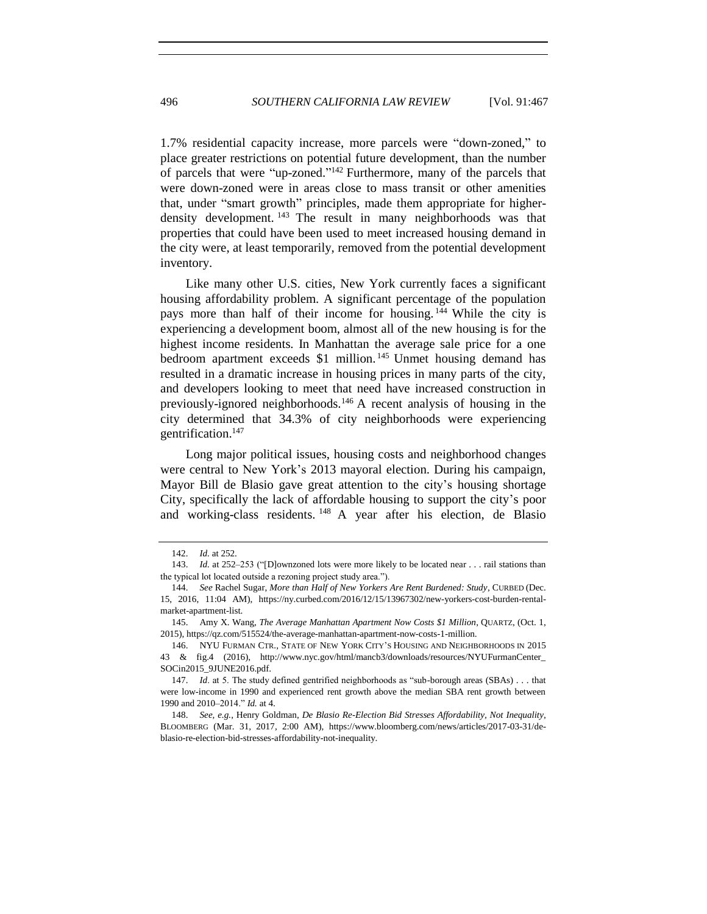1.7% residential capacity increase, more parcels were "down-zoned," to place greater restrictions on potential future development, than the number of parcels that were "up-zoned."<sup>142</sup> Furthermore, many of the parcels that were down-zoned were in areas close to mass transit or other amenities that, under "smart growth" principles, made them appropriate for higherdensity development. <sup>143</sup> The result in many neighborhoods was that properties that could have been used to meet increased housing demand in the city were, at least temporarily, removed from the potential development inventory.

Like many other U.S. cities, New York currently faces a significant housing affordability problem. A significant percentage of the population pays more than half of their income for housing. <sup>144</sup> While the city is experiencing a development boom, almost all of the new housing is for the highest income residents. In Manhattan the average sale price for a one bedroom apartment exceeds \$1 million.<sup>145</sup> Unmet housing demand has resulted in a dramatic increase in housing prices in many parts of the city, and developers looking to meet that need have increased construction in previously-ignored neighborhoods.<sup>146</sup> A recent analysis of housing in the city determined that 34.3% of city neighborhoods were experiencing gentrification.<sup>147</sup>

Long major political issues, housing costs and neighborhood changes were central to New York's 2013 mayoral election. During his campaign, Mayor Bill de Blasio gave great attention to the city's housing shortage City, specifically the lack of affordable housing to support the city's poor and working-class residents. <sup>148</sup> A year after his election, de Blasio

<sup>142.</sup> *Id.* at 252.

<sup>143.</sup> *Id.* at 252–253 ("[D]ownzoned lots were more likely to be located near . . . rail stations than the typical lot located outside a rezoning project study area.").

<sup>144.</sup> *See* Rachel Sugar, *More than Half of New Yorkers Are Rent Burdened: Study*, CURBED (Dec. 15, 2016, 11:04 AM), https://ny.curbed.com/2016/12/15/13967302/new-yorkers-cost-burden-rentalmarket-apartment-list.

<sup>145.</sup> Amy X. Wang, *The Average Manhattan Apartment Now Costs \$1 Million*, QUARTZ, (Oct. 1, 2015), https://qz.com/515524/the-average-manhattan-apartment-now-costs-1-million.

<sup>146.</sup> NYU FURMAN CTR., STATE OF NEW YORK CITY'S HOUSING AND NEIGHBORHOODS IN 2015 43 & fig.4 (2016), http://www.nyc.gov/html/mancb3/downloads/resources/NYUFurmanCenter\_ SOCin2015\_9JUNE2016.pdf.

<sup>147.</sup> *Id*. at 5. The study defined gentrified neighborhoods as "sub-borough areas (SBAs) . . . that were low-income in 1990 and experienced rent growth above the median SBA rent growth between 1990 and 2010–2014." *Id.* at 4.

<sup>148.</sup> *See, e.g.*, Henry Goldman, *De Blasio Re-Election Bid Stresses Affordability, Not Inequality*, BLOOMBERG (Mar. 31, 2017, 2:00 AM), https://www.bloomberg.com/news/articles/2017-03-31/deblasio-re-election-bid-stresses-affordability-not-inequality.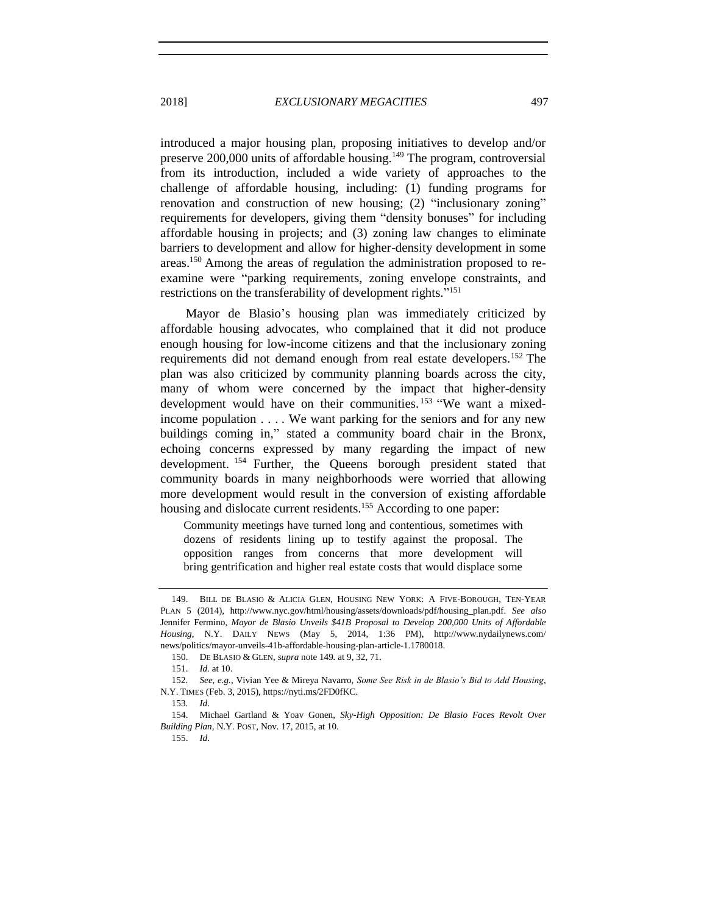<span id="page-30-0"></span>introduced a major housing plan, proposing initiatives to develop and/or preserve 200,000 units of affordable housing.<sup>149</sup> The program, controversial from its introduction, included a wide variety of approaches to the challenge of affordable housing, including: (1) funding programs for renovation and construction of new housing; (2) "inclusionary zoning" requirements for developers, giving them "density bonuses" for including affordable housing in projects; and (3) zoning law changes to eliminate barriers to development and allow for higher-density development in some areas.<sup>150</sup> Among the areas of regulation the administration proposed to reexamine were "parking requirements, zoning envelope constraints, and restrictions on the transferability of development rights."<sup>151</sup>

Mayor de Blasio's housing plan was immediately criticized by affordable housing advocates, who complained that it did not produce enough housing for low-income citizens and that the inclusionary zoning requirements did not demand enough from real estate developers.<sup>152</sup> The plan was also criticized by community planning boards across the city, many of whom were concerned by the impact that higher-density development would have on their communities.<sup>153</sup> "We want a mixedincome population . . . . We want parking for the seniors and for any new buildings coming in," stated a community board chair in the Bronx, echoing concerns expressed by many regarding the impact of new development. <sup>154</sup> Further, the Queens borough president stated that community boards in many neighborhoods were worried that allowing more development would result in the conversion of existing affordable housing and dislocate current residents.<sup>155</sup> According to one paper:

Community meetings have turned long and contentious, sometimes with dozens of residents lining up to testify against the proposal. The opposition ranges from concerns that more development will bring gentrification and higher real estate costs that would displace some

<sup>149.</sup> BILL DE BLASIO & ALICIA GLEN, HOUSING NEW YORK: A FIVE-BOROUGH, TEN-YEAR PLAN 5 (2014), http://www.nyc.gov/html/housing/assets/downloads/pdf/housing\_plan.pdf. *See also*  Jennifer Fermino, *Mayor de Blasio Unveils \$41B Proposal to Develop 200,000 Units of Affordable Housing*, N.Y. DAILY NEWS (May 5, 2014, 1:36 PM), http://www.nydailynews.com/ news/politics/mayor-unveils-41b-affordable-housing-plan-article-1.1780018.

<sup>150.</sup> DE BLASIO & GLEN, *supra* not[e 149](#page-30-0)*.* at 9, 32, 71.

<sup>151.</sup> *Id.* at 10.

<sup>152</sup>*. See, e.g.*, Vivian Yee & Mireya Navarro, *Some See Risk in de Blasio's Bid to Add Housing*, N.Y. TIMES (Feb. 3, 2015), https://nyti.ms/2FD0fKC.

<sup>153</sup>*. Id*.

<sup>154.</sup> Michael Gartland & Yoav Gonen, *Sky-High Opposition: De Blasio Faces Revolt Over Building Plan*, N.Y. POST, Nov. 17, 2015, at 10.

<sup>155.</sup> *Id*.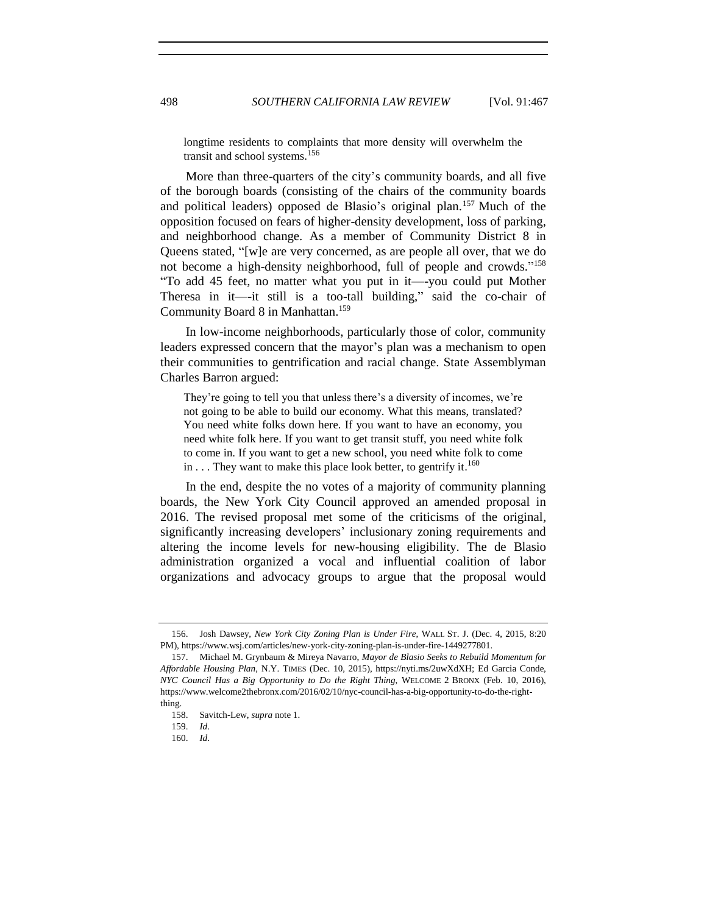longtime residents to complaints that more density will overwhelm the transit and school systems.<sup>156</sup>

More than three-quarters of the city's community boards, and all five of the borough boards (consisting of the chairs of the community boards and political leaders) opposed de Blasio's original plan.<sup>157</sup> Much of the opposition focused on fears of higher-density development, loss of parking, and neighborhood change. As a member of Community District 8 in Queens stated, "[w]e are very concerned, as are people all over, that we do not become a high-density neighborhood, full of people and crowds." 158 "To add 45 feet, no matter what you put in it—-you could put Mother Theresa in it—-it still is a too-tall building," said the co-chair of Community Board 8 in Manhattan.<sup>159</sup>

In low-income neighborhoods, particularly those of color, community leaders expressed concern that the mayor's plan was a mechanism to open their communities to gentrification and racial change. State Assemblyman Charles Barron argued:

They're going to tell you that unless there's a diversity of incomes, we're not going to be able to build our economy. What this means, translated? You need white folks down here. If you want to have an economy, you need white folk here. If you want to get transit stuff, you need white folk to come in. If you want to get a new school, you need white folk to come in . . . They want to make this place look better, to gentrify it.<sup>160</sup>

In the end, despite the no votes of a majority of community planning boards, the New York City Council approved an amended proposal in 2016. The revised proposal met some of the criticisms of the original, significantly increasing developers' inclusionary zoning requirements and altering the income levels for new-housing eligibility. The de Blasio administration organized a vocal and influential coalition of labor organizations and advocacy groups to argue that the proposal would

<sup>156.</sup> Josh Dawsey, *New York City Zoning Plan is Under Fire*, WALL ST. J. (Dec. 4, 2015, 8:20 PM), https://www.wsj.com/articles/new-york-city-zoning-plan-is-under-fire-1449277801.

<sup>157.</sup> Michael M. Grynbaum & Mireya Navarro, *Mayor de Blasio Seeks to Rebuild Momentum for Affordable Housing Plan*, N.Y. TIMES (Dec. 10, 2015), https://nyti.ms/2uwXdXH; Ed Garcia Conde, *NYC Council Has a Big Opportunity to Do the Right Thing*, WELCOME 2 BRONX (Feb. 10, 2016), https://www.welcome2thebronx.com/2016/02/10/nyc-council-has-a-big-opportunity-to-do-the-rightthing.

<sup>158.</sup> Savitch-Lew, *supra* not[e 1.](#page-2-3)

<sup>159.</sup> *Id*.

<sup>160.</sup> *Id*.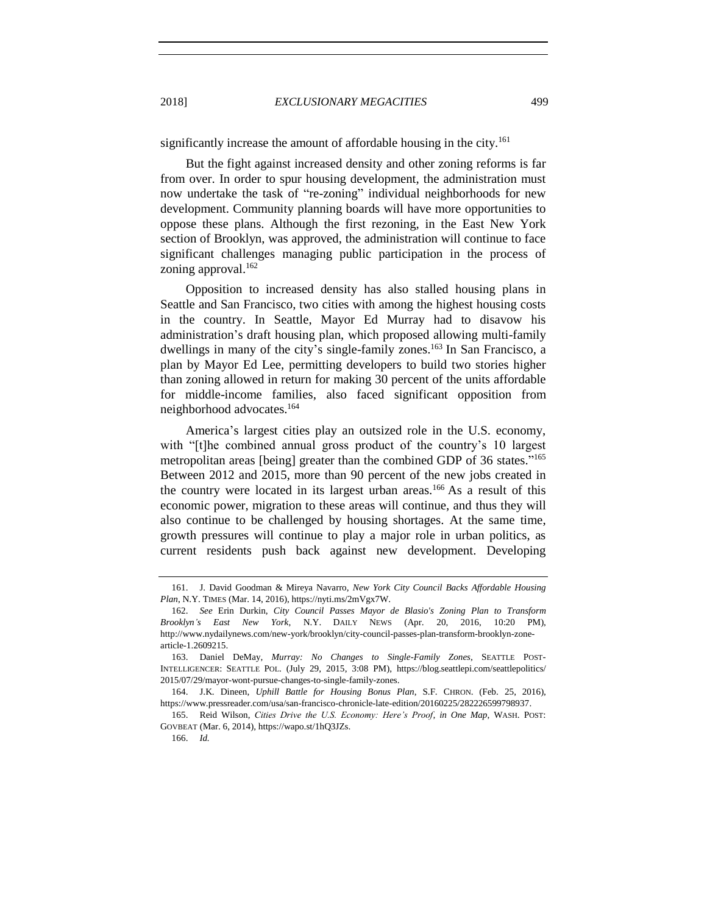significantly increase the amount of affordable housing in the city.<sup>161</sup>

But the fight against increased density and other zoning reforms is far from over. In order to spur housing development, the administration must now undertake the task of "re-zoning" individual neighborhoods for new development. Community planning boards will have more opportunities to oppose these plans. Although the first rezoning, in the East New York section of Brooklyn, was approved, the administration will continue to face significant challenges managing public participation in the process of zoning approval. $162$ 

Opposition to increased density has also stalled housing plans in Seattle and San Francisco, two cities with among the highest housing costs in the country. In Seattle, Mayor Ed Murray had to disavow his administration's draft housing plan, which proposed allowing multi-family dwellings in many of the city's single-family zones.<sup>163</sup> In San Francisco, a plan by Mayor Ed Lee, permitting developers to build two stories higher than zoning allowed in return for making 30 percent of the units affordable for middle-income families, also faced significant opposition from neighborhood advocates.<sup>164</sup>

America's largest cities play an outsized role in the U.S. economy, with "[t]he combined annual gross product of the country's 10 largest metropolitan areas [being] greater than the combined GDP of 36 states." 165 Between 2012 and 2015, more than 90 percent of the new jobs created in the country were located in its largest urban areas.<sup>166</sup> As a result of this economic power, migration to these areas will continue, and thus they will also continue to be challenged by housing shortages. At the same time, growth pressures will continue to play a major role in urban politics, as current residents push back against new development. Developing

<sup>161.</sup> J. David Goodman & Mireya Navarro, *New York City Council Backs Affordable Housing Plan*, N.Y. TIMES (Mar. 14, 2016), https://nyti.ms/2mVgx7W.

<sup>162.</sup> *See* Erin Durkin, *City Council Passes Mayor de Blasio's Zoning Plan to Transform Brooklyn's East New York*, N.Y. DAILY NEWS (Apr. 20, 2016, 10:20 PM), http://www.nydailynews.com/new-york/brooklyn/city-council-passes-plan-transform-brooklyn-zonearticle-1.2609215.

<sup>163.</sup> Daniel DeMay, *Murray: No Changes to Single-Family Zones*, SEATTLE POST-INTELLIGENCER: SEATTLE POL. (July 29, 2015, 3:08 PM), https://blog.seattlepi.com/seattlepolitics/ 2015/07/29/mayor-wont-pursue-changes-to-single-family-zones.

<sup>164.</sup> J.K. Dineen, *Uphill Battle for Housing Bonus Plan*, S.F. CHRON. (Feb. 25, 2016), https://www.pressreader.com/usa/san-francisco-chronicle-late-edition/20160225/282226599798937.

<sup>165.</sup> Reid Wilson, *Cities Drive the U.S. Economy: Here's Proof, in One Map*, WASH. POST: GOVBEAT (Mar. 6, 2014), https://wapo.st/1hQ3JZs.

<sup>166.</sup> *Id.*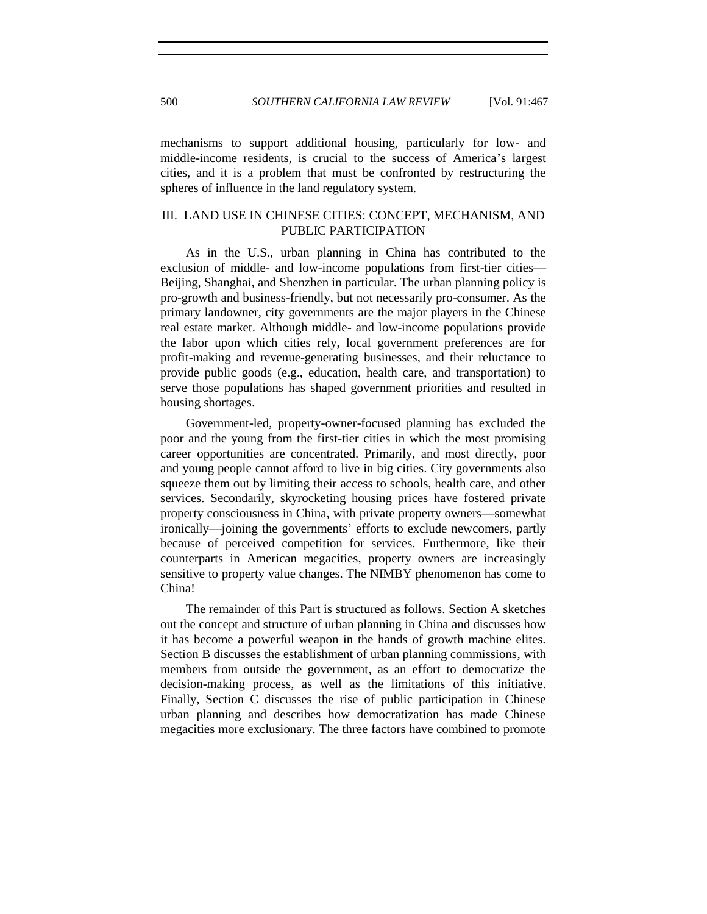mechanisms to support additional housing, particularly for low- and middle-income residents, is crucial to the success of America's largest cities, and it is a problem that must be confronted by restructuring the spheres of influence in the land regulatory system.

## <span id="page-33-0"></span>III. LAND USE IN CHINESE CITIES: CONCEPT, MECHANISM, AND PUBLIC PARTICIPATION

As in the U.S., urban planning in China has contributed to the exclusion of middle- and low-income populations from first-tier cities— Beijing, Shanghai, and Shenzhen in particular. The urban planning policy is pro-growth and business-friendly, but not necessarily pro-consumer. As the primary landowner, city governments are the major players in the Chinese real estate market. Although middle- and low-income populations provide the labor upon which cities rely, local government preferences are for profit-making and revenue-generating businesses, and their reluctance to provide public goods (e.g., education, health care, and transportation) to serve those populations has shaped government priorities and resulted in housing shortages.

Government-led, property-owner-focused planning has excluded the poor and the young from the first-tier cities in which the most promising career opportunities are concentrated. Primarily, and most directly, poor and young people cannot afford to live in big cities. City governments also squeeze them out by limiting their access to schools, health care, and other services. Secondarily, skyrocketing housing prices have fostered private property consciousness in China, with private property owners—somewhat ironically—joining the governments' efforts to exclude newcomers, partly because of perceived competition for services. Furthermore, like their counterparts in American megacities, property owners are increasingly sensitive to property value changes. The NIMBY phenomenon has come to China!

The remainder of this Part is structured as follows. Section A sketches out the concept and structure of urban planning in China and discusses how it has become a powerful weapon in the hands of growth machine elites. Section B discusses the establishment of urban planning commissions, with members from outside the government, as an effort to democratize the decision-making process, as well as the limitations of this initiative. Finally, Section C discusses the rise of public participation in Chinese urban planning and describes how democratization has made Chinese megacities more exclusionary. The three factors have combined to promote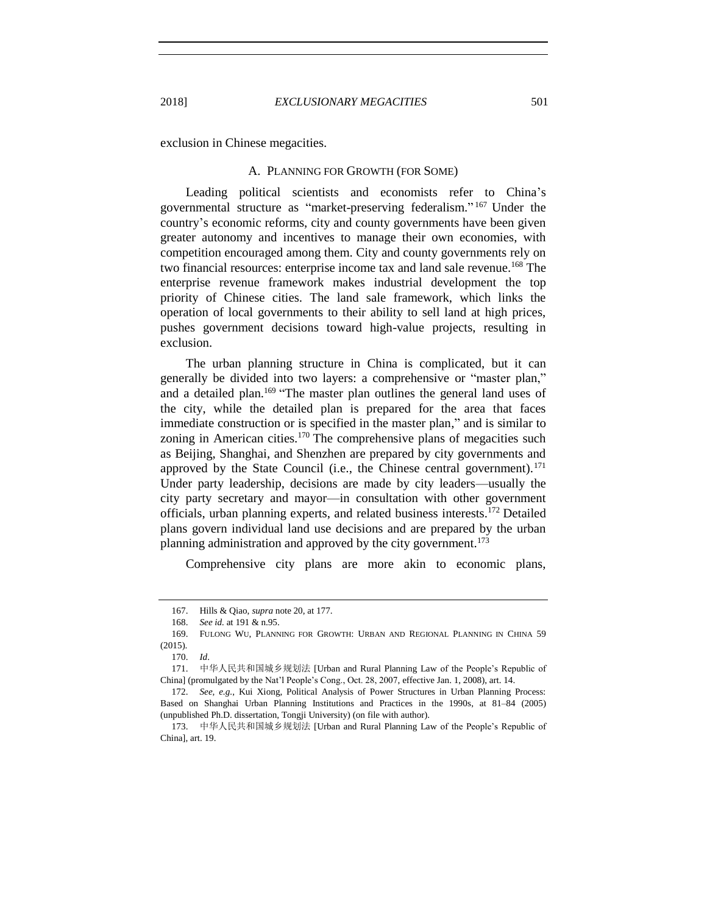<span id="page-34-0"></span>exclusion in Chinese megacities.

## A. PLANNING FOR GROWTH (FOR SOME)

Leading political scientists and economists refer to China's governmental structure as "market-preserving federalism." <sup>167</sup> Under the country's economic reforms, city and county governments have been given greater autonomy and incentives to manage their own economies, with competition encouraged among them. City and county governments rely on two financial resources: enterprise income tax and land sale revenue.<sup>168</sup> The enterprise revenue framework makes industrial development the top priority of Chinese cities. The land sale framework, which links the operation of local governments to their ability to sell land at high prices, pushes government decisions toward high-value projects, resulting in exclusion.

<span id="page-34-1"></span>The urban planning structure in China is complicated, but it can generally be divided into two layers: a comprehensive or "master plan," and a detailed plan.<sup>169</sup> "The master plan outlines the general land uses of the city, while the detailed plan is prepared for the area that faces immediate construction or is specified in the master plan," and is similar to zoning in American cities.<sup>170</sup> The comprehensive plans of megacities such as Beijing, Shanghai, and Shenzhen are prepared by city governments and approved by the State Council (i.e., the Chinese central government).<sup>171</sup> Under party leadership, decisions are made by city leaders—usually the city party secretary and mayor—in consultation with other government officials, urban planning experts, and related business interests.<sup>172</sup> Detailed plans govern individual land use decisions and are prepared by the urban planning administration and approved by the city government.<sup>173</sup>

Comprehensive city plans are more akin to economic plans,

<sup>167.</sup> Hills & Qiao, *supra* not[e 20,](#page-5-0) at 177.

<sup>168.</sup> *See id.* at 191 & n.95.

<sup>169.</sup> FULONG WU, PLANNING FOR GROWTH: URBAN AND REGIONAL PLANNING IN CHINA 59 (2015).

<sup>170.</sup> *Id*.

<sup>171.</sup> 中华人民共和国城乡规划法 [Urban and Rural Planning Law of the People's Republic of China] (promulgated by the Nat'l People's Cong., Oct. 28, 2007, effective Jan. 1, 2008), art. 14.

<sup>172.</sup> *See, e.g.*, Kui Xiong, Political Analysis of Power Structures in Urban Planning Process: Based on Shanghai Urban Planning Institutions and Practices in the 1990s, at 81–84 (2005) (unpublished Ph.D. dissertation, Tongji University) (on file with author).

<sup>173.</sup> 中华人民共和国城乡规划法 [Urban and Rural Planning Law of the People's Republic of China], art. 19.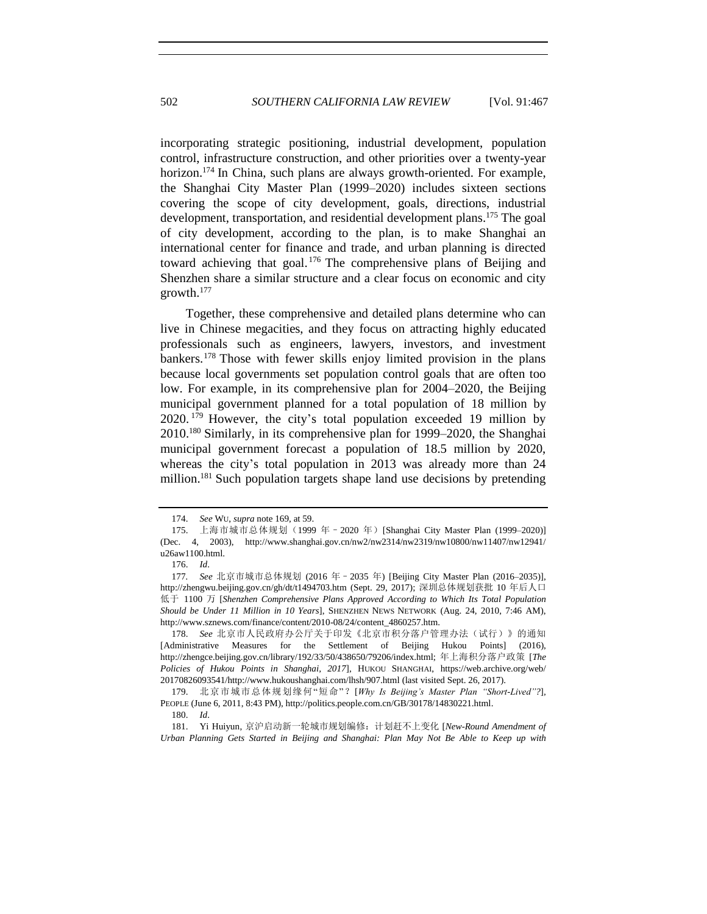incorporating strategic positioning, industrial development, population control, infrastructure construction, and other priorities over a twenty-year horizon.<sup>174</sup> In China, such plans are always growth-oriented. For example, the Shanghai City Master Plan (1999–2020) includes sixteen sections covering the scope of city development, goals, directions, industrial development, transportation, and residential development plans.<sup>175</sup> The goal of city development, according to the plan, is to make Shanghai an international center for finance and trade, and urban planning is directed toward achieving that goal. <sup>176</sup> The comprehensive plans of Beijing and Shenzhen share a similar structure and a clear focus on economic and city growth.<sup>177</sup>

Together, these comprehensive and detailed plans determine who can live in Chinese megacities, and they focus on attracting highly educated professionals such as engineers, lawyers, investors, and investment bankers.<sup>178</sup> Those with fewer skills enjoy limited provision in the plans because local governments set population control goals that are often too low. For example, in its comprehensive plan for 2004–2020, the Beijing municipal government planned for a total population of 18 million by 2020. <sup>179</sup> However, the city's total population exceeded 19 million by 2010.<sup>180</sup> Similarly, in its comprehensive plan for 1999–2020, the Shanghai municipal government forecast a population of 18.5 million by 2020, whereas the city's total population in 2013 was already more than 24 million.<sup>181</sup> Such population targets shape land use decisions by pretending

<sup>174.</sup> *See* WU, *supra* not[e 169,](#page-34-1) at 59.

<sup>175.</sup> 上海市城市总体规划(1999 年–2020 年)[Shanghai City Master Plan (1999–2020)] (Dec. 4, 2003), http://www.shanghai.gov.cn/nw2/nw2314/nw2319/nw10800/nw11407/nw12941/ u26aw1100.html.

<sup>176.</sup> *Id*.

<sup>177</sup>*. See* 北京市城市总体规划 (2016 年–2035 年) [Beijing City Master Plan (2016–2035)], http://zhengwu.beijing.gov.cn/gh/dt/t1494703.htm (Sept. 29, 2017); 深圳总体规划获批 10 年后人口 低于 1100 万 [*Shenzhen Comprehensive Plans Approved According to Which Its Total Population Should be Under 11 Million in 10 Years*], SHENZHEN NEWS NETWORK (Aug. 24, 2010, 7:46 AM), http://www.sznews.com/finance/content/2010-08/24/content\_4860257.htm.

<sup>178.</sup> *See* 北京市人民政府办公厅关于印发《北京市积分落户管理办法(试行)》的通知 [Administrative Measures for the Settlement of Beijing Hukou Points] (2016), http://zhengce.beijing.gov.cn/library/192/33/50/438650/79206/index.html; 年上海积分落户政策 [*The Policies of Hukou Points in Shanghai, 2017*], HUKOU SHANGHAI, https://web.archive.org/web/ 20170826093541/http://www.hukoushanghai.com/lhsh/907.html (last visited Sept. 26, 2017).

<sup>179.</sup> 北京市城市总体规划缘何"短命"?[*Why Is Beijing's Master Plan "Short-Lived"?*]*,* PEOPLE (June 6, 2011, 8:43 PM), http://politics.people.com.cn/GB/30178/14830221.html.

<sup>180.</sup> *Id*.

<sup>181.</sup> Yi Huiyun, 京沪启动新一轮城市规划编修:计划赶不上变化 [*New-Round Amendment of Urban Planning Gets Started in Beijing and Shanghai: Plan May Not Be Able to Keep up with*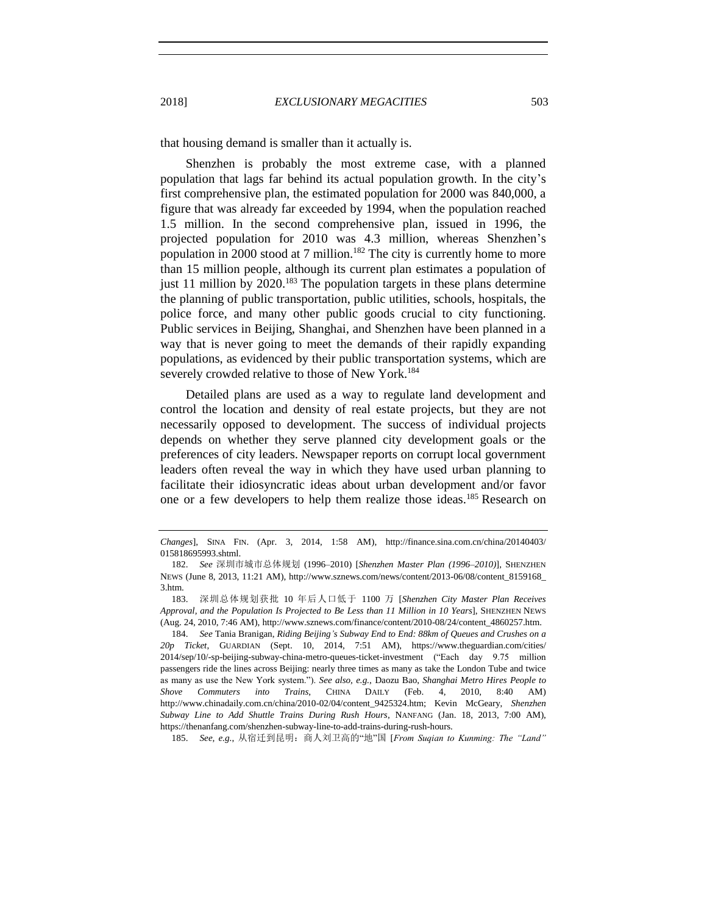that housing demand is smaller than it actually is.

Shenzhen is probably the most extreme case, with a planned population that lags far behind its actual population growth. In the city's first comprehensive plan, the estimated population for 2000 was 840,000, a figure that was already far exceeded by 1994, when the population reached 1.5 million. In the second comprehensive plan, issued in 1996, the projected population for 2010 was 4.3 million, whereas Shenzhen's population in 2000 stood at 7 million.<sup>182</sup> The city is currently home to more than 15 million people, although its current plan estimates a population of just 11 million by 2020.<sup>183</sup> The population targets in these plans determine the planning of public transportation, public utilities, schools, hospitals, the police force, and many other public goods crucial to city functioning. Public services in Beijing, Shanghai, and Shenzhen have been planned in a way that is never going to meet the demands of their rapidly expanding populations, as evidenced by their public transportation systems, which are severely crowded relative to those of New York.<sup>184</sup>

Detailed plans are used as a way to regulate land development and control the location and density of real estate projects, but they are not necessarily opposed to development. The success of individual projects depends on whether they serve planned city development goals or the preferences of city leaders. Newspaper reports on corrupt local government leaders often reveal the way in which they have used urban planning to facilitate their idiosyncratic ideas about urban development and/or favor one or a few developers to help them realize those ideas.<sup>185</sup> Research on

185. *See, e.g.*, 从宿迁到昆明:商人刘卫高的"地"国 [*From Suqian to Kunming: The "Land"* 

*Changes*], SINA FIN. (Apr. 3, 2014, 1:58 AM), http://finance.sina.com.cn/china/20140403/ 015818695993.shtml.

<sup>182.</sup> *See* 深圳市城市总体规划 (1996–2010) [*Shenzhen Master Plan (1996–2010)*], SHENZHEN NEWS (June 8, 2013, 11:21 AM), http://www.sznews.com/news/content/2013-06/08/content\_8159168\_ 3.htm.

<sup>183.</sup> 深圳总体规划获批 10 年后人口低于 1100 万 [*Shenzhen City Master Plan Receives Approval, and the Population Is Projected to Be Less than 11 Million in 10 Years*], SHENZHEN NEWS (Aug. 24, 2010, 7:46 AM), http://www.sznews.com/finance/content/2010-08/24/content\_4860257.htm.

<sup>184.</sup> *See* Tania Branigan, *Riding Beijing's Subway End to End: 88km of Queues and Crushes on a 20p Ticket*, GUARDIAN (Sept. 10, 2014, 7:51 AM), https://www.theguardian.com/cities/ 2014/sep/10/-sp-beijing-subway-china-metro-queues-ticket-investment ("Each day 9.75 million passengers ride the lines across Beijing: nearly three times as many as take the London Tube and twice as many as use the New York system."). *See also, e.g.*, Daozu Bao, *Shanghai Metro Hires People to Shove Commuters into Trains*, CHINA DAILY (Feb. 4, 2010, 8:40 AM) http://www.chinadaily.com.cn/china/2010-02/04/content\_9425324.htm; Kevin McGeary, *Shenzhen Subway Line to Add Shuttle Trains During Rush Hours*, NANFANG (Jan. 18, 2013, 7:00 AM), https://thenanfang.com/shenzhen-subway-line-to-add-trains-during-rush-hours.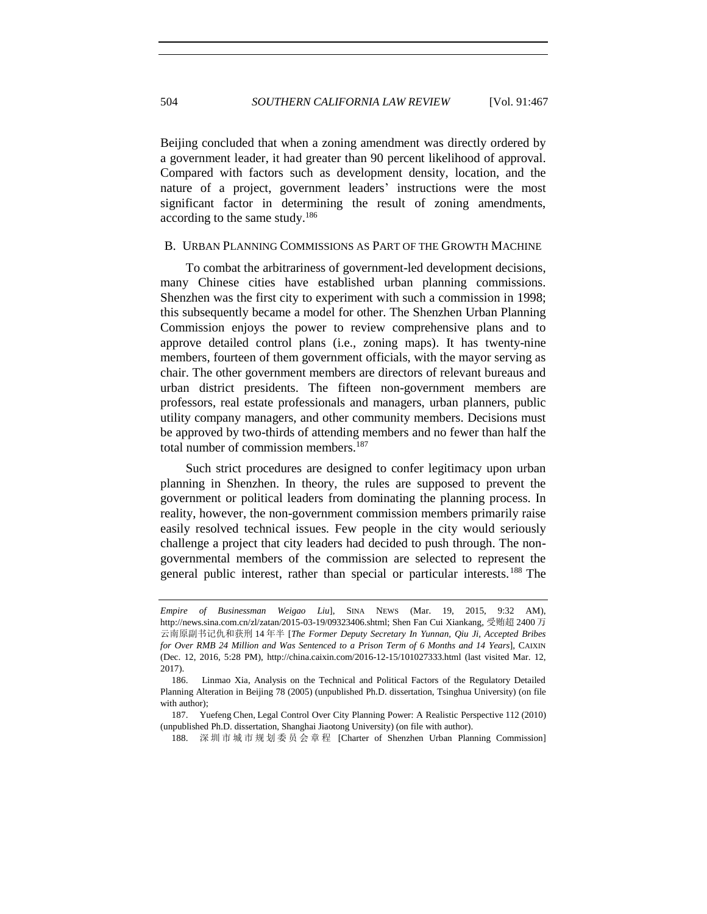Beijing concluded that when a zoning amendment was directly ordered by a government leader, it had greater than 90 percent likelihood of approval. Compared with factors such as development density, location, and the nature of a project, government leaders' instructions were the most significant factor in determining the result of zoning amendments, according to the same study.<sup>186</sup>

#### <span id="page-37-0"></span>B. URBAN PLANNING COMMISSIONS AS PART OF THE GROWTH MACHINE

To combat the arbitrariness of government-led development decisions, many Chinese cities have established urban planning commissions. Shenzhen was the first city to experiment with such a commission in 1998; this subsequently became a model for other. The Shenzhen Urban Planning Commission enjoys the power to review comprehensive plans and to approve detailed control plans (i.e., zoning maps). It has twenty-nine members, fourteen of them government officials, with the mayor serving as chair. The other government members are directors of relevant bureaus and urban district presidents. The fifteen non-government members are professors, real estate professionals and managers, urban planners, public utility company managers, and other community members. Decisions must be approved by two-thirds of attending members and no fewer than half the total number of commission members.<sup>187</sup>

<span id="page-37-1"></span>Such strict procedures are designed to confer legitimacy upon urban planning in Shenzhen. In theory, the rules are supposed to prevent the government or political leaders from dominating the planning process. In reality, however, the non-government commission members primarily raise easily resolved technical issues. Few people in the city would seriously challenge a project that city leaders had decided to push through. The nongovernmental members of the commission are selected to represent the general public interest, rather than special or particular interests.<sup>188</sup> The

*Empire of Businessman Weigao Liu*], SINA NEWS (Mar. 19, 2015, 9:32 AM), http://news.sina.com.cn/zl/zatan/2015-03-19/09323406.shtml; Shen Fan Cui Xiankang, 受贿超 2400 万 云南原副书记仇和获刑 14 年半 [*The Former Deputy Secretary In Yunnan, Qiu Ji, Accepted Bribes for Over RMB 24 Million and Was Sentenced to a Prison Term of 6 Months and 14 Years*], CAIXIN (Dec. 12, 2016, 5:28 PM), http://china.caixin.com/2016-12-15/101027333.html (last visited Mar. 12, 2017).

<sup>186.</sup> Linmao Xia, Analysis on the Technical and Political Factors of the Regulatory Detailed Planning Alteration in Beijing 78 (2005) (unpublished Ph.D. dissertation, Tsinghua University) (on file with author);

<sup>187.</sup> Yuefeng Chen, Legal Control Over City Planning Power: A Realistic Perspective 112 (2010) (unpublished Ph.D. dissertation, Shanghai Jiaotong University) (on file with author).

<sup>188.</sup> 深圳市城市规划委员会章程 [Charter of Shenzhen Urban Planning Commission]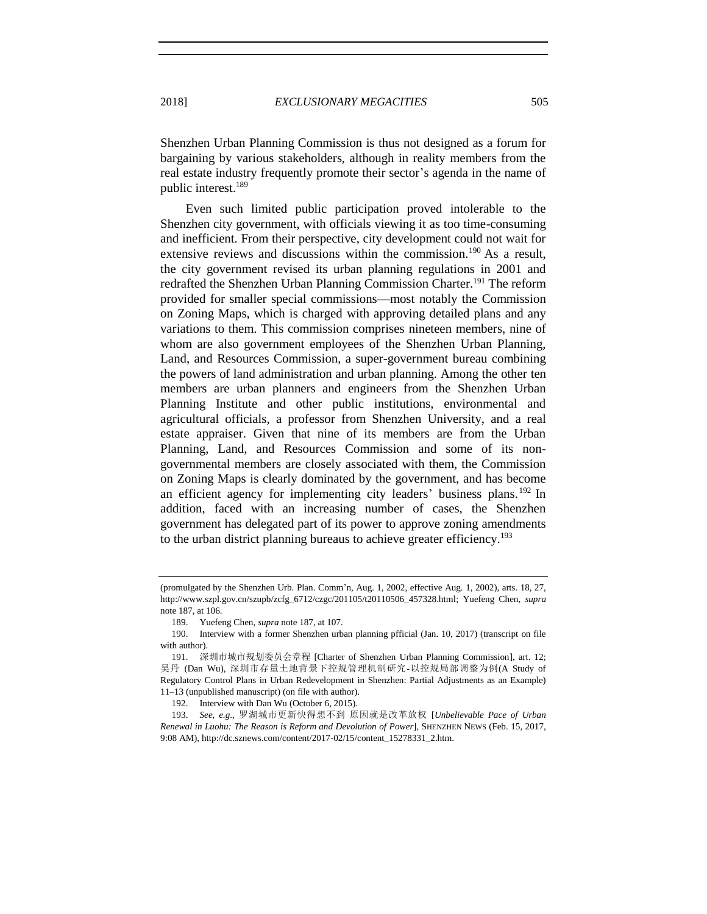Shenzhen Urban Planning Commission is thus not designed as a forum for bargaining by various stakeholders, although in reality members from the real estate industry frequently promote their sector's agenda in the name of public interest.<sup>189</sup>

Even such limited public participation proved intolerable to the Shenzhen city government, with officials viewing it as too time-consuming and inefficient. From their perspective, city development could not wait for extensive reviews and discussions within the commission.<sup>190</sup> As a result, the city government revised its urban planning regulations in 2001 and redrafted the Shenzhen Urban Planning Commission Charter.<sup>191</sup> The reform provided for smaller special commissions—most notably the Commission on Zoning Maps, which is charged with approving detailed plans and any variations to them. This commission comprises nineteen members, nine of whom are also government employees of the Shenzhen Urban Planning, Land, and Resources Commission, a super-government bureau combining the powers of land administration and urban planning. Among the other ten members are urban planners and engineers from the Shenzhen Urban Planning Institute and other public institutions, environmental and agricultural officials, a professor from Shenzhen University, and a real estate appraiser. Given that nine of its members are from the Urban Planning, Land, and Resources Commission and some of its nongovernmental members are closely associated with them, the Commission on Zoning Maps is clearly dominated by the government, and has become an efficient agency for implementing city leaders' business plans.<sup>192</sup> In addition, faced with an increasing number of cases, the Shenzhen government has delegated part of its power to approve zoning amendments to the urban district planning bureaus to achieve greater efficiency.<sup>193</sup>

<sup>(</sup>promulgated by the Shenzhen Urb. Plan. Comm'n, Aug. 1, 2002, effective Aug. 1, 2002), arts. 18, 27, http://www.szpl.gov.cn/szupb/zcfg\_6712/czgc/201105/t20110506\_457328.html; Yuefeng Chen, *supra* note [187,](#page-37-1) at 106.

<sup>189.</sup> Yuefeng Chen, *supra* not[e 187,](#page-37-1) at 107.

<sup>190.</sup> Interview with a former Shenzhen urban planning pfficial (Jan. 10, 2017) (transcript on file with author).

<sup>191.</sup> 深圳市城市规划委员会章程 [Charter of Shenzhen Urban Planning Commission], art. 12; 吴丹 (Dan Wu), 深圳市存量土地背景下控规管理机制研究-以控规局部调整为例(A Study of Regulatory Control Plans in Urban Redevelopment in Shenzhen: Partial Adjustments as an Example) 11–13 (unpublished manuscript) (on file with author).

<sup>192.</sup> Interview with Dan Wu (October 6, 2015).

<sup>193.</sup> *See, e.g.*, 罗湖城市更新快得想不到 原因就是改革放权 [*Unbelievable Pace of Urban Renewal in Luohu: The Reason is Reform and Devolution of Power*], SHENZHEN NEWS (Feb. 15, 2017, 9:08 AM), http://dc.sznews.com/content/2017-02/15/content\_15278331\_2.htm.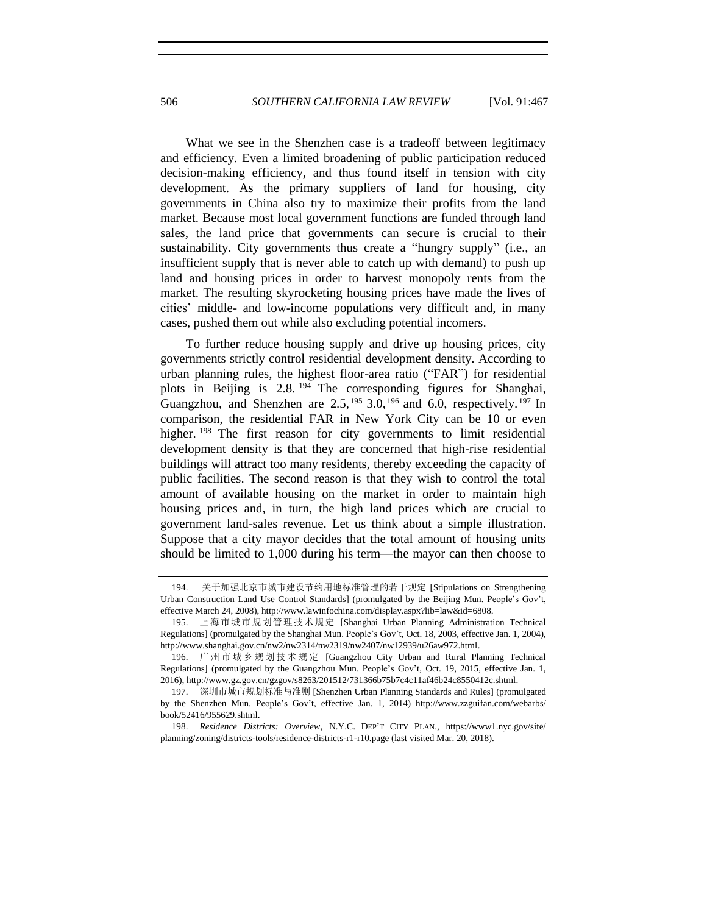What we see in the Shenzhen case is a tradeoff between legitimacy and efficiency. Even a limited broadening of public participation reduced decision-making efficiency, and thus found itself in tension with city development. As the primary suppliers of land for housing, city governments in China also try to maximize their profits from the land market. Because most local government functions are funded through land sales, the land price that governments can secure is crucial to their sustainability. City governments thus create a "hungry supply" (i.e., an insufficient supply that is never able to catch up with demand) to push up land and housing prices in order to harvest monopoly rents from the market. The resulting skyrocketing housing prices have made the lives of cities' middle- and low-income populations very difficult and, in many cases, pushed them out while also excluding potential incomers.

To further reduce housing supply and drive up housing prices, city governments strictly control residential development density. According to urban planning rules, the highest floor-area ratio ("FAR") for residential plots in Beijing is 2.8. <sup>194</sup> The corresponding figures for Shanghai, Guangzhou, and Shenzhen are  $2.5$ ,  $^{195}$  3.0,  $^{196}$  and 6.0, respectively.  $^{197}$  In comparison, the residential FAR in New York City can be 10 or even higher. <sup>198</sup> The first reason for city governments to limit residential development density is that they are concerned that high-rise residential buildings will attract too many residents, thereby exceeding the capacity of public facilities. The second reason is that they wish to control the total amount of available housing on the market in order to maintain high housing prices and, in turn, the high land prices which are crucial to government land-sales revenue. Let us think about a simple illustration. Suppose that a city mayor decides that the total amount of housing units should be limited to 1,000 during his term—the mayor can then choose to

<sup>194.</sup> 关于加强北京市城市建设节约用地标准管理的若干规定 [Stipulations on Strengthening Urban Construction Land Use Control Standards] (promulgated by the Beijing Mun. People's Gov't, effective March 24, 2008), http://www.lawinfochina.com/display.aspx?lib=law&id=6808.

<sup>195.</sup> 上海市城市规划管理技术规定 [Shanghai Urban Planning Administration Technical Regulations] (promulgated by the Shanghai Mun. People's Gov't, Oct. 18, 2003, effective Jan. 1, 2004), http://www.shanghai.gov.cn/nw2/nw2314/nw2319/nw2407/nw12939/u26aw972.html.

<sup>196.</sup> 广州市城乡规划技术规定 [Guangzhou City Urban and Rural Planning Technical Regulations] (promulgated by the Guangzhou Mun. People's Gov't, Oct. 19, 2015, effective Jan. 1, 2016), http://www.gz.gov.cn/gzgov/s8263/201512/731366b75b7c4c11af46b24c8550412c.shtml.

<sup>197.</sup> 深圳市城市规划标准与准则 [Shenzhen Urban Planning Standards and Rules] (promulgated by the Shenzhen Mun. People's Gov't, effective Jan. 1, 2014) http://www.zzguifan.com/webarbs/ book/52416/955629.shtml.

<sup>198.</sup> *Residence Districts: Overview*, N.Y.C. DEP'T CITY PLAN., https://www1.nyc.gov/site/ planning/zoning/districts-tools/residence-districts-r1-r10.page (last visited Mar. 20, 2018).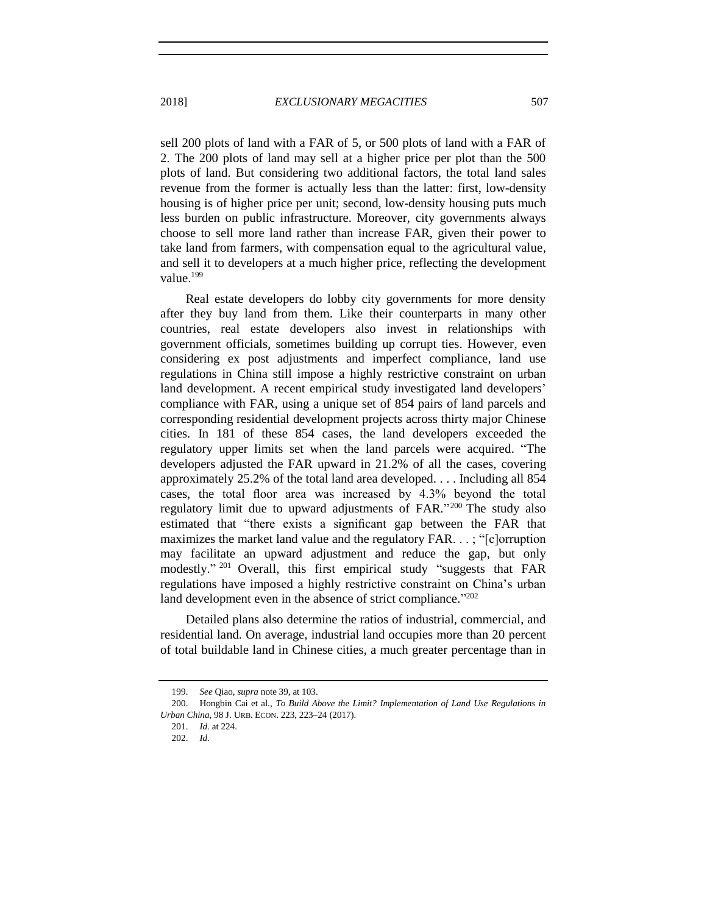sell 200 plots of land with a FAR of 5, or 500 plots of land with a FAR of 2. The 200 plots of land may sell at a higher price per plot than the 500 plots of land. But considering two additional factors, the total land sales revenue from the former is actually less than the latter: first, low-density housing is of higher price per unit; second, low-density housing puts much less burden on public infrastructure. Moreover, city governments always choose to sell more land rather than increase FAR, given their power to take land from farmers, with compensation equal to the agricultural value, and sell it to developers at a much higher price, reflecting the development value. 199

Real estate developers do lobby city governments for more density after they buy land from them. Like their counterparts in many other countries, real estate developers also invest in relationships with government officials, sometimes building up corrupt ties. However, even considering ex post adjustments and imperfect compliance, land use regulations in China still impose a highly restrictive constraint on urban land development. A recent empirical study investigated land developers' compliance with FAR, using a unique set of 854 pairs of land parcels and corresponding residential development projects across thirty major Chinese cities. In 181 of these 854 cases, the land developers exceeded the regulatory upper limits set when the land parcels were acquired. "The developers adjusted the FAR upward in 21.2% of all the cases, covering approximately 25.2% of the total land area developed. . . . Including all 854 cases, the total floor area was increased by 4.3% beyond the total regulatory limit due to upward adjustments of FAR."<sup>200</sup> The study also estimated that "there exists a significant gap between the FAR that maximizes the market land value and the regulatory FAR. . . ; "[c]orruption may facilitate an upward adjustment and reduce the gap, but only modestly." <sup>201</sup> Overall, this first empirical study "suggests that FAR regulations have imposed a highly restrictive constraint on China's urban land development even in the absence of strict compliance."202

Detailed plans also determine the ratios of industrial, commercial, and residential land. On average, industrial land occupies more than 20 percent of total buildable land in Chinese cities, a much greater percentage than in

<sup>199.</sup> *See* Qiao, *supra* not[e 39,](#page-10-0) at 103.

<sup>200.</sup> Hongbin Cai et al., *To Build Above the Limit? Implementation of Land Use Regulations in Urban China*, 98 J. URB. ECON. 223, 223–24 (2017).

<sup>201.</sup> *Id.* at 224.

<sup>202.</sup> *Id.*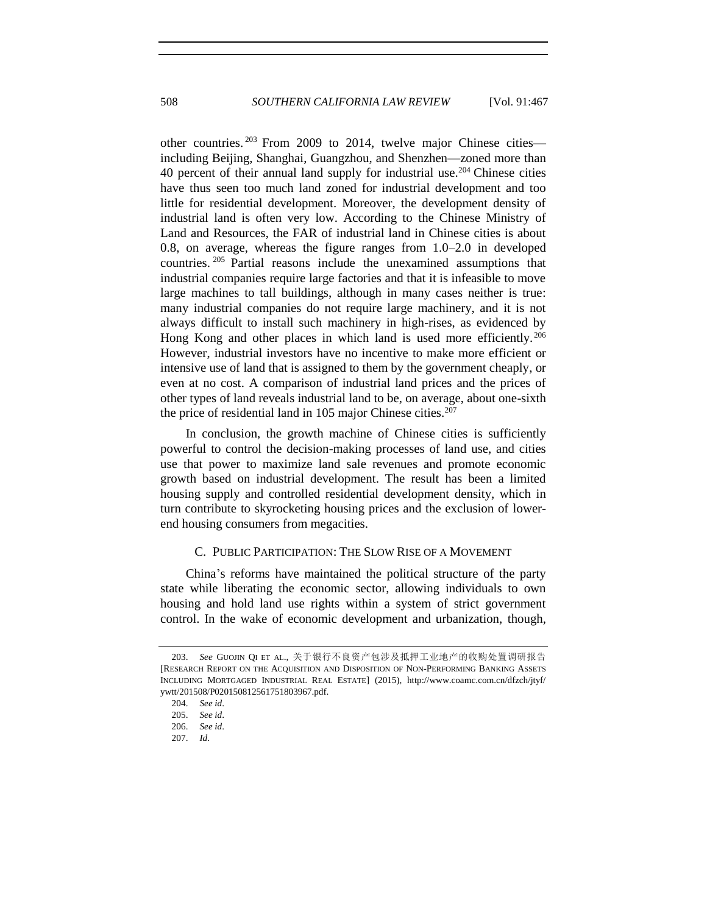other countries.<sup>203</sup> From 2009 to 2014, twelve major Chinese cities including Beijing, Shanghai, Guangzhou, and Shenzhen—zoned more than 40 percent of their annual land supply for industrial use.<sup>204</sup> Chinese cities have thus seen too much land zoned for industrial development and too little for residential development. Moreover, the development density of industrial land is often very low. According to the Chinese Ministry of Land and Resources, the FAR of industrial land in Chinese cities is about 0.8, on average, whereas the figure ranges from 1.0–2.0 in developed countries. <sup>205</sup> Partial reasons include the unexamined assumptions that industrial companies require large factories and that it is infeasible to move large machines to tall buildings, although in many cases neither is true: many industrial companies do not require large machinery, and it is not always difficult to install such machinery in high-rises, as evidenced by Hong Kong and other places in which land is used more efficiently.<sup>206</sup> However, industrial investors have no incentive to make more efficient or intensive use of land that is assigned to them by the government cheaply, or even at no cost. A comparison of industrial land prices and the prices of other types of land reveals industrial land to be, on average, about one-sixth the price of residential land in 105 major Chinese cities.<sup>207</sup>

In conclusion, the growth machine of Chinese cities is sufficiently powerful to control the decision-making processes of land use, and cities use that power to maximize land sale revenues and promote economic growth based on industrial development. The result has been a limited housing supply and controlled residential development density, which in turn contribute to skyrocketing housing prices and the exclusion of lowerend housing consumers from megacities.

## C. PUBLIC PARTICIPATION: THE SLOW RISE OF A MOVEMENT

<span id="page-41-0"></span>China's reforms have maintained the political structure of the party state while liberating the economic sector, allowing individuals to own housing and hold land use rights within a system of strict government control. In the wake of economic development and urbanization, though,

<sup>203.</sup> *See* GUOJIN QI ET AL., 关于银行不良资产包涉及抵押工业地产的收购处置调研报告 [RESEARCH REPORT ON THE ACQUISITION AND DISPOSITION OF NON-PERFORMING BANKING ASSETS INCLUDING MORTGAGED INDUSTRIAL REAL ESTATE] (2015), http://www.coamc.com.cn/dfzch/jtyf/ ywtt/201508/P020150812561751803967.pdf.

<sup>204.</sup> *See id*.

<sup>205.</sup> *See id*.

<sup>206.</sup> *See id*.

<sup>207.</sup> *Id*.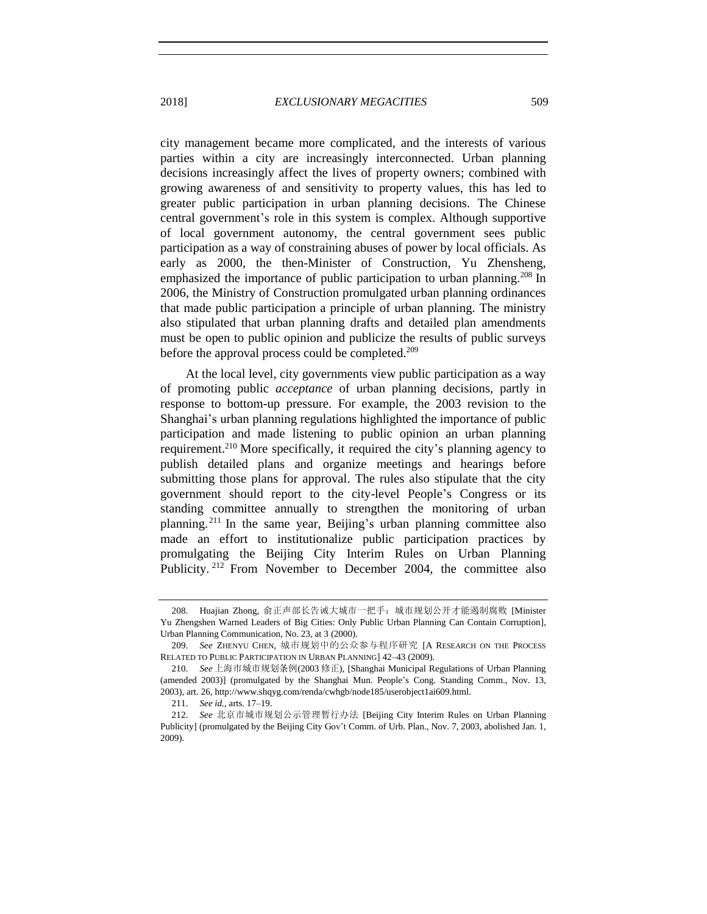city management became more complicated, and the interests of various parties within a city are increasingly interconnected. Urban planning decisions increasingly affect the lives of property owners; combined with growing awareness of and sensitivity to property values, this has led to greater public participation in urban planning decisions. The Chinese central government's role in this system is complex. Although supportive of local government autonomy, the central government sees public participation as a way of constraining abuses of power by local officials. As early as 2000, the then-Minister of Construction, Yu Zhensheng, emphasized the importance of public participation to urban planning.<sup>208</sup> In 2006, the Ministry of Construction promulgated urban planning ordinances that made public participation a principle of urban planning. The ministry also stipulated that urban planning drafts and detailed plan amendments must be open to public opinion and publicize the results of public surveys before the approval process could be completed.<sup>209</sup>

At the local level, city governments view public participation as a way of promoting public *acceptance* of urban planning decisions, partly in response to bottom-up pressure. For example, the 2003 revision to the Shanghai's urban planning regulations highlighted the importance of public participation and made listening to public opinion an urban planning requirement.<sup>210</sup> More specifically, it required the city's planning agency to publish detailed plans and organize meetings and hearings before submitting those plans for approval. The rules also stipulate that the city government should report to the city-level People's Congress or its standing committee annually to strengthen the monitoring of urban planning. <sup>211</sup> In the same year, Beijing's urban planning committee also made an effort to institutionalize public participation practices by promulgating the Beijing City Interim Rules on Urban Planning Publicity. <sup>212</sup> From November to December 2004, the committee also

<sup>208.</sup> Huajian Zhong, 俞正声部长告诫大城市一把手:城市规划公开才能遏制腐败 [Minister Yu Zhengshen Warned Leaders of Big Cities: Only Public Urban Planning Can Contain Corruption], Urban Planning Communication, No. 23, at 3 (2000).

<sup>209.</sup> *See* ZHENYU CHEN, 城市规划中的公众参与程序研究 [A RESEARCH ON THE PROCESS RELATED TO PUBLIC PARTICIPATION IN URBAN PLANNING] 42–43 (2009).

<sup>210.</sup> *See* 上海市城市规划条例(2003 修正), [Shanghai Municipal Regulations of Urban Planning (amended 2003)] (promulgated by the Shanghai Mun. People's Cong. Standing Comm., Nov. 13, 2003), art. 26, http://www.shqyg.com/renda/cwhgb/node185/userobject1ai609.html.

<sup>211.</sup> *See id.*, arts. 17–19.

<sup>212.</sup> *See* 北京市城市规划公示管理暂行办法 [Beijing City Interim Rules on Urban Planning Publicity] (promulgated by the Beijing City Gov't Comm. of Urb. Plan., Nov. 7, 2003, abolished Jan. 1, 2009).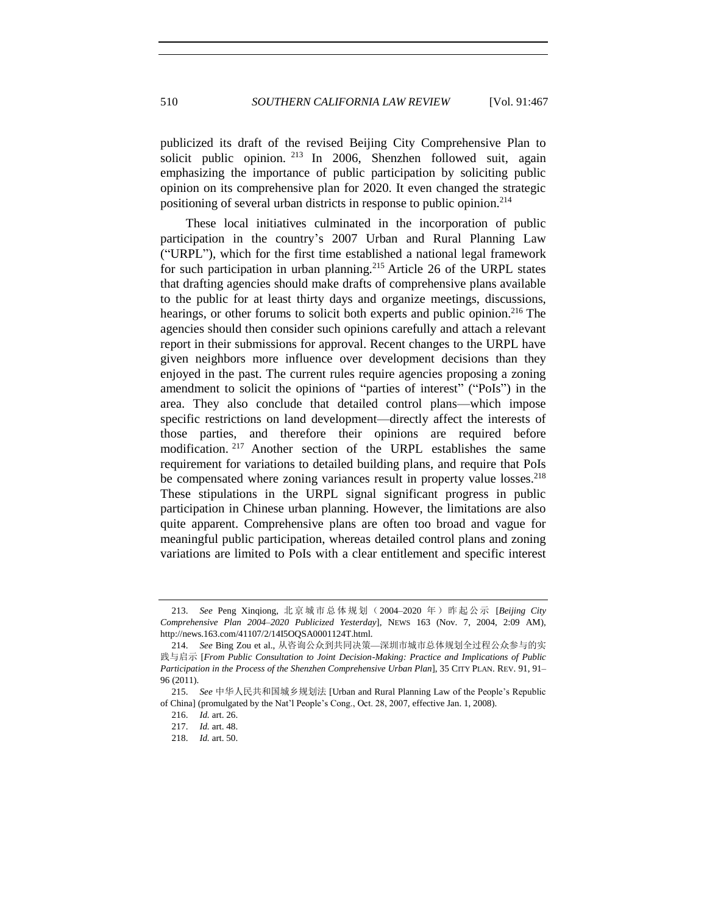publicized its draft of the revised Beijing City Comprehensive Plan to solicit public opinion.  $2^{13}$  In 2006, Shenzhen followed suit, again emphasizing the importance of public participation by soliciting public opinion on its comprehensive plan for 2020. It even changed the strategic positioning of several urban districts in response to public opinion.<sup>214</sup>

These local initiatives culminated in the incorporation of public participation in the country's 2007 Urban and Rural Planning Law ("URPL"), which for the first time established a national legal framework for such participation in urban planning.<sup>215</sup> Article 26 of the URPL states that drafting agencies should make drafts of comprehensive plans available to the public for at least thirty days and organize meetings, discussions, hearings, or other forums to solicit both experts and public opinion.<sup>216</sup> The agencies should then consider such opinions carefully and attach a relevant report in their submissions for approval. Recent changes to the URPL have given neighbors more influence over development decisions than they enjoyed in the past. The current rules require agencies proposing a zoning amendment to solicit the opinions of "parties of interest" ("PoIs") in the area. They also conclude that detailed control plans—which impose specific restrictions on land development—directly affect the interests of those parties, and therefore their opinions are required before modification. <sup>217</sup> Another section of the URPL establishes the same requirement for variations to detailed building plans, and require that PoIs be compensated where zoning variances result in property value losses.<sup>218</sup> These stipulations in the URPL signal significant progress in public participation in Chinese urban planning. However, the limitations are also quite apparent. Comprehensive plans are often too broad and vague for meaningful public participation, whereas detailed control plans and zoning variations are limited to PoIs with a clear entitlement and specific interest

<sup>213.</sup> *See* Peng Xinqiong, 北京城市总体规划(2004–2020 年)昨起公示 [*Beijing City Comprehensive Plan 2004–2020 Publicized Yesterday*], NEWS 163 (Nov. 7, 2004, 2:09 AM), http://news.163.com/41107/2/14I5OQSA0001124T.html.

<sup>214.</sup> *See* Bing Zou et al., 从咨询公众到共同决策—深圳市城市总体规划全过程公众参与的实 践与启示 [*From Public Consultation to Joint Decision-Making: Practice and Implications of Public Participation in the Process of the Shenzhen Comprehensive Urban Plan*], 35 CITY PLAN. REV. 91, 91– 96 (2011).

<sup>215.</sup> *See* 中华人民共和国城乡规划法 [Urban and Rural Planning Law of the People's Republic of China] (promulgated by the Nat'l People's Cong., Oct. 28, 2007, effective Jan. 1, 2008).

<sup>216.</sup> *Id.* art. 26.

<sup>217.</sup> *Id.* art. 48.

<sup>218.</sup> *Id.* art. 50.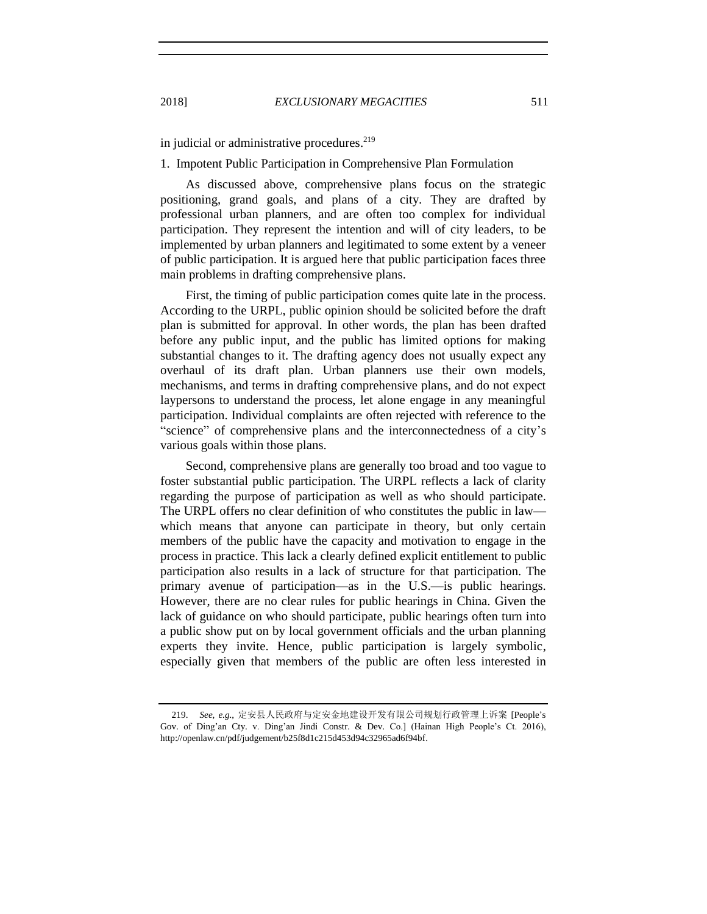in judicial or administrative procedures. 219

## <span id="page-44-0"></span>1. Impotent Public Participation in Comprehensive Plan Formulation

As discussed above, comprehensive plans focus on the strategic positioning, grand goals, and plans of a city. They are drafted by professional urban planners, and are often too complex for individual participation. They represent the intention and will of city leaders, to be implemented by urban planners and legitimated to some extent by a veneer of public participation. It is argued here that public participation faces three main problems in drafting comprehensive plans.

First, the timing of public participation comes quite late in the process. According to the URPL, public opinion should be solicited before the draft plan is submitted for approval. In other words, the plan has been drafted before any public input, and the public has limited options for making substantial changes to it. The drafting agency does not usually expect any overhaul of its draft plan. Urban planners use their own models, mechanisms, and terms in drafting comprehensive plans, and do not expect laypersons to understand the process, let alone engage in any meaningful participation. Individual complaints are often rejected with reference to the "science" of comprehensive plans and the interconnectedness of a city's various goals within those plans.

Second, comprehensive plans are generally too broad and too vague to foster substantial public participation. The URPL reflects a lack of clarity regarding the purpose of participation as well as who should participate. The URPL offers no clear definition of who constitutes the public in law which means that anyone can participate in theory, but only certain members of the public have the capacity and motivation to engage in the process in practice. This lack a clearly defined explicit entitlement to public participation also results in a lack of structure for that participation. The primary avenue of participation—as in the U.S.—is public hearings. However, there are no clear rules for public hearings in China. Given the lack of guidance on who should participate, public hearings often turn into a public show put on by local government officials and the urban planning experts they invite. Hence, public participation is largely symbolic, especially given that members of the public are often less interested in

<sup>219.</sup> *See, e.g.*, 定安县人民政府与定安金地建设开发有限公司规划行政管理上诉案 [People's Gov. of Ding'an Cty. v. Ding'an Jindi Constr. & Dev. Co.] (Hainan High People's Ct. 2016), http://openlaw.cn/pdf/judgement/b25f8d1c215d453d94c32965ad6f94bf.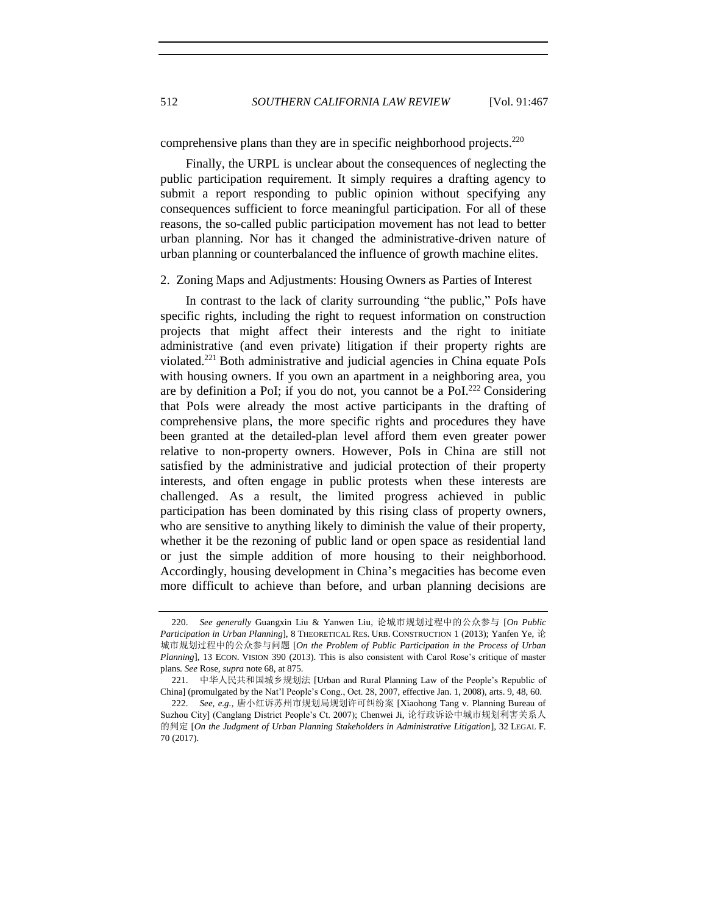512 *SOUTHERN CALIFORNIA LAW REVIEW* [Vol. 91:467

comprehensive plans than they are in specific neighborhood projects.<sup>220</sup>

Finally, the URPL is unclear about the consequences of neglecting the public participation requirement. It simply requires a drafting agency to submit a report responding to public opinion without specifying any consequences sufficient to force meaningful participation. For all of these reasons, the so-called public participation movement has not lead to better urban planning. Nor has it changed the administrative-driven nature of urban planning or counterbalanced the influence of growth machine elites.

## <span id="page-45-0"></span>2. Zoning Maps and Adjustments: Housing Owners as Parties of Interest

In contrast to the lack of clarity surrounding "the public," PoIs have specific rights, including the right to request information on construction projects that might affect their interests and the right to initiate administrative (and even private) litigation if their property rights are violated.<sup>221</sup> Both administrative and judicial agencies in China equate PoIs with housing owners. If you own an apartment in a neighboring area, you are by definition a PoI; if you do not, you cannot be a PoI.<sup>222</sup> Considering that PoIs were already the most active participants in the drafting of comprehensive plans, the more specific rights and procedures they have been granted at the detailed-plan level afford them even greater power relative to non-property owners. However, PoIs in China are still not satisfied by the administrative and judicial protection of their property interests, and often engage in public protests when these interests are challenged. As a result, the limited progress achieved in public participation has been dominated by this rising class of property owners, who are sensitive to anything likely to diminish the value of their property, whether it be the rezoning of public land or open space as residential land or just the simple addition of more housing to their neighborhood. Accordingly, housing development in China's megacities has become even more difficult to achieve than before, and urban planning decisions are

<sup>220.</sup> *See generally* Guangxin Liu & Yanwen Liu, 论城市规划过程中的公众参与 [*On Public Participation in Urban Planning*], 8 THEORETICAL RES. URB. CONSTRUCTION 1 (2013); Yanfen Ye, 论 城市规划过程中的公众参与问题 [*On the Problem of Public Participation in the Process of Urban Planning*], 13 ECON. VISION 390 (2013). This is also consistent with Carol Rose's critique of master plans. *See* Rose, *supra* not[e 68,](#page-15-0) at 875.

<sup>221.</sup> 中华人民共和国城乡规划法 [Urban and Rural Planning Law of the People's Republic of China] (promulgated by the Nat'l People's Cong., Oct. 28, 2007, effective Jan. 1, 2008), arts. 9, 48, 60.

<sup>222.</sup> *See, e.g.*, 唐小红诉苏州市规划局规划许可纠纷案 [Xiaohong Tang v. Planning Bureau of Suzhou City] (Canglang District People's Ct. 2007); Chenwei Ji, 论行政诉讼中城市规划利害关系人 的判定 [*On the Judgment of Urban Planning Stakeholders in Administrative Litigation*], 32 LEGAL F. 70 (2017).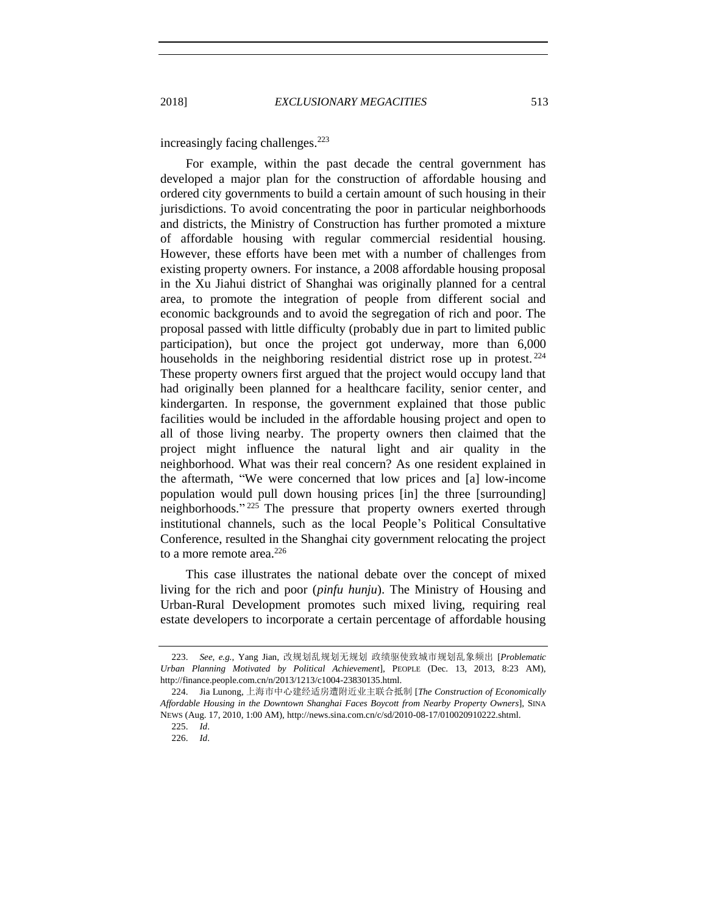increasingly facing challenges. $^{223}$ 

For example, within the past decade the central government has developed a major plan for the construction of affordable housing and ordered city governments to build a certain amount of such housing in their jurisdictions. To avoid concentrating the poor in particular neighborhoods and districts, the Ministry of Construction has further promoted a mixture of affordable housing with regular commercial residential housing. However, these efforts have been met with a number of challenges from existing property owners. For instance, a 2008 affordable housing proposal in the Xu Jiahui district of Shanghai was originally planned for a central area, to promote the integration of people from different social and economic backgrounds and to avoid the segregation of rich and poor. The proposal passed with little difficulty (probably due in part to limited public participation), but once the project got underway, more than 6,000 households in the neighboring residential district rose up in protest.  $224$ These property owners first argued that the project would occupy land that had originally been planned for a healthcare facility, senior center, and kindergarten. In response, the government explained that those public facilities would be included in the affordable housing project and open to all of those living nearby. The property owners then claimed that the project might influence the natural light and air quality in the neighborhood. What was their real concern? As one resident explained in the aftermath, "We were concerned that low prices and [a] low-income population would pull down housing prices [in] the three [surrounding] neighborhoods." <sup>225</sup> The pressure that property owners exerted through institutional channels, such as the local People's Political Consultative Conference, resulted in the Shanghai city government relocating the project to a more remote area.<sup>226</sup>

This case illustrates the national debate over the concept of mixed living for the rich and poor (*pinfu hunju*). The Ministry of Housing and Urban-Rural Development promotes such mixed living, requiring real estate developers to incorporate a certain percentage of affordable housing

<sup>223.</sup> *See, e.g.*, Yang Jian, 改规划乱规划无规划 政绩驱使致城市规划乱象频出 [*Problematic Urban Planning Motivated by Political Achievement*], PEOPLE (Dec. 13, 2013, 8:23 AM), http://finance.people.com.cn/n/2013/1213/c1004-23830135.html.

<sup>224.</sup> Jia Lunong, 上海市中心建经适房遭附近业主联合抵制 [*The Construction of Economically Affordable Housing in the Downtown Shanghai Faces Boycott from Nearby Property Owners*], SINA NEWS (Aug. 17, 2010, 1:00 AM), http://news.sina.com.cn/c/sd/2010-08-17/010020910222.shtml.

<sup>225.</sup> *Id*.

<sup>226.</sup> *Id*.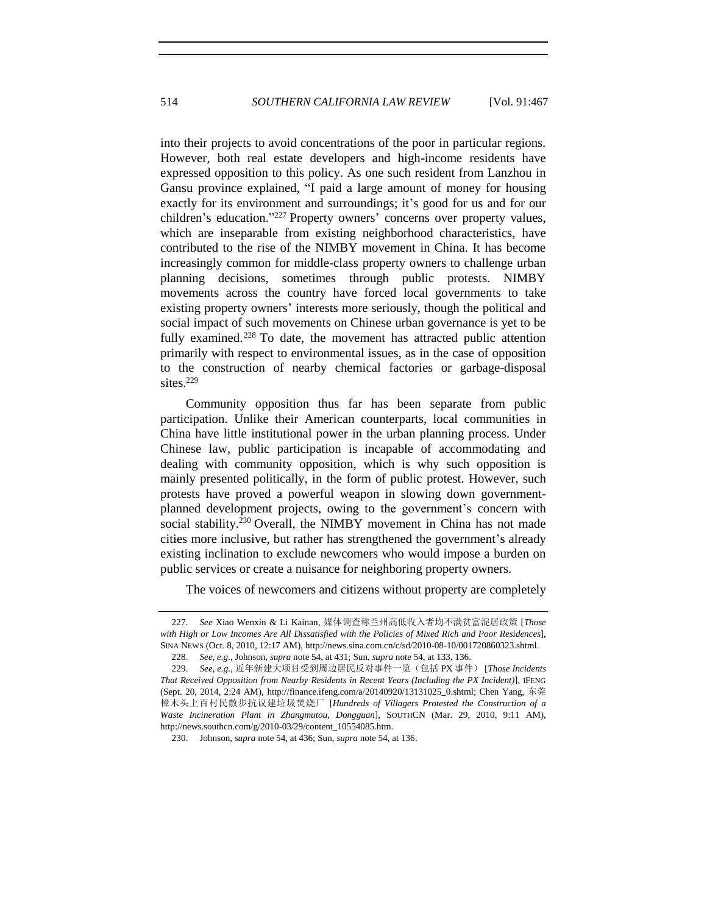into their projects to avoid concentrations of the poor in particular regions. However, both real estate developers and high-income residents have expressed opposition to this policy. As one such resident from Lanzhou in Gansu province explained, "I paid a large amount of money for housing exactly for its environment and surroundings; it's good for us and for our children's education." <sup>227</sup> Property owners' concerns over property values, which are inseparable from existing neighborhood characteristics, have contributed to the rise of the NIMBY movement in China. It has become increasingly common for middle-class property owners to challenge urban planning decisions, sometimes through public protests. NIMBY movements across the country have forced local governments to take existing property owners' interests more seriously, though the political and social impact of such movements on Chinese urban governance is yet to be fully examined.<sup>228</sup> To date, the movement has attracted public attention primarily with respect to environmental issues, as in the case of opposition to the construction of nearby chemical factories or garbage-disposal sites. 229

Community opposition thus far has been separate from public participation. Unlike their American counterparts, local communities in China have little institutional power in the urban planning process. Under Chinese law, public participation is incapable of accommodating and dealing with community opposition, which is why such opposition is mainly presented politically, in the form of public protest. However, such protests have proved a powerful weapon in slowing down governmentplanned development projects, owing to the government's concern with social stability.<sup>230</sup> Overall, the NIMBY movement in China has not made cities more inclusive, but rather has strengthened the government's already existing inclination to exclude newcomers who would impose a burden on public services or create a nuisance for neighboring property owners.

The voices of newcomers and citizens without property are completely

<sup>227.</sup> *See* Xiao Wenxin & Li Kainan, 媒体调查称兰州高低收入者均不满贫富混居政策 [*Those with High or Low Incomes Are All Dissatisfied with the Policies of Mixed Rich and Poor Residences*], SINA NEWS (Oct. 8, 2010, 12:17 AM), http://news.sina.com.cn/c/sd/2010-08-10/001720860323.shtml.

<sup>228.</sup> *See, e.g.*, Johnson, *supra* note [54,](#page-13-0) at 431; Sun, *supra* note [54,](#page-13-0) at 133, 136.

<sup>229.</sup> *See, e.g.*, 近年新建大项目受到周边居民反对事件一览(包括 PX 事件) [*Those Incidents That Received Opposition from Nearby Residents in Recent Years (Including the PX Incident)*], IFENG (Sept. 20, 2014, 2:24 AM), http://finance.ifeng.com/a/20140920/13131025\_0.shtml; Chen Yang, 东莞 樟木头上百村民散步抗议建垃圾焚烧厂 [*Hundreds of Villagers Protested the Construction of a Waste Incineration Plant in Zhangmutou, Dongguan*], SOUTHCN (Mar. 29, 2010, 9:11 AM), http://news.southcn.com/g/2010-03/29/content\_10554085.htm.

<sup>230.</sup> Johnson, *supra* note [54,](#page-13-0) at 436; Sun, *supra* note [54,](#page-13-0) at 136.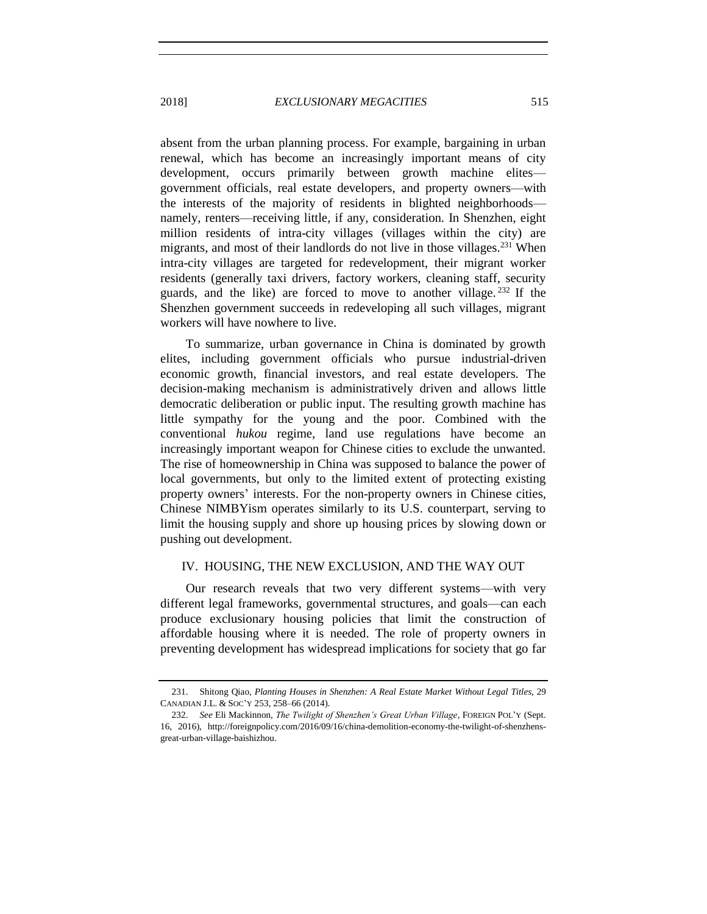2018] *EXCLUSIONARY MEGACITIES* 515

absent from the urban planning process. For example, bargaining in urban renewal, which has become an increasingly important means of city development, occurs primarily between growth machine elites government officials, real estate developers, and property owners—with the interests of the majority of residents in blighted neighborhoods namely, renters—receiving little, if any, consideration. In Shenzhen, eight million residents of intra-city villages (villages within the city) are migrants, and most of their landlords do not live in those villages.<sup>231</sup> When intra-city villages are targeted for redevelopment, their migrant worker residents (generally taxi drivers, factory workers, cleaning staff, security guards, and the like) are forced to move to another village.  $232$  If the Shenzhen government succeeds in redeveloping all such villages, migrant workers will have nowhere to live.

To summarize, urban governance in China is dominated by growth elites, including government officials who pursue industrial-driven economic growth, financial investors, and real estate developers. The decision-making mechanism is administratively driven and allows little democratic deliberation or public input. The resulting growth machine has little sympathy for the young and the poor. Combined with the conventional *hukou* regime, land use regulations have become an increasingly important weapon for Chinese cities to exclude the unwanted. The rise of homeownership in China was supposed to balance the power of local governments, but only to the limited extent of protecting existing property owners' interests. For the non-property owners in Chinese cities, Chinese NIMBYism operates similarly to its U.S. counterpart, serving to limit the housing supply and shore up housing prices by slowing down or pushing out development.

## <span id="page-48-0"></span>IV. HOUSING, THE NEW EXCLUSION, AND THE WAY OUT

Our research reveals that two very different systems—with very different legal frameworks, governmental structures, and goals—can each produce exclusionary housing policies that limit the construction of affordable housing where it is needed. The role of property owners in preventing development has widespread implications for society that go far

<sup>231.</sup> Shitong Qiao, *Planting Houses in Shenzhen: A Real Estate Market Without Legal Titles*, 29 CANADIAN J.L. & SOC'Y 253, 258–66 (2014).

<sup>232.</sup> *See* Eli Mackinnon, *The Twilight of Shenzhen's Great Urban Village*, FOREIGN POL'Y (Sept. 16, 2016), http://foreignpolicy.com/2016/09/16/china-demolition-economy-the-twilight-of-shenzhensgreat-urban-village-baishizhou.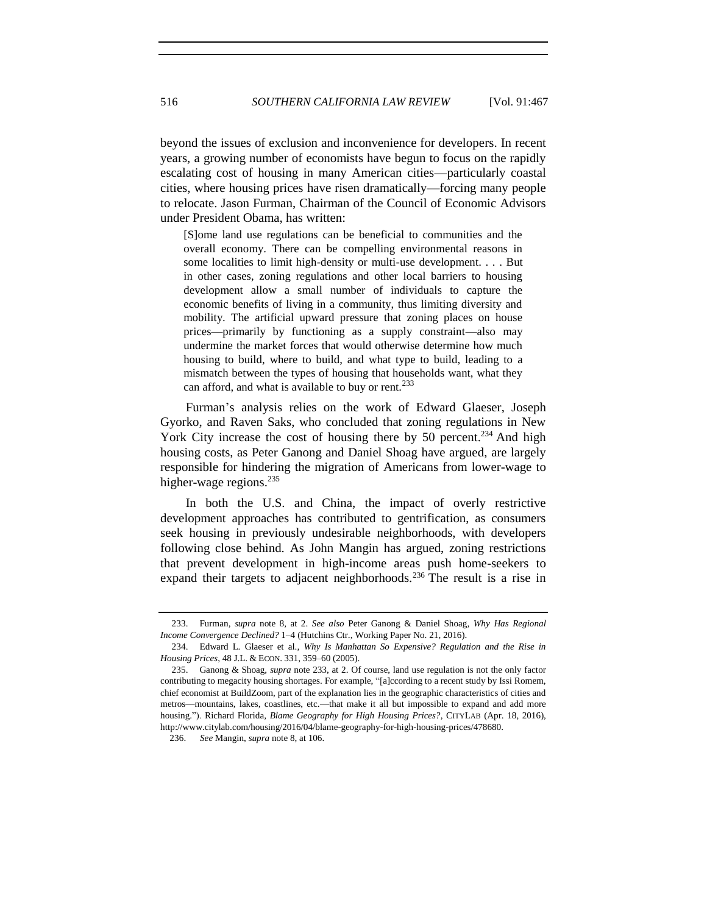beyond the issues of exclusion and inconvenience for developers. In recent years, a growing number of economists have begun to focus on the rapidly escalating cost of housing in many American cities—particularly coastal cities, where housing prices have risen dramatically—forcing many people to relocate. Jason Furman, Chairman of the Council of Economic Advisors under President Obama, has written:

[S]ome land use regulations can be beneficial to communities and the overall economy. There can be compelling environmental reasons in some localities to limit high-density or multi-use development. . . . But in other cases, zoning regulations and other local barriers to housing development allow a small number of individuals to capture the economic benefits of living in a community, thus limiting diversity and mobility. The artificial upward pressure that zoning places on house prices—primarily by functioning as a supply constraint—also may undermine the market forces that would otherwise determine how much housing to build, where to build, and what type to build, leading to a mismatch between the types of housing that households want, what they can afford, and what is available to buy or rent.<sup>233</sup>

<span id="page-49-1"></span><span id="page-49-0"></span>Furman's analysis relies on the work of Edward Glaeser, Joseph Gyorko, and Raven Saks, who concluded that zoning regulations in New York City increase the cost of housing there by 50 percent.<sup>234</sup> And high housing costs, as Peter Ganong and Daniel Shoag have argued, are largely responsible for hindering the migration of Americans from lower-wage to higher-wage regions. $^{235}$ 

In both the U.S. and China, the impact of overly restrictive development approaches has contributed to gentrification, as consumers seek housing in previously undesirable neighborhoods, with developers following close behind. As John Mangin has argued, zoning restrictions that prevent development in high-income areas push home-seekers to expand their targets to adjacent neighborhoods.<sup>236</sup> The result is a rise in

<sup>233.</sup> Furman, *supra* note [8,](#page-3-0) at 2. *See also* Peter Ganong & Daniel Shoag, *Why Has Regional Income Convergence Declined?* 1–4 (Hutchins Ctr., Working Paper No. 21, 2016).

<sup>234.</sup> Edward L. Glaeser et al., *Why Is Manhattan So Expensive? Regulation and the Rise in Housing Prices*, 48 J.L. & ECON. 331, 359–60 (2005).

<sup>235.</sup> Ganong & Shoag, *supra* note [233,](#page-49-0) at 2. Of course, land use regulation is not the only factor contributing to megacity housing shortages. For example, "[a]ccording to a recent study by Issi Romem, chief economist at BuildZoom, part of the explanation lies in the geographic characteristics of cities and metros—mountains, lakes, coastlines, etc.—that make it all but impossible to expand and add more housing."). Richard Florida, *Blame Geography for High Housing Prices?*, CITYLAB (Apr. 18, 2016), http://www.citylab.com/housing/2016/04/blame-geography-for-high-housing-prices/478680.

<sup>236.</sup> *See* Mangin, *supra* not[e 8,](#page-3-0) at 106.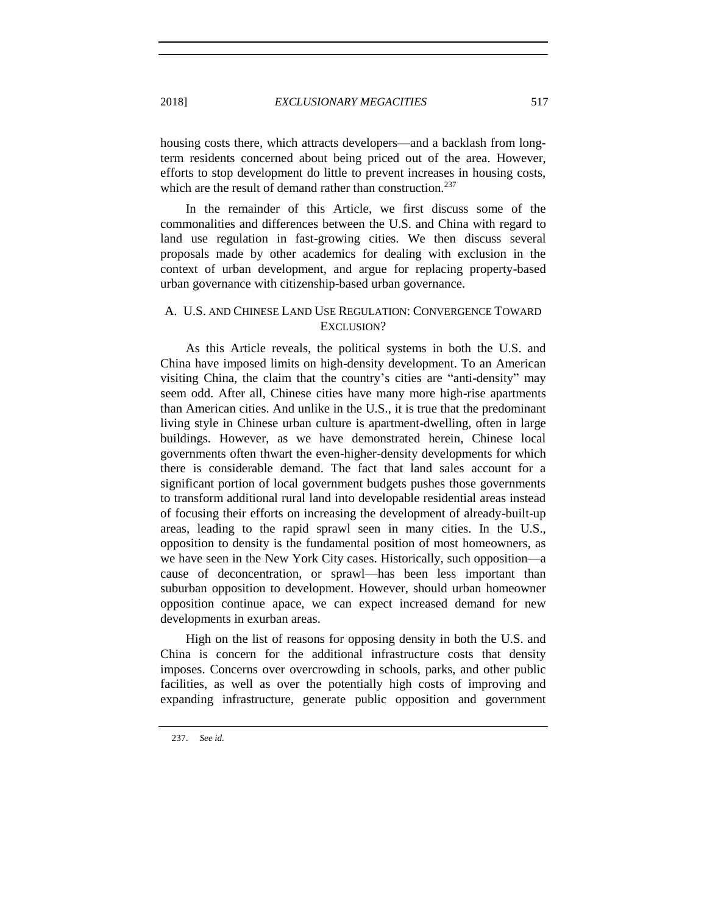housing costs there, which attracts developers—and a backlash from longterm residents concerned about being priced out of the area. However, efforts to stop development do little to prevent increases in housing costs, which are the result of demand rather than construction.<sup>237</sup>

In the remainder of this Article, we first discuss some of the commonalities and differences between the U.S. and China with regard to land use regulation in fast-growing cities. We then discuss several proposals made by other academics for dealing with exclusion in the context of urban development, and argue for replacing property-based urban governance with citizenship-based urban governance.

# <span id="page-50-0"></span>A. U.S. AND CHINESE LAND USE REGULATION: CONVERGENCE TOWARD EXCLUSION?

As this Article reveals, the political systems in both the U.S. and China have imposed limits on high-density development. To an American visiting China, the claim that the country's cities are "anti-density" may seem odd. After all, Chinese cities have many more high-rise apartments than American cities. And unlike in the U.S., it is true that the predominant living style in Chinese urban culture is apartment-dwelling, often in large buildings. However, as we have demonstrated herein, Chinese local governments often thwart the even-higher-density developments for which there is considerable demand. The fact that land sales account for a significant portion of local government budgets pushes those governments to transform additional rural land into developable residential areas instead of focusing their efforts on increasing the development of already-built-up areas, leading to the rapid sprawl seen in many cities. In the U.S., opposition to density is the fundamental position of most homeowners, as we have seen in the New York City cases. Historically, such opposition—a cause of deconcentration, or sprawl—has been less important than suburban opposition to development. However, should urban homeowner opposition continue apace, we can expect increased demand for new developments in exurban areas.

High on the list of reasons for opposing density in both the U.S. and China is concern for the additional infrastructure costs that density imposes. Concerns over overcrowding in schools, parks, and other public facilities, as well as over the potentially high costs of improving and expanding infrastructure, generate public opposition and government

<sup>237.</sup> *See id.*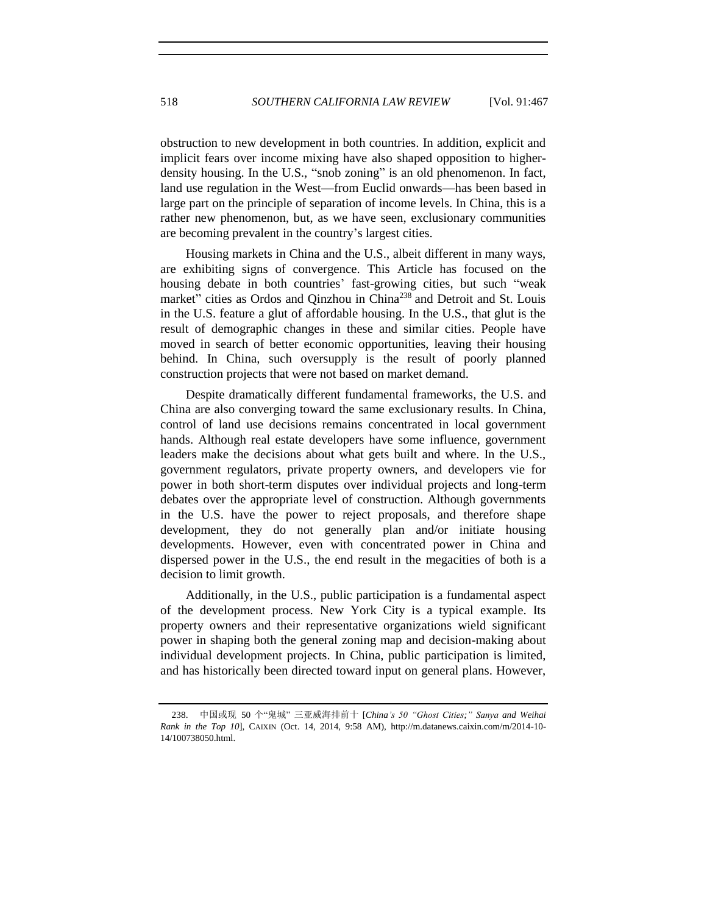obstruction to new development in both countries. In addition, explicit and implicit fears over income mixing have also shaped opposition to higherdensity housing. In the U.S., "snob zoning" is an old phenomenon. In fact, land use regulation in the West—from Euclid onwards—has been based in large part on the principle of separation of income levels. In China, this is a rather new phenomenon, but, as we have seen, exclusionary communities are becoming prevalent in the country's largest cities.

Housing markets in China and the U.S., albeit different in many ways, are exhibiting signs of convergence. This Article has focused on the housing debate in both countries' fast-growing cities, but such "weak market" cities as Ordos and Qinzhou in China<sup>238</sup> and Detroit and St. Louis in the U.S. feature a glut of affordable housing. In the U.S., that glut is the result of demographic changes in these and similar cities. People have moved in search of better economic opportunities, leaving their housing behind. In China, such oversupply is the result of poorly planned construction projects that were not based on market demand.

Despite dramatically different fundamental frameworks, the U.S. and China are also converging toward the same exclusionary results. In China, control of land use decisions remains concentrated in local government hands. Although real estate developers have some influence, government leaders make the decisions about what gets built and where. In the U.S., government regulators, private property owners, and developers vie for power in both short-term disputes over individual projects and long-term debates over the appropriate level of construction. Although governments in the U.S. have the power to reject proposals, and therefore shape development, they do not generally plan and/or initiate housing developments. However, even with concentrated power in China and dispersed power in the U.S., the end result in the megacities of both is a decision to limit growth.

Additionally, in the U.S., public participation is a fundamental aspect of the development process. New York City is a typical example. Its property owners and their representative organizations wield significant power in shaping both the general zoning map and decision-making about individual development projects. In China, public participation is limited, and has historically been directed toward input on general plans. However,

<sup>238.</sup> 中国或现 50 个"鬼城" 三亚威海排前十 [*China's 50 "Ghost Cities;" Sanya and Weihai Rank in the Top 10*], CAIXIN (Oct. 14, 2014, 9:58 AM), http://m.datanews.caixin.com/m/2014-10- 14/100738050.html.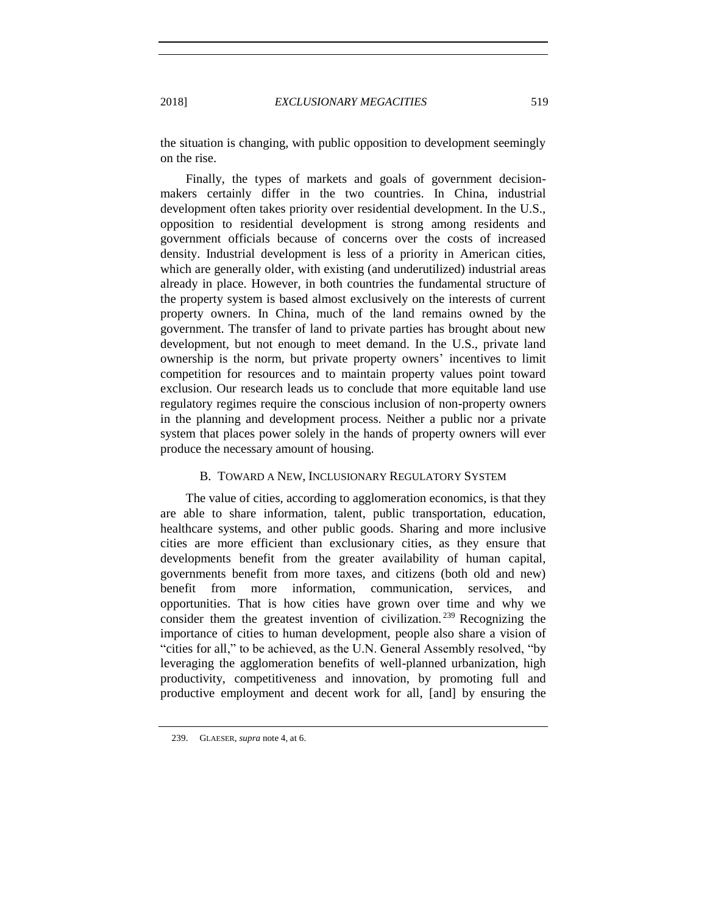2018] *EXCLUSIONARY MEGACITIES* 519

the situation is changing, with public opposition to development seemingly on the rise.

Finally, the types of markets and goals of government decisionmakers certainly differ in the two countries. In China, industrial development often takes priority over residential development. In the U.S., opposition to residential development is strong among residents and government officials because of concerns over the costs of increased density. Industrial development is less of a priority in American cities, which are generally older, with existing (and underutilized) industrial areas already in place. However, in both countries the fundamental structure of the property system is based almost exclusively on the interests of current property owners. In China, much of the land remains owned by the government. The transfer of land to private parties has brought about new development, but not enough to meet demand. In the U.S., private land ownership is the norm, but private property owners' incentives to limit competition for resources and to maintain property values point toward exclusion. Our research leads us to conclude that more equitable land use regulatory regimes require the conscious inclusion of non-property owners in the planning and development process. Neither a public nor a private system that places power solely in the hands of property owners will ever produce the necessary amount of housing.

# B. TOWARD A NEW, INCLUSIONARY REGULATORY SYSTEM

<span id="page-52-0"></span>The value of cities, according to agglomeration economics, is that they are able to share information, talent, public transportation, education, healthcare systems, and other public goods. Sharing and more inclusive cities are more efficient than exclusionary cities, as they ensure that developments benefit from the greater availability of human capital, governments benefit from more taxes, and citizens (both old and new) benefit from more information, communication, services, and opportunities. That is how cities have grown over time and why we consider them the greatest invention of civilization.<sup>239</sup> Recognizing the importance of cities to human development, people also share a vision of "cities for all," to be achieved, as the U.N. General Assembly resolved, "by leveraging the agglomeration benefits of well-planned urbanization, high productivity, competitiveness and innovation, by promoting full and productive employment and decent work for all, [and] by ensuring the

<sup>239.</sup> GLAESER, *supra* not[e 4,](#page-2-4) at 6.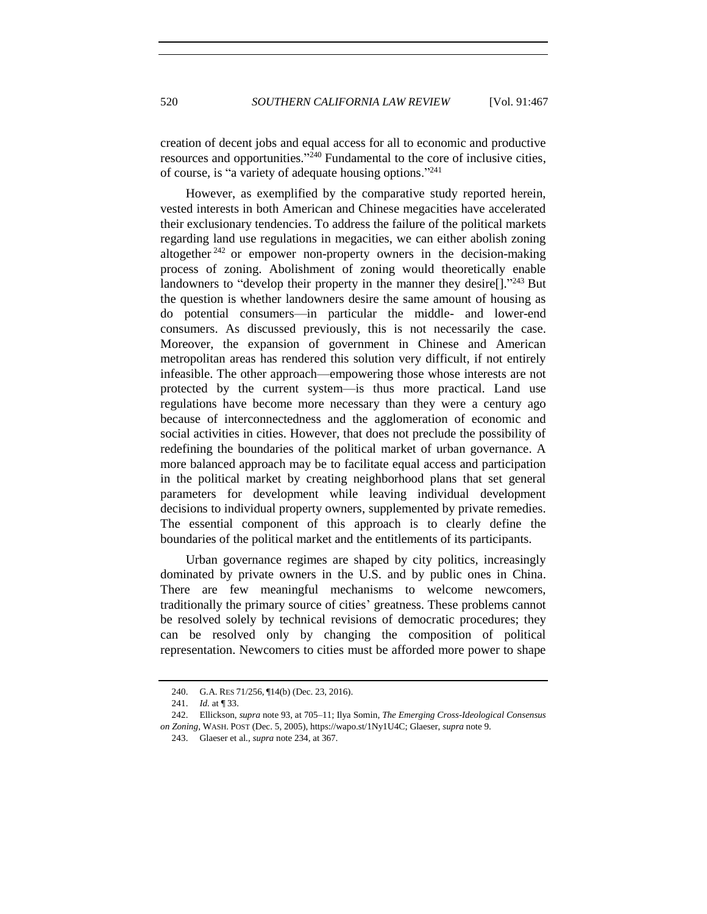creation of decent jobs and equal access for all to economic and productive resources and opportunities."<sup>240</sup> Fundamental to the core of inclusive cities, of course, is "a variety of adequate housing options."<sup>241</sup>

However, as exemplified by the comparative study reported herein, vested interests in both American and Chinese megacities have accelerated their exclusionary tendencies. To address the failure of the political markets regarding land use regulations in megacities, we can either abolish zoning altogether  $242$  or empower non-property owners in the decision-making process of zoning. Abolishment of zoning would theoretically enable landowners to "develop their property in the manner they desire[]."<sup>243</sup> But the question is whether landowners desire the same amount of housing as do potential consumers—in particular the middle- and lower-end consumers. As discussed previously, this is not necessarily the case. Moreover, the expansion of government in Chinese and American metropolitan areas has rendered this solution very difficult, if not entirely infeasible. The other approach—empowering those whose interests are not protected by the current system—is thus more practical. Land use regulations have become more necessary than they were a century ago because of interconnectedness and the agglomeration of economic and social activities in cities. However, that does not preclude the possibility of redefining the boundaries of the political market of urban governance. A more balanced approach may be to facilitate equal access and participation in the political market by creating neighborhood plans that set general parameters for development while leaving individual development decisions to individual property owners, supplemented by private remedies. The essential component of this approach is to clearly define the boundaries of the political market and the entitlements of its participants.

Urban governance regimes are shaped by city politics, increasingly dominated by private owners in the U.S. and by public ones in China. There are few meaningful mechanisms to welcome newcomers, traditionally the primary source of cities' greatness. These problems cannot be resolved solely by technical revisions of democratic procedures; they can be resolved only by changing the composition of political representation. Newcomers to cities must be afforded more power to shape

<sup>240.</sup> G.A. RES 71/256, ¶14(b) (Dec. 23, 2016).

<sup>241.</sup> *Id.* at ¶ 33.

<sup>242.</sup> Ellickson, *supra* note [93,](#page-21-1) at 705–11; Ilya Somin, *The Emerging Cross-Ideological Consensus on Zoning*, WASH. POST (Dec. 5, 2005), https://wapo.st/1Ny1U4C; Glaeser, *supra* not[e 9.](#page-3-2) 

<sup>243.</sup> Glaeser et al., *supra* not[e 234,](#page-49-1) at 367.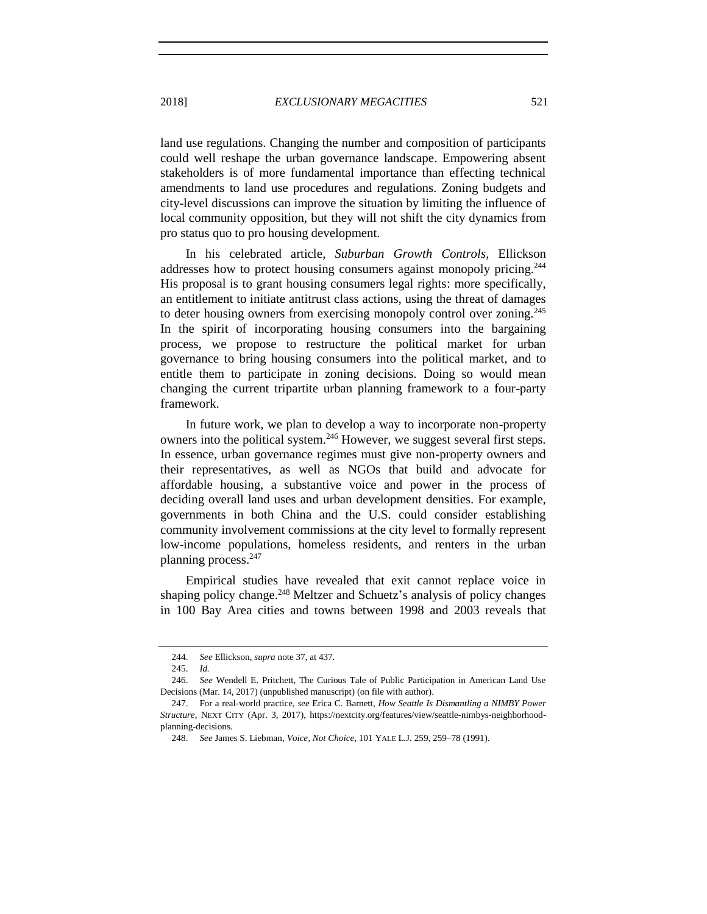land use regulations. Changing the number and composition of participants could well reshape the urban governance landscape. Empowering absent stakeholders is of more fundamental importance than effecting technical amendments to land use procedures and regulations. Zoning budgets and city-level discussions can improve the situation by limiting the influence of local community opposition, but they will not shift the city dynamics from pro status quo to pro housing development.

In his celebrated article, *Suburban Growth Controls*, Ellickson addresses how to protect housing consumers against monopoly pricing.<sup>244</sup> His proposal is to grant housing consumers legal rights: more specifically, an entitlement to initiate antitrust class actions, using the threat of damages to deter housing owners from exercising monopoly control over zoning.<sup>245</sup> In the spirit of incorporating housing consumers into the bargaining process, we propose to restructure the political market for urban governance to bring housing consumers into the political market, and to entitle them to participate in zoning decisions. Doing so would mean changing the current tripartite urban planning framework to a four-party framework.

In future work, we plan to develop a way to incorporate non-property owners into the political system.<sup>246</sup> However, we suggest several first steps. In essence, urban governance regimes must give non-property owners and their representatives, as well as NGOs that build and advocate for affordable housing, a substantive voice and power in the process of deciding overall land uses and urban development densities. For example, governments in both China and the U.S. could consider establishing community involvement commissions at the city level to formally represent low-income populations, homeless residents, and renters in the urban planning process.<sup>247</sup>

Empirical studies have revealed that exit cannot replace voice in shaping policy change.<sup>248</sup> Meltzer and Schuetz's analysis of policy changes in 100 Bay Area cities and towns between 1998 and 2003 reveals that

<sup>244.</sup> *See* Ellickson, *supra* not[e 37,](#page-9-1) at 437.

<sup>245.</sup> *Id.*

<sup>246.</sup> *See* Wendell E. Pritchett, The Curious Tale of Public Participation in American Land Use Decisions (Mar. 14, 2017) (unpublished manuscript) (on file with author).

<sup>247.</sup> For a real-world practice, *see* Erica C. Barnett, *How Seattle Is Dismantling a NIMBY Power Structure*, NEXT CITY (Apr. 3, 2017), https://nextcity.org/features/view/seattle-nimbys-neighborhoodplanning-decisions.

<sup>248.</sup> *See* James S. Liebman, *Voice, Not Choice*, 101 YALE L.J. 259, 259–78 (1991).